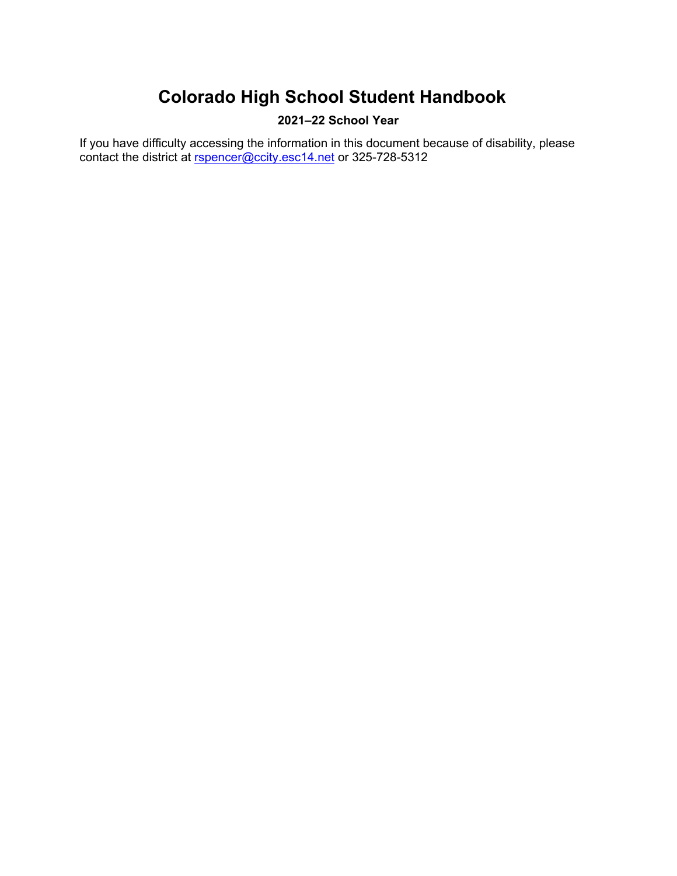# **2021–22 School Year**

<span id="page-0-0"></span>If you have difficulty accessing the information in this document because of disability, please contact the district at [rspencer@ccity.esc14.net](mailto:rspencer@ccity.esc14.net) or 325-728-5312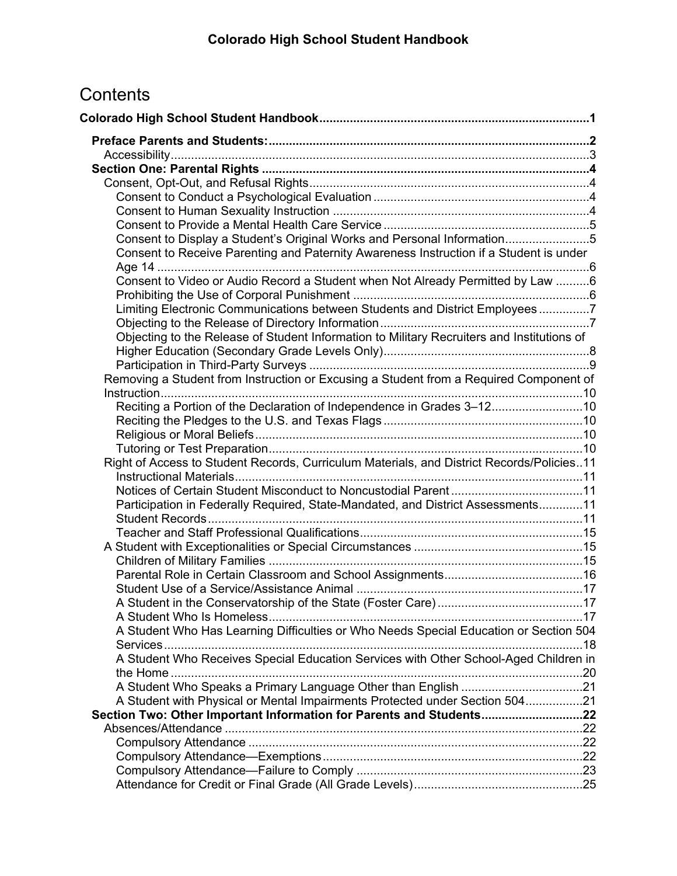# **Contents**

| Consent to Display a Student's Original Works and Personal Information5                    |  |
|--------------------------------------------------------------------------------------------|--|
| Consent to Receive Parenting and Paternity Awareness Instruction if a Student is under     |  |
|                                                                                            |  |
| Consent to Video or Audio Record a Student when Not Already Permitted by Law 6             |  |
|                                                                                            |  |
| Limiting Electronic Communications between Students and District Employees7                |  |
|                                                                                            |  |
| Objecting to the Release of Student Information to Military Recruiters and Institutions of |  |
|                                                                                            |  |
| Removing a Student from Instruction or Excusing a Student from a Required Component of     |  |
|                                                                                            |  |
| Reciting a Portion of the Declaration of Independence in Grades 3-1210                     |  |
|                                                                                            |  |
|                                                                                            |  |
|                                                                                            |  |
| Right of Access to Student Records, Curriculum Materials, and District Records/Policies11  |  |
|                                                                                            |  |
|                                                                                            |  |
| Participation in Federally Required, State-Mandated, and District Assessments11            |  |
|                                                                                            |  |
|                                                                                            |  |
|                                                                                            |  |
|                                                                                            |  |
|                                                                                            |  |
|                                                                                            |  |
|                                                                                            |  |
| A Student Who Has Learning Difficulties or Who Needs Special Education or Section 504      |  |
|                                                                                            |  |
| A Student Who Receives Special Education Services with Other School-Aged Children in       |  |
|                                                                                            |  |
|                                                                                            |  |
| A Student with Physical or Mental Impairments Protected under Section 50421                |  |
| Section Two: Other Important Information for Parents and Students22                        |  |
|                                                                                            |  |
|                                                                                            |  |
|                                                                                            |  |
|                                                                                            |  |
|                                                                                            |  |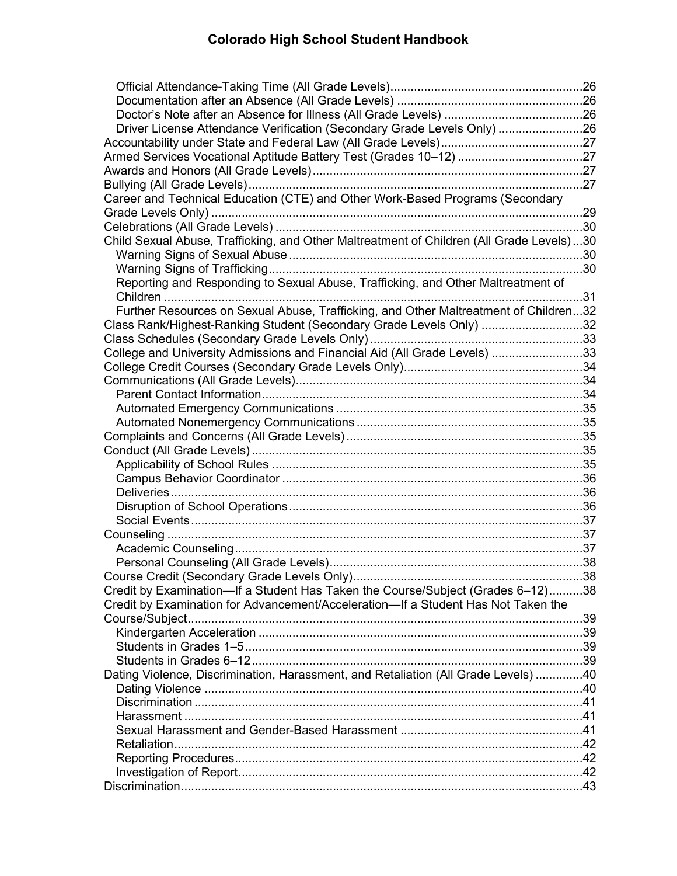| Driver License Attendance Verification (Secondary Grade Levels Only) 26                  |  |
|------------------------------------------------------------------------------------------|--|
|                                                                                          |  |
|                                                                                          |  |
|                                                                                          |  |
|                                                                                          |  |
| Career and Technical Education (CTE) and Other Work-Based Programs (Secondary            |  |
|                                                                                          |  |
|                                                                                          |  |
| Child Sexual Abuse, Trafficking, and Other Maltreatment of Children (All Grade Levels)30 |  |
|                                                                                          |  |
|                                                                                          |  |
| Reporting and Responding to Sexual Abuse, Trafficking, and Other Maltreatment of         |  |
|                                                                                          |  |
| Further Resources on Sexual Abuse, Trafficking, and Other Maltreatment of Children32     |  |
| Class Rank/Highest-Ranking Student (Secondary Grade Levels Only) 32                      |  |
|                                                                                          |  |
| College and University Admissions and Financial Aid (All Grade Levels) 33                |  |
|                                                                                          |  |
|                                                                                          |  |
|                                                                                          |  |
|                                                                                          |  |
|                                                                                          |  |
|                                                                                          |  |
|                                                                                          |  |
|                                                                                          |  |
|                                                                                          |  |
|                                                                                          |  |
|                                                                                          |  |
|                                                                                          |  |
|                                                                                          |  |
|                                                                                          |  |
|                                                                                          |  |
|                                                                                          |  |
| Credit by Examination—If a Student Has Taken the Course/Subject (Grades 6-12)38          |  |
| Credit by Examination for Advancement/Acceleration-If a Student Has Not Taken the        |  |
|                                                                                          |  |
|                                                                                          |  |
|                                                                                          |  |
|                                                                                          |  |
| Dating Violence, Discrimination, Harassment, and Retaliation (All Grade Levels) 40       |  |
|                                                                                          |  |
|                                                                                          |  |
|                                                                                          |  |
|                                                                                          |  |
|                                                                                          |  |
|                                                                                          |  |
|                                                                                          |  |
|                                                                                          |  |
|                                                                                          |  |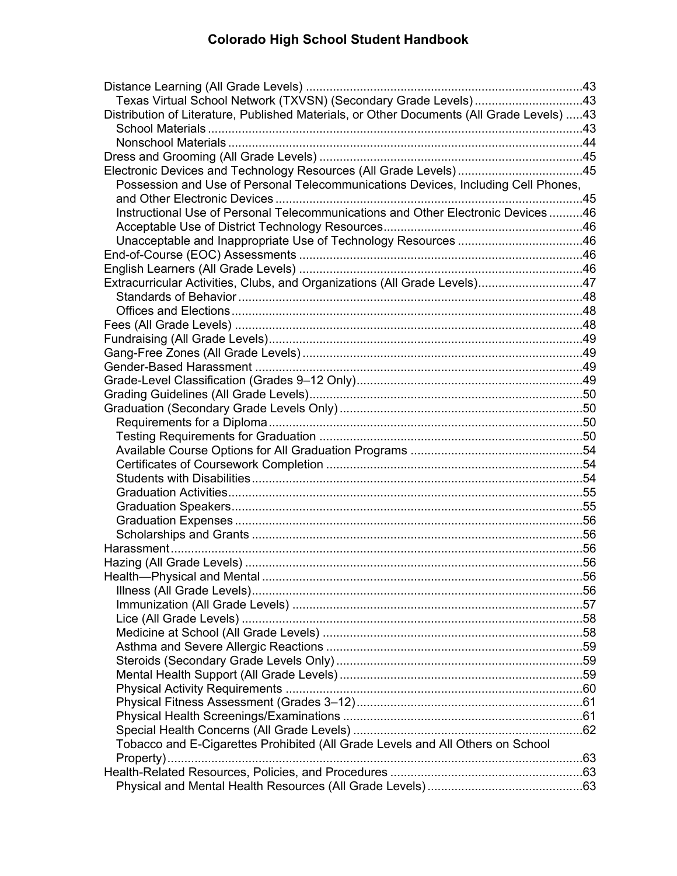| Texas Virtual School Network (TXVSN) (Secondary Grade Levels)43                           |  |
|-------------------------------------------------------------------------------------------|--|
| Distribution of Literature, Published Materials, or Other Documents (All Grade Levels) 43 |  |
|                                                                                           |  |
|                                                                                           |  |
|                                                                                           |  |
| Electronic Devices and Technology Resources (All Grade Levels) 45                         |  |
| Possession and Use of Personal Telecommunications Devices, Including Cell Phones,         |  |
|                                                                                           |  |
| Instructional Use of Personal Telecommunications and Other Electronic Devices46           |  |
|                                                                                           |  |
| Unacceptable and Inappropriate Use of Technology Resources 46                             |  |
|                                                                                           |  |
|                                                                                           |  |
| Extracurricular Activities, Clubs, and Organizations (All Grade Levels)47                 |  |
|                                                                                           |  |
|                                                                                           |  |
|                                                                                           |  |
|                                                                                           |  |
|                                                                                           |  |
|                                                                                           |  |
|                                                                                           |  |
|                                                                                           |  |
|                                                                                           |  |
|                                                                                           |  |
|                                                                                           |  |
|                                                                                           |  |
|                                                                                           |  |
|                                                                                           |  |
|                                                                                           |  |
|                                                                                           |  |
|                                                                                           |  |
|                                                                                           |  |
|                                                                                           |  |
|                                                                                           |  |
|                                                                                           |  |
|                                                                                           |  |
|                                                                                           |  |
|                                                                                           |  |
|                                                                                           |  |
|                                                                                           |  |
|                                                                                           |  |
|                                                                                           |  |
|                                                                                           |  |
|                                                                                           |  |
|                                                                                           |  |
|                                                                                           |  |
| Tobacco and E-Cigarettes Prohibited (All Grade Levels and All Others on School            |  |
|                                                                                           |  |
|                                                                                           |  |
|                                                                                           |  |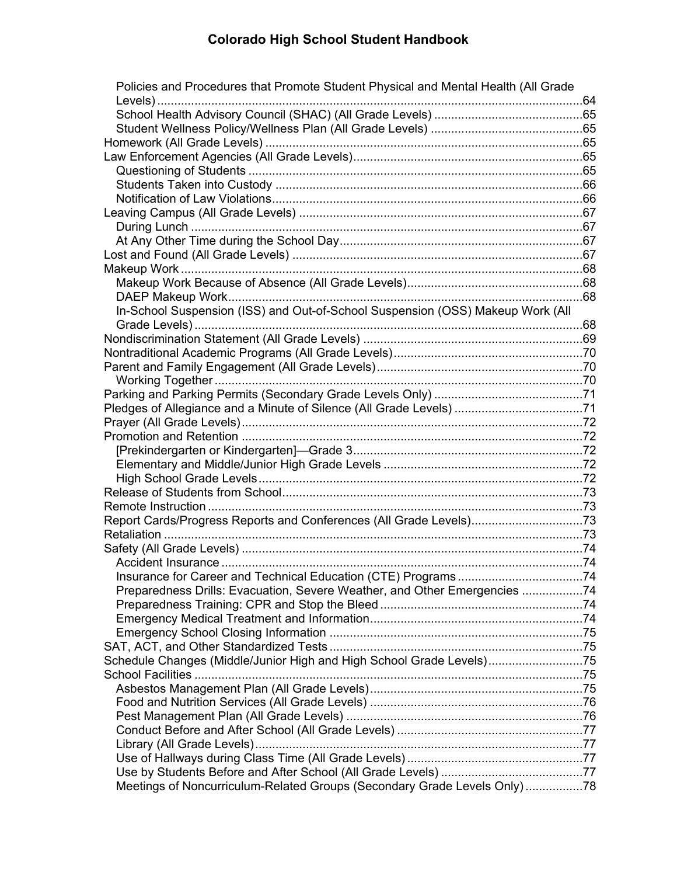| Policies and Procedures that Promote Student Physical and Mental Health (All Grade |  |
|------------------------------------------------------------------------------------|--|
|                                                                                    |  |
|                                                                                    |  |
|                                                                                    |  |
|                                                                                    |  |
|                                                                                    |  |
|                                                                                    |  |
|                                                                                    |  |
|                                                                                    |  |
|                                                                                    |  |
|                                                                                    |  |
|                                                                                    |  |
|                                                                                    |  |
|                                                                                    |  |
|                                                                                    |  |
| In-School Suspension (ISS) and Out-of-School Suspension (OSS) Makeup Work (All     |  |
|                                                                                    |  |
|                                                                                    |  |
|                                                                                    |  |
|                                                                                    |  |
|                                                                                    |  |
|                                                                                    |  |
| Pledges of Allegiance and a Minute of Silence (All Grade Levels) 71                |  |
|                                                                                    |  |
|                                                                                    |  |
|                                                                                    |  |
|                                                                                    |  |
|                                                                                    |  |
|                                                                                    |  |
|                                                                                    |  |
| Report Cards/Progress Reports and Conferences (All Grade Levels)73                 |  |
|                                                                                    |  |
|                                                                                    |  |
|                                                                                    |  |
|                                                                                    |  |
| Preparedness Drills: Evacuation, Severe Weather, and Other Emergencies 74          |  |
|                                                                                    |  |
|                                                                                    |  |
|                                                                                    |  |
|                                                                                    |  |
| Schedule Changes (Middle/Junior High and High School Grade Levels)75               |  |
|                                                                                    |  |
|                                                                                    |  |
|                                                                                    |  |
|                                                                                    |  |
|                                                                                    |  |
|                                                                                    |  |
|                                                                                    |  |
|                                                                                    |  |
| Meetings of Noncurriculum-Related Groups (Secondary Grade Levels Only)78           |  |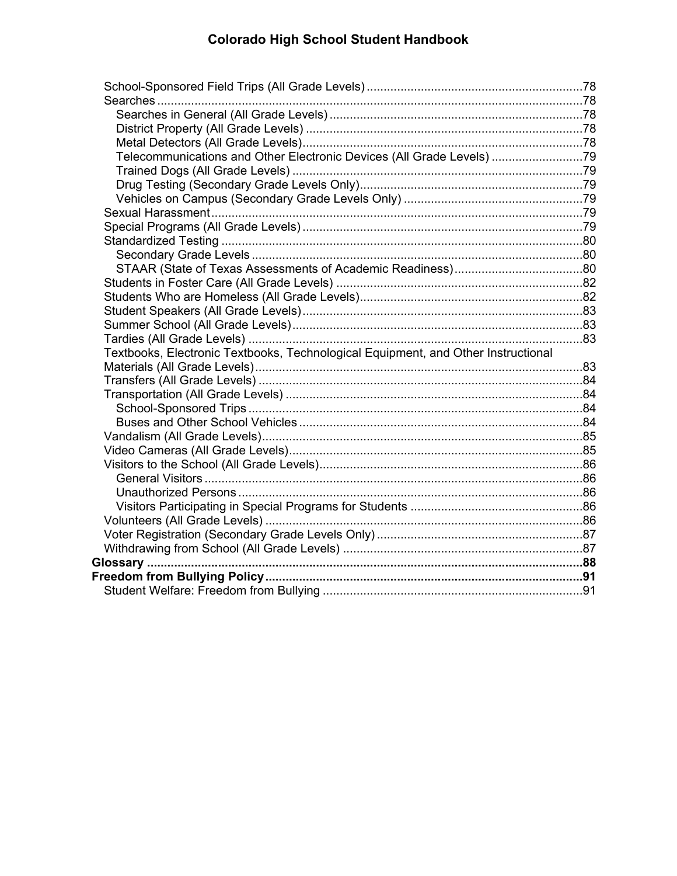| Telecommunications and Other Electronic Devices (All Grade Levels) 79             |  |
|-----------------------------------------------------------------------------------|--|
|                                                                                   |  |
|                                                                                   |  |
|                                                                                   |  |
|                                                                                   |  |
|                                                                                   |  |
|                                                                                   |  |
|                                                                                   |  |
|                                                                                   |  |
|                                                                                   |  |
|                                                                                   |  |
|                                                                                   |  |
|                                                                                   |  |
|                                                                                   |  |
| Textbooks, Electronic Textbooks, Technological Equipment, and Other Instructional |  |
|                                                                                   |  |
|                                                                                   |  |
|                                                                                   |  |
|                                                                                   |  |
|                                                                                   |  |
|                                                                                   |  |
|                                                                                   |  |
|                                                                                   |  |
|                                                                                   |  |
|                                                                                   |  |
|                                                                                   |  |
|                                                                                   |  |
|                                                                                   |  |
|                                                                                   |  |
|                                                                                   |  |
|                                                                                   |  |
|                                                                                   |  |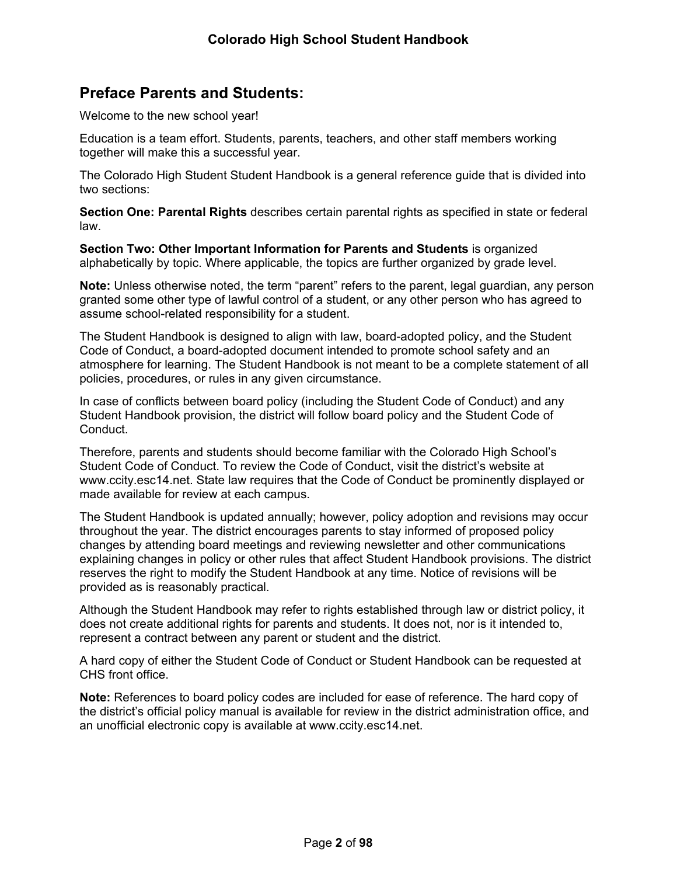# <span id="page-7-0"></span>**Preface Parents and Students:**

Welcome to the new school year!

Education is a team effort. Students, parents, teachers, and other staff members working together will make this a successful year.

The Colorado High Student Student Handbook is a general reference guide that is divided into two sections:

**Section One: Parental Rights** describes certain parental rights as specified in state or federal law.

**Section Two: Other Important Information for Parents and Students** is organized alphabetically by topic. Where applicable, the topics are further organized by grade level.

**Note:** Unless otherwise noted, the term "parent" refers to the parent, legal guardian, any person granted some other type of lawful control of a student, or any other person who has agreed to assume school-related responsibility for a student.

The Student Handbook is designed to align with law, board-adopted policy, and the Student Code of Conduct, a board-adopted document intended to promote school safety and an atmosphere for learning. The Student Handbook is not meant to be a complete statement of all policies, procedures, or rules in any given circumstance.

In case of conflicts between board policy (including the Student Code of Conduct) and any Student Handbook provision, the district will follow board policy and the Student Code of Conduct.

Therefore, parents and students should become familiar with the Colorado High School's Student Code of Conduct. To review the Code of Conduct, visit the district's website at www.ccity.esc14.net. State law requires that the Code of Conduct be prominently displayed or made available for review at each campus.

The Student Handbook is updated annually; however, policy adoption and revisions may occur throughout the year. The district encourages parents to stay informed of proposed policy changes by attending board meetings and reviewing newsletter and other communications explaining changes in policy or other rules that affect Student Handbook provisions. The district reserves the right to modify the Student Handbook at any time. Notice of revisions will be provided as is reasonably practical.

Although the Student Handbook may refer to rights established through law or district policy, it does not create additional rights for parents and students. It does not, nor is it intended to, represent a contract between any parent or student and the district.

A hard copy of either the Student Code of Conduct or Student Handbook can be requested at CHS front office.

**Note:** References to board policy codes are included for ease of reference. The hard copy of the district's official policy manual is available for review in the district administration office, and an unofficial electronic copy is available at www.ccity.esc14.net.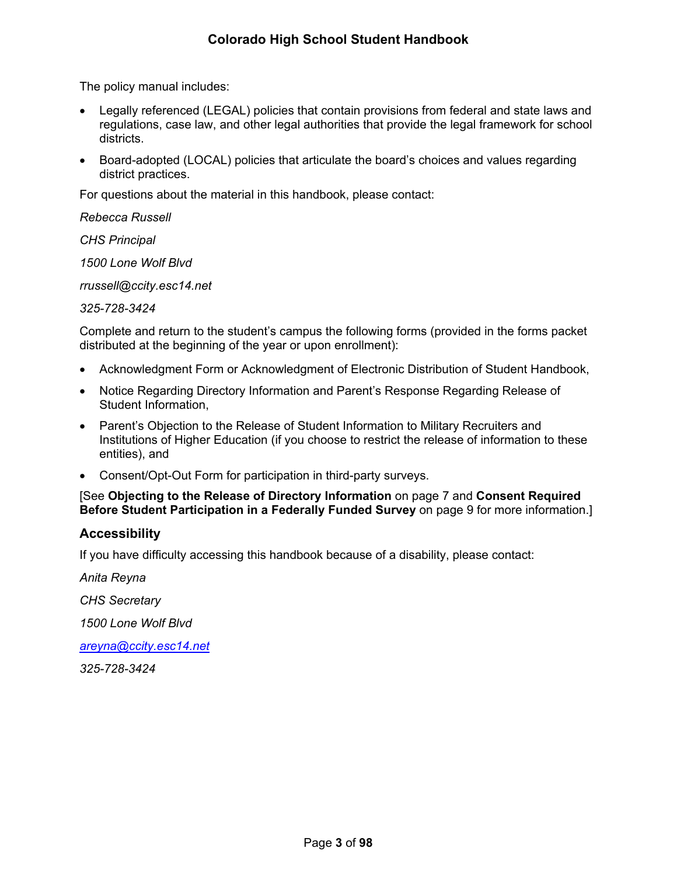The policy manual includes:

- Legally referenced (LEGAL) policies that contain provisions from federal and state laws and regulations, case law, and other legal authorities that provide the legal framework for school districts.
- Board-adopted (LOCAL) policies that articulate the board's choices and values regarding district practices.

For questions about the material in this handbook, please contact:

*Rebecca Russell*

*CHS Principal*

*1500 Lone Wolf Blvd*

*rrussell@ccity.esc14.net*

*325-728-3424*

Complete and return to the student's campus the following forms (provided in the forms packet distributed at the beginning of the year or upon enrollment):

- Acknowledgment Form or Acknowledgment of Electronic Distribution of Student Handbook,
- Notice Regarding Directory Information and Parent's Response Regarding Release of Student Information,
- Parent's Objection to the Release of Student Information to Military Recruiters and Institutions of Higher Education (if you choose to restrict the release of information to these entities), and
- Consent/Opt-Out Form for participation in third-party surveys.

#### [See **Objecting to the Release of Directory Information** on page [7](#page-12-0) and **Consent Required Before Student Participation in a Federally Funded Survey** on page [9](#page-13-2) for more information.]

## <span id="page-8-0"></span>**Accessibility**

If you have difficulty accessing this handbook because of a disability, please contact:

*Anita Reyna*

*CHS Secretary*

*1500 Lone Wolf Blvd*

*[areyna@ccity.esc14.net](mailto:areyna@ccity.esc14.net)*

*325-728-3424*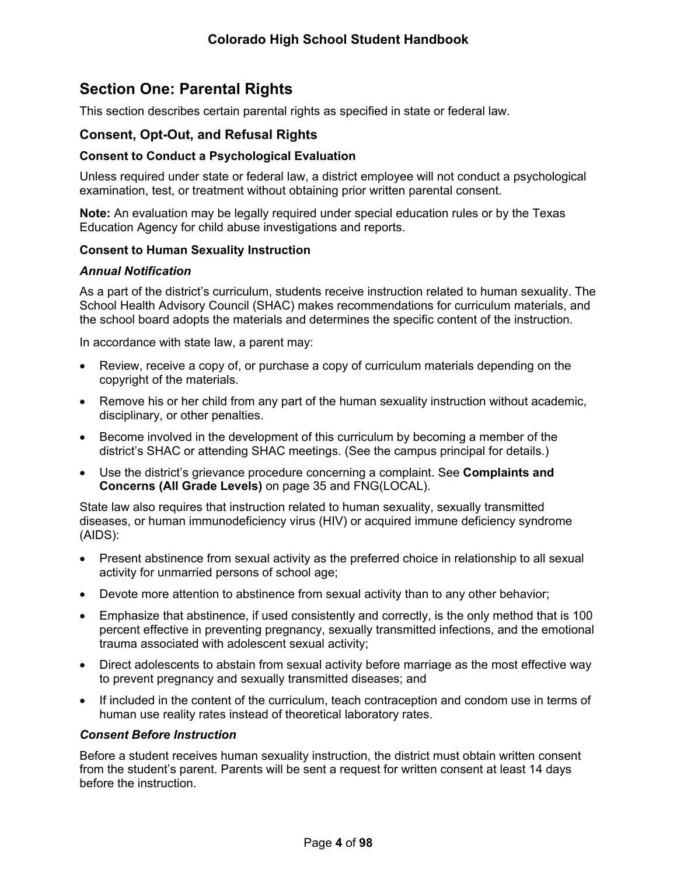# <span id="page-9-0"></span>**Section One: Parental Rights**

This section describes certain parental rights as specified in state or federal law.

## <span id="page-9-1"></span>**Consent, Opt-Out, and Refusal Rights**

#### <span id="page-9-2"></span>**Consent to Conduct a Psychological Evaluation**

Unless required under state or federal law, a district employee will not conduct a psychological examination, test, or treatment without obtaining prior written parental consent.

**Note:** An evaluation may be legally required under special education rules or by the Texas Education Agency for child abuse investigations and reports.

#### <span id="page-9-3"></span>**Consent to Human Sexuality Instruction**

#### *Annual Notification*

As a part of the district's curriculum, students receive instruction related to human sexuality. The School Health Advisory Council (SHAC) makes recommendations for curriculum materials, and the school board adopts the materials and determines the specific content of the instruction.

In accordance with state law, a parent may:

- Review, receive a copy of, or purchase a copy of curriculum materials depending on the copyright of the materials.
- Remove his or her child from any part of the human sexuality instruction without academic, disciplinary, or other penalties.
- Become involved in the development of this curriculum by becoming a member of the district's SHAC or attending SHAC meetings. (See the campus principal for details.)
- Use the district's grievance procedure concerning a complaint. See **Complaints and Concerns (All Grade Levels)** on page [35](#page-39-4) and FNG(LOCAL).

State law also requires that instruction related to human sexuality, sexually transmitted diseases, or human immunodeficiency virus (HIV) or acquired immune deficiency syndrome (AIDS):

- Present abstinence from sexual activity as the preferred choice in relationship to all sexual activity for unmarried persons of school age;
- Devote more attention to abstinence from sexual activity than to any other behavior;
- Emphasize that abstinence, if used consistently and correctly, is the only method that is 100 percent effective in preventing pregnancy, sexually transmitted infections, and the emotional trauma associated with adolescent sexual activity;
- Direct adolescents to abstain from sexual activity before marriage as the most effective way to prevent pregnancy and sexually transmitted diseases; and
- If included in the content of the curriculum, teach contraception and condom use in terms of human use reality rates instead of theoretical laboratory rates.

#### *Consent Before Instruction*

Before a student receives human sexuality instruction, the district must obtain written consent from the student's parent. Parents will be sent a request for written consent at least 14 days before the instruction.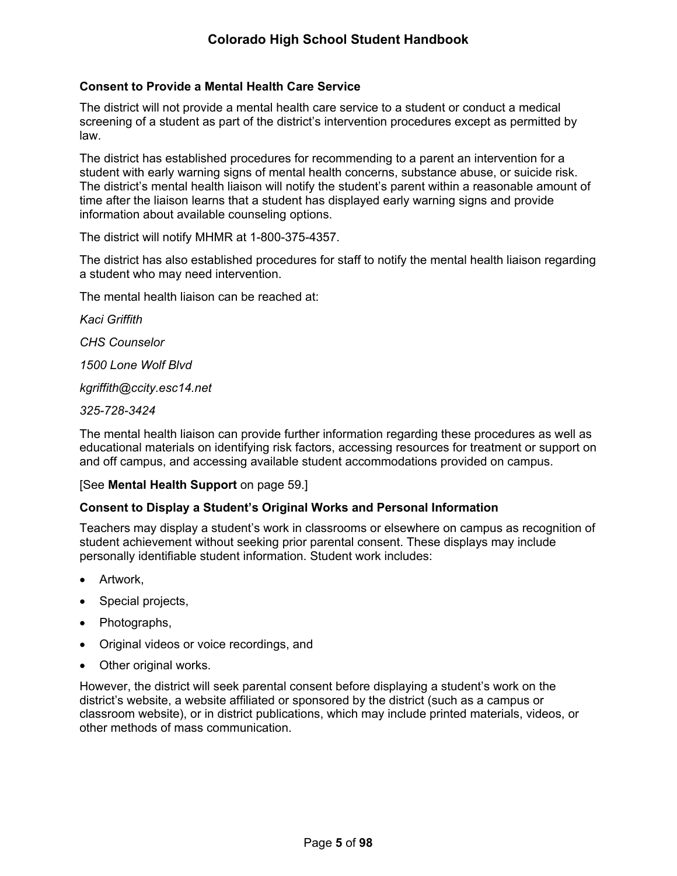#### <span id="page-10-0"></span>**Consent to Provide a Mental Health Care Service**

The district will not provide a mental health care service to a student or conduct a medical screening of a student as part of the district's intervention procedures except as permitted by law.

The district has established procedures for recommending to a parent an intervention for a student with early warning signs of mental health concerns, substance abuse, or suicide risk. The district's mental health liaison will notify the student's parent within a reasonable amount of time after the liaison learns that a student has displayed early warning signs and provide information about available counseling options.

The district will notify MHMR at 1-800-375-4357.

The district has also established procedures for staff to notify the mental health liaison regarding a student who may need intervention.

The mental health liaison can be reached at:

*Kaci Griffith*

*CHS Counselor*

*1500 Lone Wolf Blvd*

*kgriffith@ccity.esc14.net*

*325-728-3424*

The mental health liaison can provide further information regarding these procedures as well as educational materials on identifying risk factors, accessing resources for treatment or support on and off campus, and accessing available student accommodations provided on campus.

#### [See **Mental Health Support** on page [59.](#page-65-1)]

#### <span id="page-10-1"></span>**Consent to Display a Student's Original Works and Personal Information**

Teachers may display a student's work in classrooms or elsewhere on campus as recognition of student achievement without seeking prior parental consent. These displays may include personally identifiable student information. Student work includes:

- Artwork,
- Special projects,
- Photographs,
- Original videos or voice recordings, and
- Other original works.

However, the district will seek parental consent before displaying a student's work on the district's website, a website affiliated or sponsored by the district (such as a campus or classroom website), or in district publications, which may include printed materials, videos, or other methods of mass communication.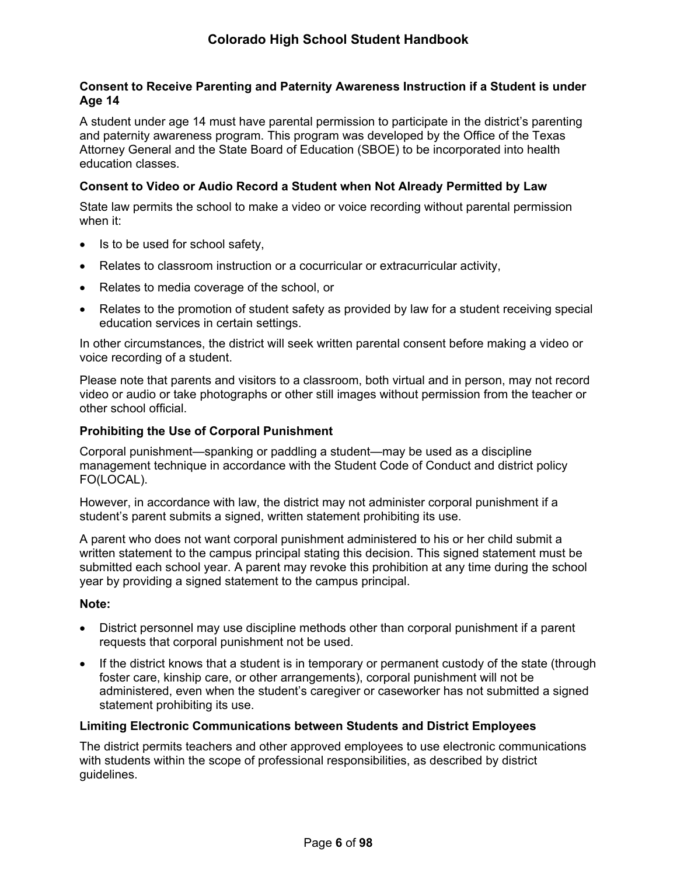### <span id="page-11-0"></span>**Consent to Receive Parenting and Paternity Awareness Instruction if a Student is under Age 14**

A student under age 14 must have parental permission to participate in the district's parenting and paternity awareness program. This program was developed by the Office of the Texas Attorney General and the State Board of Education (SBOE) to be incorporated into health education classes.

#### <span id="page-11-1"></span>**Consent to Video or Audio Record a Student when Not Already Permitted by Law**

State law permits the school to make a video or voice recording without parental permission when it:

- Is to be used for school safety,
- Relates to classroom instruction or a cocurricular or extracurricular activity,
- Relates to media coverage of the school, or
- Relates to the promotion of student safety as provided by law for a student receiving special education services in certain settings.

In other circumstances, the district will seek written parental consent before making a video or voice recording of a student.

Please note that parents and visitors to a classroom, both virtual and in person, may not record video or audio or take photographs or other still images without permission from the teacher or other school official.

#### <span id="page-11-2"></span>**Prohibiting the Use of Corporal Punishment**

Corporal punishment—spanking or paddling a student—may be used as a discipline management technique in accordance with the Student Code of Conduct and district policy FO(LOCAL).

However, in accordance with law, the district may not administer corporal punishment if a student's parent submits a signed, written statement prohibiting its use.

A parent who does not want corporal punishment administered to his or her child submit a written statement to the campus principal stating this decision. This signed statement must be submitted each school year. A parent may revoke this prohibition at any time during the school year by providing a signed statement to the campus principal.

#### **Note:**

- District personnel may use discipline methods other than corporal punishment if a parent requests that corporal punishment not be used.
- If the district knows that a student is in temporary or permanent custody of the state (through foster care, kinship care, or other arrangements), corporal punishment will not be administered, even when the student's caregiver or caseworker has not submitted a signed statement prohibiting its use.

#### <span id="page-11-3"></span>**Limiting Electronic Communications between Students and District Employees**

The district permits teachers and other approved employees to use electronic communications with students within the scope of professional responsibilities, as described by district guidelines.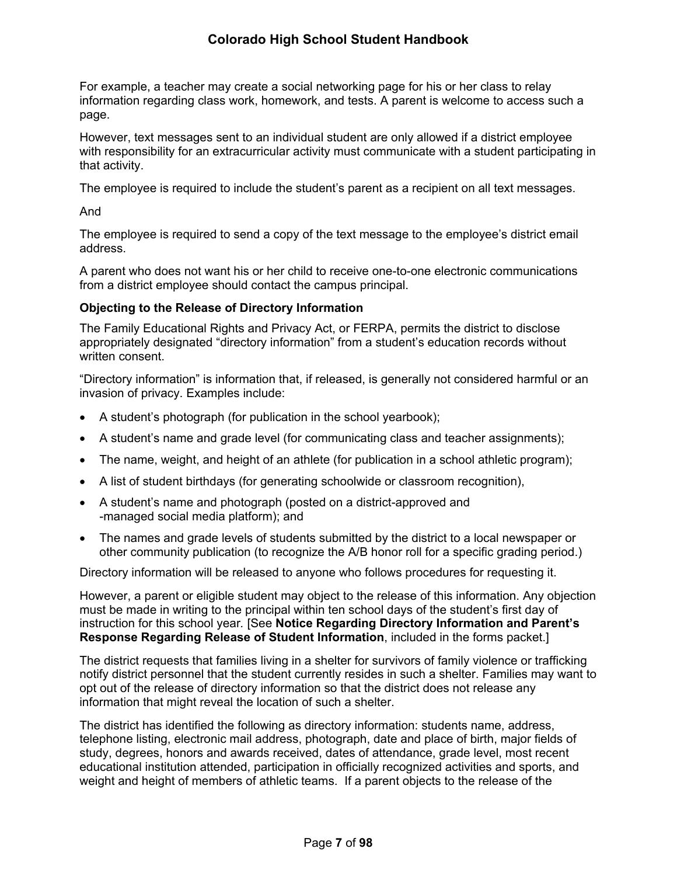For example, a teacher may create a social networking page for his or her class to relay information regarding class work, homework, and tests. A parent is welcome to access such a page.

However, text messages sent to an individual student are only allowed if a district employee with responsibility for an extracurricular activity must communicate with a student participating in that activity.

The employee is required to include the student's parent as a recipient on all text messages.

And

The employee is required to send a copy of the text message to the employee's district email address.

A parent who does not want his or her child to receive one-to-one electronic communications from a district employee should contact the campus principal.

## <span id="page-12-0"></span>**Objecting to the Release of Directory Information**

The Family Educational Rights and Privacy Act, or FERPA, permits the district to disclose appropriately designated "directory information" from a student's education records without written consent.

"Directory information" is information that, if released, is generally not considered harmful or an invasion of privacy. Examples include:

- A student's photograph (for publication in the school yearbook);
- A student's name and grade level (for communicating class and teacher assignments);
- The name, weight, and height of an athlete (for publication in a school athletic program);
- A list of student birthdays (for generating schoolwide or classroom recognition),
- A student's name and photograph (posted on a district-approved and -managed social media platform); and
- The names and grade levels of students submitted by the district to a local newspaper or other community publication (to recognize the A/B honor roll for a specific grading period.)

Directory information will be released to anyone who follows procedures for requesting it.

However, a parent or eligible student may object to the release of this information. Any objection must be made in writing to the principal within ten school days of the student's first day of instruction for this school year*.* [See **Notice Regarding Directory Information and Parent's Response Regarding Release of Student Information**, included in the forms packet.]

The district requests that families living in a shelter for survivors of family violence or trafficking notify district personnel that the student currently resides in such a shelter. Families may want to opt out of the release of directory information so that the district does not release any information that might reveal the location of such a shelter.

The district has identified the following as directory information: students name, address, telephone listing, electronic mail address, photograph, date and place of birth, major fields of study, degrees, honors and awards received, dates of attendance, grade level, most recent educational institution attended, participation in officially recognized activities and sports, and weight and height of members of athletic teams. If a parent objects to the release of the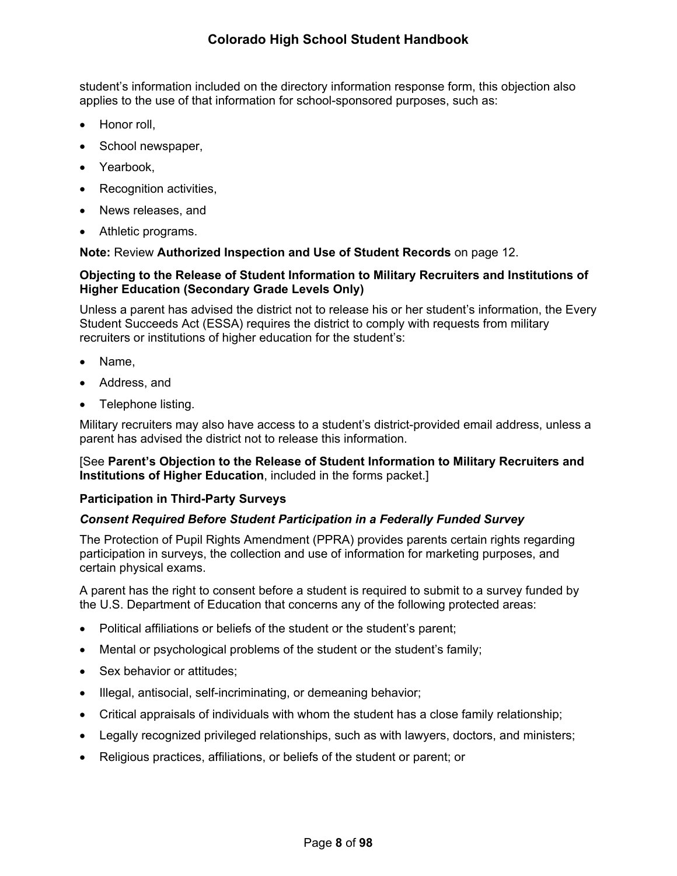student's information included on the directory information response form, this objection also applies to the use of that information for school-sponsored purposes, such as:

- Honor roll.
- School newspaper,
- Yearbook.
- Recognition activities,
- News releases, and
- Athletic programs.

#### **Note:** Review **Authorized Inspection and Use of Student Records** on page [12](#page-16-3).

#### <span id="page-13-0"></span>**Objecting to the Release of Student Information to Military Recruiters and Institutions of Higher Education (Secondary Grade Levels Only)**

Unless a parent has advised the district not to release his or her student's information, the Every Student Succeeds Act (ESSA) requires the district to comply with requests from military recruiters or institutions of higher education for the student's:

- Name,
- Address, and
- Telephone listing.

Military recruiters may also have access to a student's district-provided email address, unless a parent has advised the district not to release this information.

#### [See **Parent's Objection to the Release of Student Information to Military Recruiters and Institutions of Higher Education**, included in the forms packet.]

#### <span id="page-13-1"></span>**Participation in Third-Party Surveys**

## <span id="page-13-2"></span>*Consent Required Before Student Participation in a Federally Funded Survey*

The Protection of Pupil Rights Amendment (PPRA) provides parents certain rights regarding participation in surveys, the collection and use of information for marketing purposes, and certain physical exams.

A parent has the right to consent before a student is required to submit to a survey funded by the U.S. Department of Education that concerns any of the following protected areas:

- Political affiliations or beliefs of the student or the student's parent;
- Mental or psychological problems of the student or the student's family;
- Sex behavior or attitudes;
- Illegal, antisocial, self-incriminating, or demeaning behavior;
- Critical appraisals of individuals with whom the student has a close family relationship;
- Legally recognized privileged relationships, such as with lawyers, doctors, and ministers;
- Religious practices, affiliations, or beliefs of the student or parent; or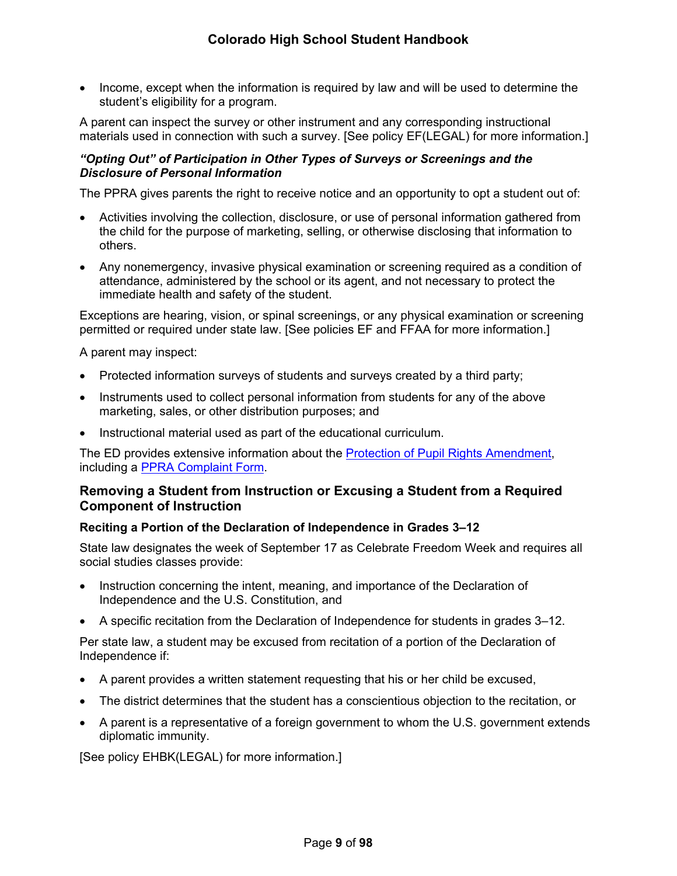• Income, except when the information is required by law and will be used to determine the student's eligibility for a program.

A parent can inspect the survey or other instrument and any corresponding instructional materials used in connection with such a survey. [See policy EF(LEGAL) for more information.]

## *"Opting Out" of Participation in Other Types of Surveys or Screenings and the Disclosure of Personal Information*

The PPRA gives parents the right to receive notice and an opportunity to opt a student out of:

- Activities involving the collection, disclosure, or use of personal information gathered from the child for the purpose of marketing, selling, or otherwise disclosing that information to others.
- Any nonemergency, invasive physical examination or screening required as a condition of attendance, administered by the school or its agent, and not necessary to protect the immediate health and safety of the student.

Exceptions are hearing, vision, or spinal screenings, or any physical examination or screening permitted or required under state law. [See policies EF and FFAA for more information.]

A parent may inspect:

- Protected information surveys of students and surveys created by a third party;
- Instruments used to collect personal information from students for any of the above marketing, sales, or other distribution purposes; and
- Instructional material used as part of the educational curriculum.

The ED provides extensive information about the [Protection of Pupil Rights Amendment,](https://studentprivacy.ed.gov/resources/protection-pupil-rights-amendment-ppra-general-guidance) including a [PPRA Complaint Form.](https://studentprivacy.ed.gov/file-a-complaint)

## <span id="page-14-0"></span>**Removing a Student from Instruction or Excusing a Student from a Required Component of Instruction**

## <span id="page-14-1"></span>**Reciting a Portion of the Declaration of Independence in Grades 3–12**

State law designates the week of September 17 as Celebrate Freedom Week and requires all social studies classes provide:

- Instruction concerning the intent, meaning, and importance of the Declaration of Independence and the U.S. Constitution, and
- A specific recitation from the Declaration of Independence for students in grades 3–12.

Per state law, a student may be excused from recitation of a portion of the Declaration of Independence if:

- A parent provides a written statement requesting that his or her child be excused,
- The district determines that the student has a conscientious objection to the recitation, or
- A parent is a representative of a foreign government to whom the U.S. government extends diplomatic immunity.

[See policy EHBK(LEGAL) for more information.]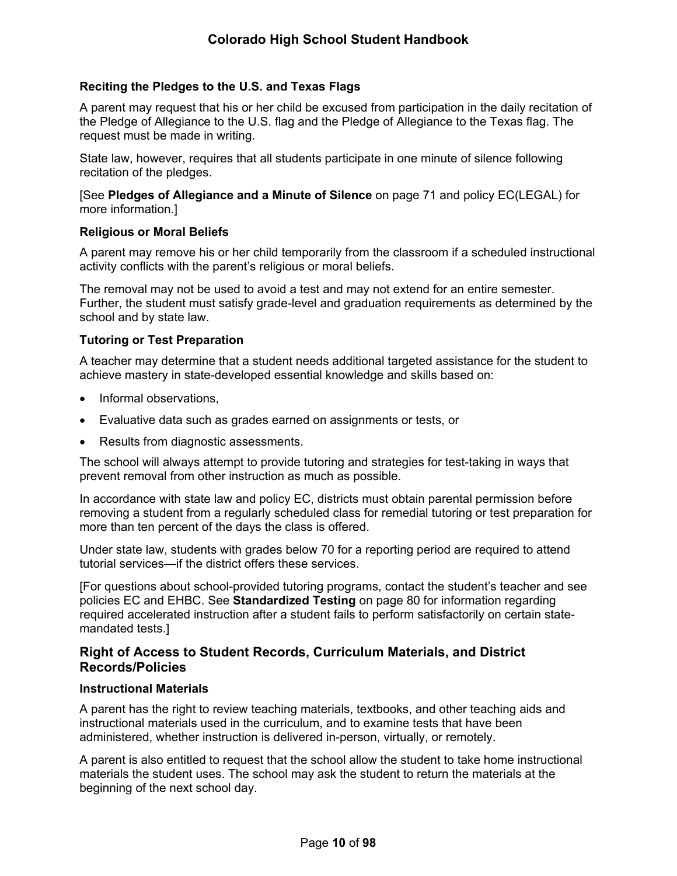## <span id="page-15-0"></span>**Reciting the Pledges to the U.S. and Texas Flags**

A parent may request that his or her child be excused from participation in the daily recitation of the Pledge of Allegiance to the U.S. flag and the Pledge of Allegiance to the Texas flag. The request must be made in writing.

State law, however, requires that all students participate in one minute of silence following recitation of the pledges.

[See **Pledges of Allegiance and a Minute of Silence** on page [71](#page-76-1) and policy EC(LEGAL) for more information.]

#### <span id="page-15-1"></span>**Religious or Moral Beliefs**

A parent may remove his or her child temporarily from the classroom if a scheduled instructional activity conflicts with the parent's religious or moral beliefs.

The removal may not be used to avoid a test and may not extend for an entire semester. Further, the student must satisfy grade-level and graduation requirements as determined by the school and by state law.

#### <span id="page-15-2"></span>**Tutoring or Test Preparation**

A teacher may determine that a student needs additional targeted assistance for the student to achieve mastery in state-developed essential knowledge and skills based on:

- Informal observations.
- Evaluative data such as grades earned on assignments or tests, or
- Results from diagnostic assessments.

The school will always attempt to provide tutoring and strategies for test-taking in ways that prevent removal from other instruction as much as possible.

In accordance with state law and policy EC, districts must obtain parental permission before removing a student from a regularly scheduled class for remedial tutoring or test preparation for more than ten percent of the days the class is offered.

Under state law, students with grades below 70 for a reporting period are required to attend tutorial services—if the district offers these services.

[For questions about school-provided tutoring programs, contact the student's teacher and see policies EC and EHBC. See **Standardized Testing** on page [80](#page-84-0) for information regarding required accelerated instruction after a student fails to perform satisfactorily on certain statemandated tests.]

## <span id="page-15-3"></span>**Right of Access to Student Records, Curriculum Materials, and District Records/Policies**

## <span id="page-15-4"></span>**Instructional Materials**

A parent has the right to review teaching materials, textbooks, and other teaching aids and instructional materials used in the curriculum, and to examine tests that have been administered, whether instruction is delivered in-person, virtually, or remotely.

A parent is also entitled to request that the school allow the student to take home instructional materials the student uses. The school may ask the student to return the materials at the beginning of the next school day.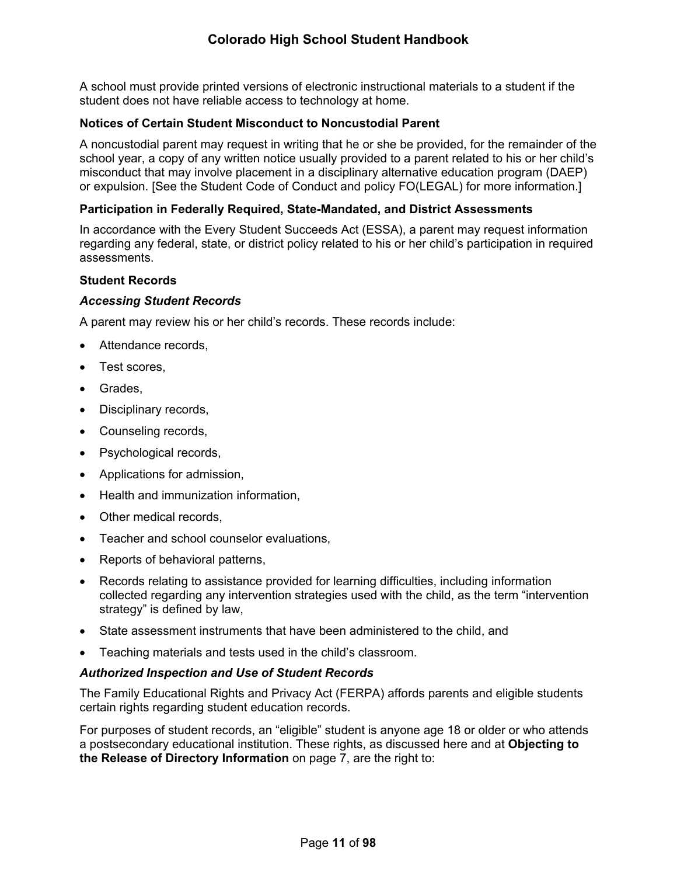A school must provide printed versions of electronic instructional materials to a student if the student does not have reliable access to technology at home.

#### <span id="page-16-0"></span>**Notices of Certain Student Misconduct to Noncustodial Parent**

A noncustodial parent may request in writing that he or she be provided, for the remainder of the school year, a copy of any written notice usually provided to a parent related to his or her child's misconduct that may involve placement in a disciplinary alternative education program (DAEP) or expulsion. [See the Student Code of Conduct and policy FO(LEGAL) for more information.]

#### <span id="page-16-1"></span>**Participation in Federally Required, State-Mandated, and District Assessments**

In accordance with the Every Student Succeeds Act (ESSA), a parent may request information regarding any federal, state, or district policy related to his or her child's participation in required assessments.

#### <span id="page-16-2"></span>**Student Records**

#### *Accessing Student Records*

A parent may review his or her child's records. These records include:

- Attendance records,
- Test scores.
- Grades,
- Disciplinary records,
- Counseling records,
- Psychological records,
- Applications for admission,
- Health and immunization information,
- Other medical records,
- Teacher and school counselor evaluations,
- Reports of behavioral patterns,
- Records relating to assistance provided for learning difficulties, including information collected regarding any intervention strategies used with the child, as the term "intervention strategy" is defined by law,
- State assessment instruments that have been administered to the child, and
- Teaching materials and tests used in the child's classroom.

#### <span id="page-16-3"></span>*Authorized Inspection and Use of Student Records*

The Family Educational Rights and Privacy Act (FERPA) affords parents and eligible students certain rights regarding student education records.

For purposes of student records, an "eligible" student is anyone age 18 or older or who attends a postsecondary educational institution. These rights, as discussed here and at **Objecting to the Release of Directory Information** on page [7](#page-12-0), are the right to: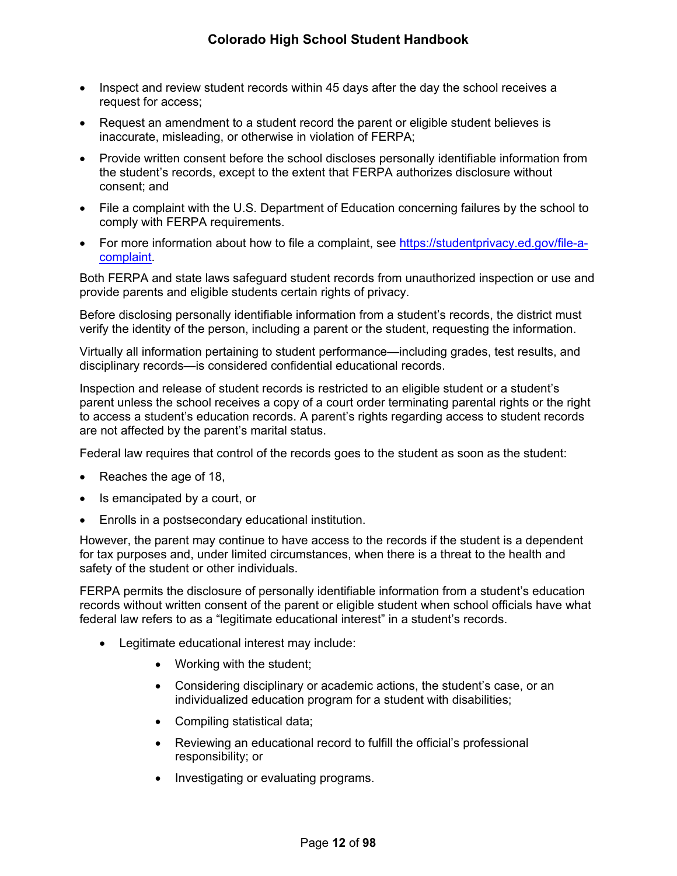- Inspect and review student records within 45 days after the day the school receives a request for access;
- Request an amendment to a student record the parent or eligible student believes is inaccurate, misleading, or otherwise in violation of FERPA;
- Provide written consent before the school discloses personally identifiable information from the student's records, except to the extent that FERPA authorizes disclosure without consent; and
- File a complaint with the U.S. Department of Education concerning failures by the school to comply with FERPA requirements.
- For more information about how to file a complaint, see [https://studentprivacy.ed.gov/file-a](https://studentprivacy.ed.gov/file-a-complaint)[complaint](https://studentprivacy.ed.gov/file-a-complaint).

Both FERPA and state laws safeguard student records from unauthorized inspection or use and provide parents and eligible students certain rights of privacy.

Before disclosing personally identifiable information from a student's records, the district must verify the identity of the person, including a parent or the student, requesting the information.

Virtually all information pertaining to student performance—including grades, test results, and disciplinary records—is considered confidential educational records.

Inspection and release of student records is restricted to an eligible student or a student's parent unless the school receives a copy of a court order terminating parental rights or the right to access a student's education records. A parent's rights regarding access to student records are not affected by the parent's marital status.

Federal law requires that control of the records goes to the student as soon as the student:

- Reaches the age of 18,
- Is emancipated by a court, or
- Enrolls in a postsecondary educational institution.

However, the parent may continue to have access to the records if the student is a dependent for tax purposes and, under limited circumstances, when there is a threat to the health and safety of the student or other individuals.

FERPA permits the disclosure of personally identifiable information from a student's education records without written consent of the parent or eligible student when school officials have what federal law refers to as a "legitimate educational interest" in a student's records.

- Legitimate educational interest may include:
	- Working with the student;
	- Considering disciplinary or academic actions, the student's case, or an individualized education program for a student with disabilities;
	- Compiling statistical data;
	- Reviewing an educational record to fulfill the official's professional responsibility; or
	- Investigating or evaluating programs.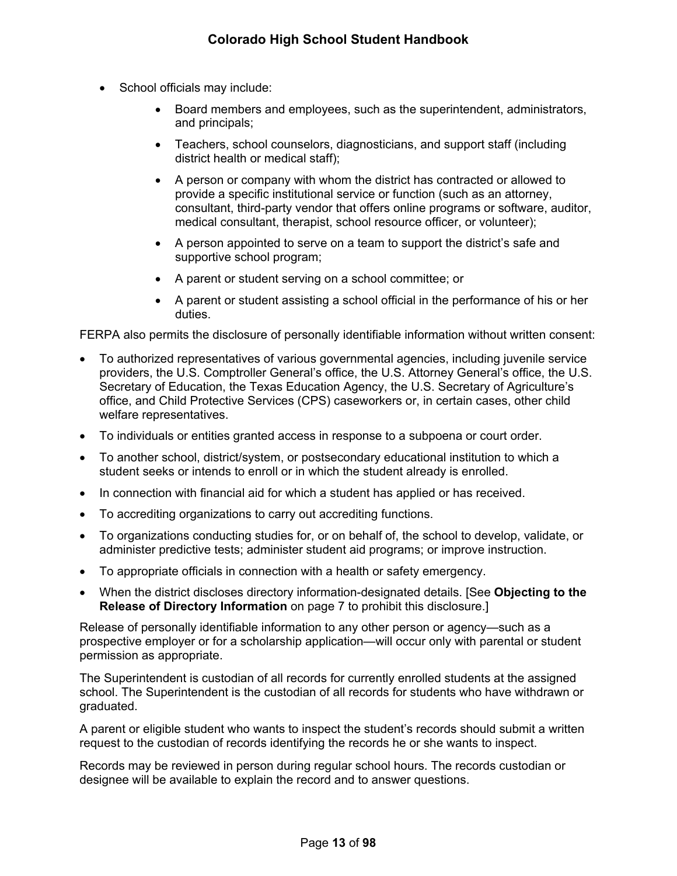- School officials may include:
	- Board members and employees, such as the superintendent, administrators, and principals;
	- Teachers, school counselors, diagnosticians, and support staff (including district health or medical staff);
	- A person or company with whom the district has contracted or allowed to provide a specific institutional service or function (such as an attorney, consultant, third-party vendor that offers online programs or software, auditor, medical consultant, therapist, school resource officer, or volunteer);
	- A person appointed to serve on a team to support the district's safe and supportive school program;
	- A parent or student serving on a school committee; or
	- A parent or student assisting a school official in the performance of his or her duties.

FERPA also permits the disclosure of personally identifiable information without written consent:

- To authorized representatives of various governmental agencies, including juvenile service providers, the U.S. Comptroller General's office, the U.S. Attorney General's office, the U.S. Secretary of Education, the Texas Education Agency, the U.S. Secretary of Agriculture's office, and Child Protective Services (CPS) caseworkers or, in certain cases, other child welfare representatives.
- To individuals or entities granted access in response to a subpoena or court order.
- To another school, district/system, or postsecondary educational institution to which a student seeks or intends to enroll or in which the student already is enrolled.
- In connection with financial aid for which a student has applied or has received.
- To accrediting organizations to carry out accrediting functions.
- To organizations conducting studies for, or on behalf of, the school to develop, validate, or administer predictive tests; administer student aid programs; or improve instruction.
- To appropriate officials in connection with a health or safety emergency.
- When the district discloses directory information-designated details. [See **Objecting to the Release of Directory Information** on page [7](#page-12-0) to prohibit this disclosure.]

Release of personally identifiable information to any other person or agency—such as a prospective employer or for a scholarship application—will occur only with parental or student permission as appropriate.

The Superintendent is custodian of all records for currently enrolled students at the assigned school. The Superintendent is the custodian of all records for students who have withdrawn or graduated.

A parent or eligible student who wants to inspect the student's records should submit a written request to the custodian of records identifying the records he or she wants to inspect.

Records may be reviewed in person during regular school hours. The records custodian or designee will be available to explain the record and to answer questions.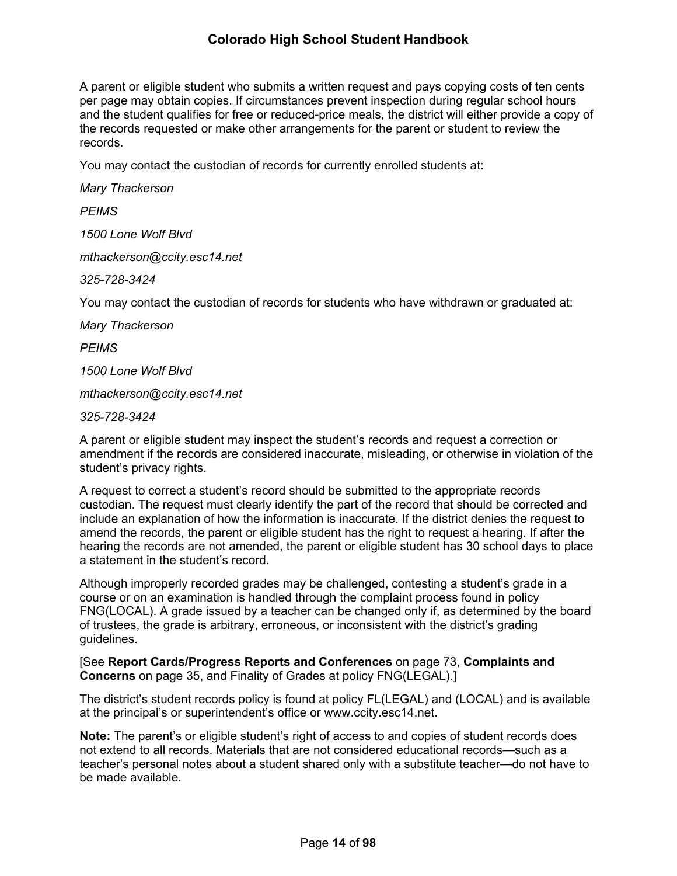A parent or eligible student who submits a written request and pays copying costs of ten cents per page may obtain copies. If circumstances prevent inspection during regular school hours and the student qualifies for free or reduced-price meals, the district will either provide a copy of the records requested or make other arrangements for the parent or student to review the records.

You may contact the custodian of records for currently enrolled students at:

*Mary Thackerson*

*PEIMS*

*1500 Lone Wolf Blvd*

*mthackerson@ccity.esc14.net*

*325-728-3424*

You may contact the custodian of records for students who have withdrawn or graduated at:

*Mary Thackerson*

*PEIMS*

*1500 Lone Wolf Blvd*

*mthackerson@ccity.esc14.net*

*325-728-3424*

A parent or eligible student may inspect the student's records and request a correction or amendment if the records are considered inaccurate, misleading, or otherwise in violation of the student's privacy rights.

A request to correct a student's record should be submitted to the appropriate records custodian. The request must clearly identify the part of the record that should be corrected and include an explanation of how the information is inaccurate. If the district denies the request to amend the records, the parent or eligible student has the right to request a hearing. If after the hearing the records are not amended, the parent or eligible student has 30 school days to place a statement in the student's record.

Although improperly recorded grades may be challenged, contesting a student's grade in a course or on an examination is handled through the complaint process found in policy FNG(LOCAL). A grade issued by a teacher can be changed only if, as determined by the board of trustees, the grade is arbitrary, erroneous, or inconsistent with the district's grading guidelines.

[See **Report Cards/Progress Reports and Conferences** on page [73](#page-77-4), **Complaints and Concerns** on page [35,](#page-39-4) and Finality of Grades at policy FNG(LEGAL).]

The district's student records policy is found at policy FL(LEGAL) and (LOCAL) and is available at the principal's or superintendent's office or www.ccity.esc14.net.

**Note:** The parent's or eligible student's right of access to and copies of student records does not extend to all records. Materials that are not considered educational records—such as a teacher's personal notes about a student shared only with a substitute teacher—do not have to be made available.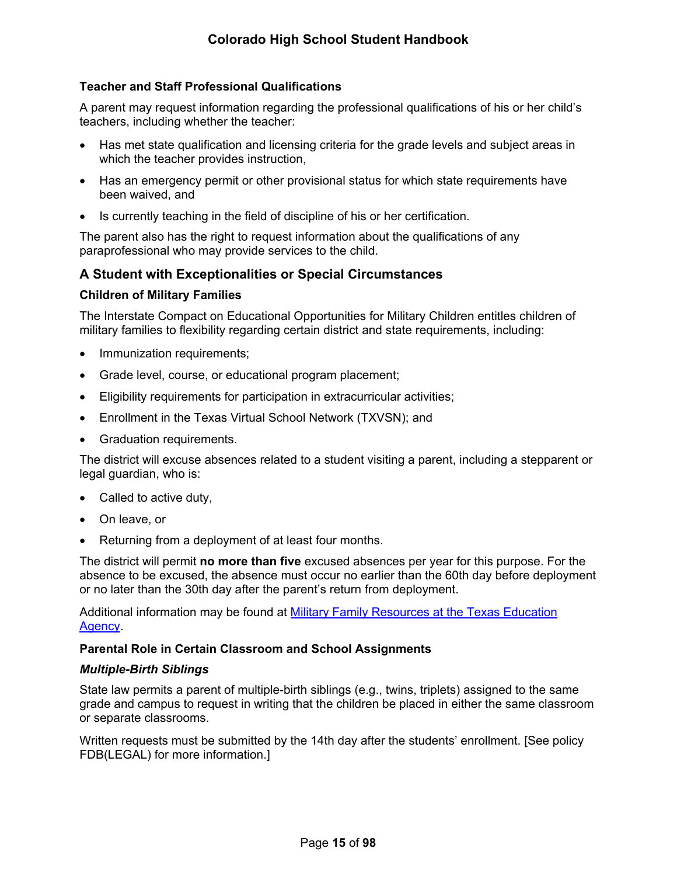## <span id="page-20-0"></span>**Teacher and Staff Professional Qualifications**

A parent may request information regarding the professional qualifications of his or her child's teachers, including whether the teacher:

- Has met state qualification and licensing criteria for the grade levels and subject areas in which the teacher provides instruction,
- Has an emergency permit or other provisional status for which state requirements have been waived, and
- Is currently teaching in the field of discipline of his or her certification.

The parent also has the right to request information about the qualifications of any paraprofessional who may provide services to the child.

## <span id="page-20-1"></span>**A Student with Exceptionalities or Special Circumstances**

#### <span id="page-20-2"></span>**Children of Military Families**

The Interstate Compact on Educational Opportunities for Military Children entitles children of military families to flexibility regarding certain district and state requirements, including:

- Immunization requirements;
- Grade level, course, or educational program placement;
- Eligibility requirements for participation in extracurricular activities;
- Enrollment in the Texas Virtual School Network (TXVSN); and
- Graduation requirements.

The district will excuse absences related to a student visiting a parent, including a stepparent or legal guardian, who is:

- Called to active duty,
- On leave, or
- Returning from a deployment of at least four months.

The district will permit **no more than five** excused absences per year for this purpose. For the absence to be excused, the absence must occur no earlier than the 60th day before deployment or no later than the 30th day after the parent's return from deployment.

Additional information may be found at [Military Family Resources at the Texas Education](http://tea.texas.gov/index2.aspx?id=7995)  [Agency.](http://tea.texas.gov/index2.aspx?id=7995)

#### <span id="page-20-3"></span>**Parental Role in Certain Classroom and School Assignments**

#### *Multiple-Birth Siblings*

State law permits a parent of multiple-birth siblings (e.g., twins, triplets) assigned to the same grade and campus to request in writing that the children be placed in either the same classroom or separate classrooms.

Written requests must be submitted by the 14th day after the students' enrollment. [See policy FDB(LEGAL) for more information.]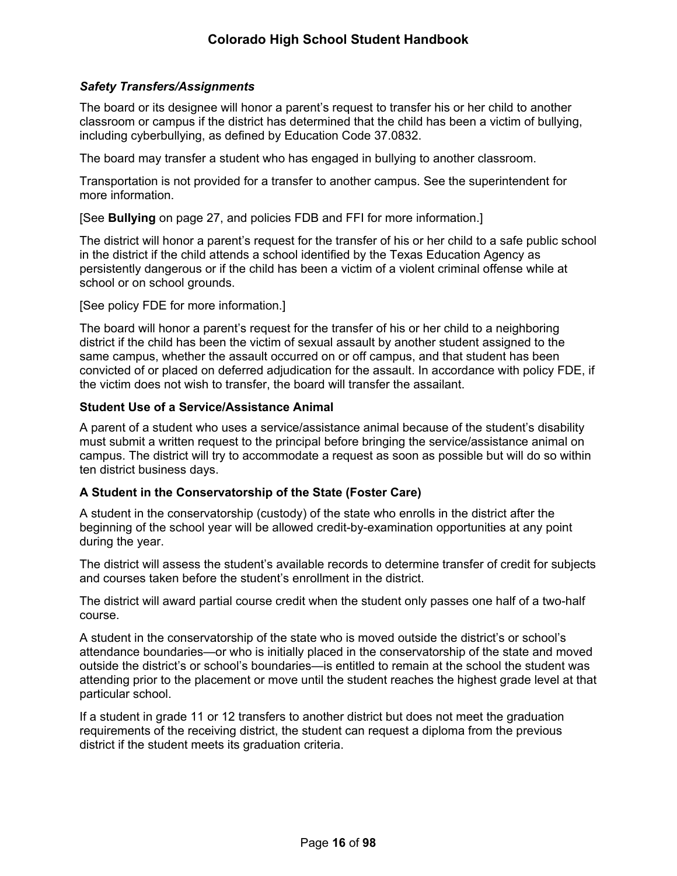## <span id="page-21-2"></span>*Safety Transfers/Assignments*

The board or its designee will honor a parent's request to transfer his or her child to another classroom or campus if the district has determined that the child has been a victim of bullying, including cyberbullying, as defined by Education Code 37.0832.

The board may transfer a student who has engaged in bullying to another classroom.

Transportation is not provided for a transfer to another campus. See the superintendent for more information.

[See **Bullying** on page [27](#page-31-2), and policies FDB and FFI for more information.]

The district will honor a parent's request for the transfer of his or her child to a safe public school in the district if the child attends a school identified by the Texas Education Agency as persistently dangerous or if the child has been a victim of a violent criminal offense while at school or on school grounds.

[See policy FDE for more information.]

The board will honor a parent's request for the transfer of his or her child to a neighboring district if the child has been the victim of sexual assault by another student assigned to the same campus, whether the assault occurred on or off campus, and that student has been convicted of or placed on deferred adjudication for the assault. In accordance with policy FDE, if the victim does not wish to transfer, the board will transfer the assailant.

## <span id="page-21-0"></span>**Student Use of a Service/Assistance Animal**

A parent of a student who uses a service/assistance animal because of the student's disability must submit a written request to the principal before bringing the service/assistance animal on campus. The district will try to accommodate a request as soon as possible but will do so within ten district business days.

## <span id="page-21-1"></span>**A Student in the Conservatorship of the State (Foster Care)**

A student in the conservatorship (custody) of the state who enrolls in the district after the beginning of the school year will be allowed credit-by-examination opportunities at any point during the year.

The district will assess the student's available records to determine transfer of credit for subjects and courses taken before the student's enrollment in the district.

The district will award partial course credit when the student only passes one half of a two-half course.

A student in the conservatorship of the state who is moved outside the district's or school's attendance boundaries—or who is initially placed in the conservatorship of the state and moved outside the district's or school's boundaries—is entitled to remain at the school the student was attending prior to the placement or move until the student reaches the highest grade level at that particular school.

If a student in grade 11 or 12 transfers to another district but does not meet the graduation requirements of the receiving district, the student can request a diploma from the previous district if the student meets its graduation criteria.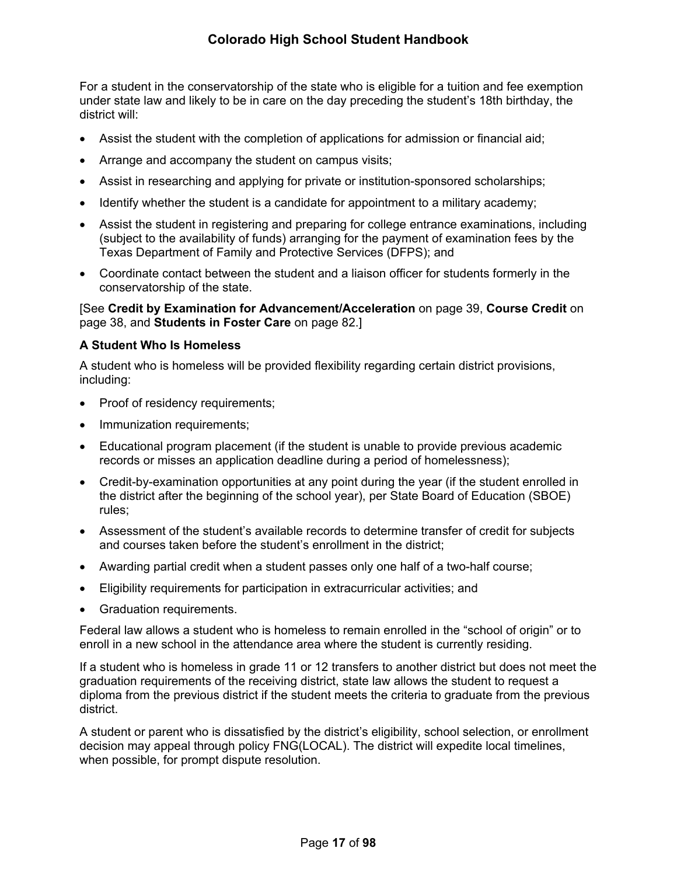For a student in the conservatorship of the state who is eligible for a tuition and fee exemption under state law and likely to be in care on the day preceding the student's 18th birthday, the district will:

- Assist the student with the completion of applications for admission or financial aid;
- Arrange and accompany the student on campus visits;
- Assist in researching and applying for private or institution-sponsored scholarships;
- Identify whether the student is a candidate for appointment to a military academy;
- Assist the student in registering and preparing for college entrance examinations, including (subject to the availability of funds) arranging for the payment of examination fees by the Texas Department of Family and Protective Services (DFPS); and
- Coordinate contact between the student and a liaison officer for students formerly in the conservatorship of the state.

[See **Credit by Examination for Advancement/Acceleration** on page [39,](#page-43-2) **Course Credit** on page [38,](#page-43-0) and **Students in Foster Care** on page [82](#page-85-0).]

#### <span id="page-22-0"></span>**A Student Who Is Homeless**

A student who is homeless will be provided flexibility regarding certain district provisions, including:

- Proof of residency requirements;
- Immunization requirements;
- Educational program placement (if the student is unable to provide previous academic records or misses an application deadline during a period of homelessness);
- Credit-by-examination opportunities at any point during the year (if the student enrolled in the district after the beginning of the school year), per State Board of Education (SBOE) rules;
- Assessment of the student's available records to determine transfer of credit for subjects and courses taken before the student's enrollment in the district;
- Awarding partial credit when a student passes only one half of a two-half course;
- Eligibility requirements for participation in extracurricular activities; and
- Graduation requirements.

Federal law allows a student who is homeless to remain enrolled in the "school of origin" or to enroll in a new school in the attendance area where the student is currently residing.

If a student who is homeless in grade 11 or 12 transfers to another district but does not meet the graduation requirements of the receiving district, state law allows the student to request a diploma from the previous district if the student meets the criteria to graduate from the previous district.

A student or parent who is dissatisfied by the district's eligibility, school selection, or enrollment decision may appeal through policy FNG(LOCAL). The district will expedite local timelines, when possible, for prompt dispute resolution.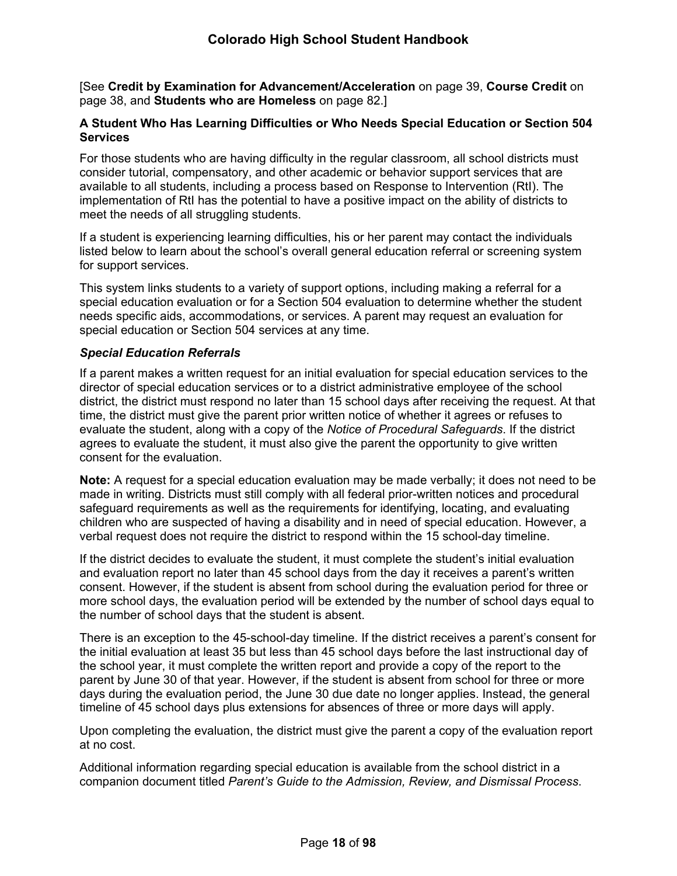[See **Credit by Examination for Advancement/Acceleration** on page [39,](#page-43-2) **Course Credit** on page [38,](#page-43-0) and **Students who are Homeless** on page [82](#page-86-0).]

### <span id="page-23-0"></span>**A Student Who Has Learning Difficulties or Who Needs Special Education or Section 504 Services**

For those students who are having difficulty in the regular classroom, all school districts must consider tutorial, compensatory, and other academic or behavior support services that are available to all students, including a process based on Response to Intervention (RtI). The implementation of RtI has the potential to have a positive impact on the ability of districts to meet the needs of all struggling students.

If a student is experiencing learning difficulties, his or her parent may contact the individuals listed below to learn about the school's overall general education referral or screening system for support services.

This system links students to a variety of support options, including making a referral for a special education evaluation or for a Section 504 evaluation to determine whether the student needs specific aids, accommodations, or services. A parent may request an evaluation for special education or Section 504 services at any time.

## *Special Education Referrals*

If a parent makes a written request for an initial evaluation for special education services to the director of special education services or to a district administrative employee of the school district, the district must respond no later than 15 school days after receiving the request. At that time, the district must give the parent prior written notice of whether it agrees or refuses to evaluate the student, along with a copy of the *Notice of Procedural Safeguards*. If the district agrees to evaluate the student, it must also give the parent the opportunity to give written consent for the evaluation.

**Note:** A request for a special education evaluation may be made verbally; it does not need to be made in writing. Districts must still comply with all federal prior-written notices and procedural safeguard requirements as well as the requirements for identifying, locating, and evaluating children who are suspected of having a disability and in need of special education. However, a verbal request does not require the district to respond within the 15 school-day timeline.

If the district decides to evaluate the student, it must complete the student's initial evaluation and evaluation report no later than 45 school days from the day it receives a parent's written consent. However, if the student is absent from school during the evaluation period for three or more school days, the evaluation period will be extended by the number of school days equal to the number of school days that the student is absent.

There is an exception to the 45-school-day timeline. If the district receives a parent's consent for the initial evaluation at least 35 but less than 45 school days before the last instructional day of the school year, it must complete the written report and provide a copy of the report to the parent by June 30 of that year. However, if the student is absent from school for three or more days during the evaluation period, the June 30 due date no longer applies. Instead, the general timeline of 45 school days plus extensions for absences of three or more days will apply.

Upon completing the evaluation, the district must give the parent a copy of the evaluation report at no cost.

Additional information regarding special education is available from the school district in a companion document titled *Parent's Guide to the Admission, Review, and Dismissal Process*.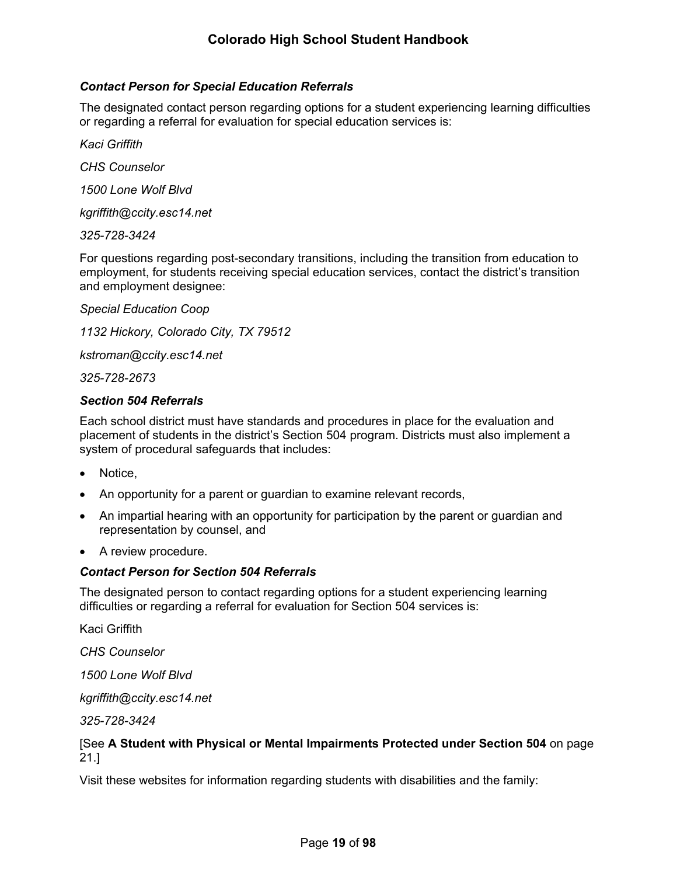## *Contact Person for Special Education Referrals*

The designated contact person regarding options for a student experiencing learning difficulties or regarding a referral for evaluation for special education services is:

*Kaci Griffith*

*CHS Counselor*

*1500 Lone Wolf Blvd*

*kgriffith@ccity.esc14.net*

*325-728-3424*

For questions regarding post-secondary transitions, including the transition from education to employment, for students receiving special education services, contact the district's transition and employment designee:

*Special Education Coop*

*1132 Hickory, Colorado City, TX 79512*

*kstroman@ccity.esc14.net*

*325-728-2673*

#### *Section 504 Referrals*

Each school district must have standards and procedures in place for the evaluation and placement of students in the district's Section 504 program. Districts must also implement a system of procedural safeguards that includes:

- Notice,
- An opportunity for a parent or guardian to examine relevant records,
- An impartial hearing with an opportunity for participation by the parent or guardian and representation by counsel, and
- A review procedure.

#### *Contact Person for Section 504 Referrals*

The designated person to contact regarding options for a student experiencing learning difficulties or regarding a referral for evaluation for Section 504 services is:

Kaci Griffith

*CHS Counselor*

*1500 Lone Wolf Blvd*

*kgriffith@ccity.esc14.net*

*325-728-3424*

## [See **A Student with Physical or Mental Impairments Protected under Section 504** on page [21](#page-25-2).]

Visit these websites for information regarding students with disabilities and the family: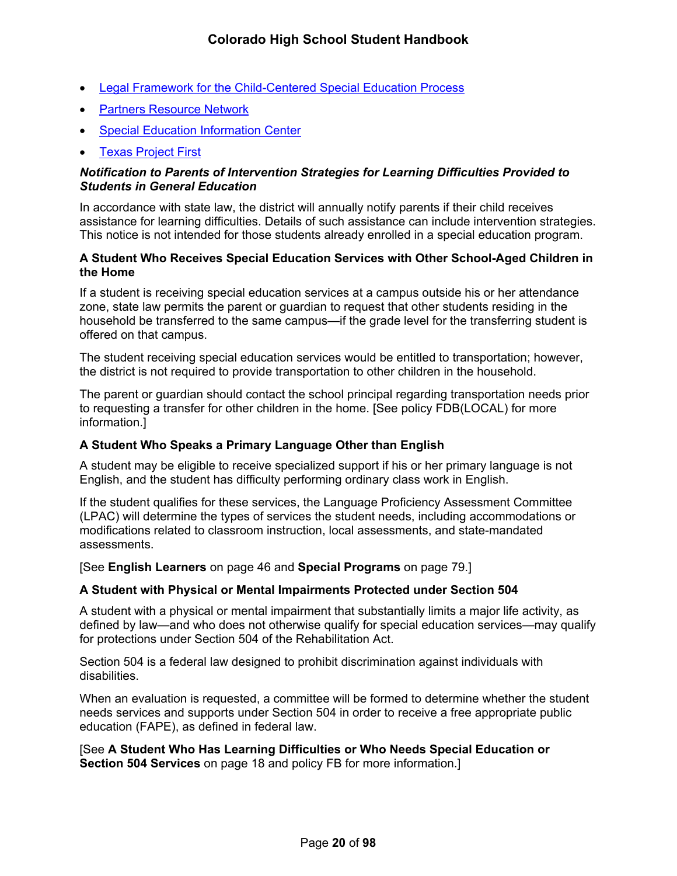- [Legal Framework for the Child-Centered Special Education Process](http://framework.esc18.net/display/Webforms/LandingPage.aspx)
- [Partners Resource Network](http://www.partnerstx.org/)
- [Special Education Information Center](http://www.spedtex.org/)
- [Texas Project First](http://www.texasprojectfirst.org/)

## *Notification to Parents of Intervention Strategies for Learning Difficulties Provided to Students in General Education*

In accordance with state law, the district will annually notify parents if their child receives assistance for learning difficulties. Details of such assistance can include intervention strategies. This notice is not intended for those students already enrolled in a special education program.

### <span id="page-25-0"></span>**A Student Who Receives Special Education Services with Other School-Aged Children in the Home**

If a student is receiving special education services at a campus outside his or her attendance zone, state law permits the parent or guardian to request that other students residing in the household be transferred to the same campus—if the grade level for the transferring student is offered on that campus.

The student receiving special education services would be entitled to transportation; however, the district is not required to provide transportation to other children in the household.

The parent or guardian should contact the school principal regarding transportation needs prior to requesting a transfer for other children in the home. [See policy FDB(LOCAL) for more information.]

## <span id="page-25-1"></span>**A Student Who Speaks a Primary Language Other than English**

A student may be eligible to receive specialized support if his or her primary language is not English, and the student has difficulty performing ordinary class work in English.

If the student qualifies for these services, the Language Proficiency Assessment Committee (LPAC) will determine the types of services the student needs, including accommodations or modifications related to classroom instruction, local assessments, and state-mandated assessments.

[See **English Learners** on page [46](#page-52-1) and **Special Programs** on page [79.](#page-83-5)]

## <span id="page-25-2"></span>**A Student with Physical or Mental Impairments Protected under Section 504**

A student with a physical or mental impairment that substantially limits a major life activity, as defined by law—and who does not otherwise qualify for special education services—may qualify for protections under Section 504 of the Rehabilitation Act.

Section 504 is a federal law designed to prohibit discrimination against individuals with disabilities.

When an evaluation is requested, a committee will be formed to determine whether the student needs services and supports under Section 504 in order to receive a free appropriate public education (FAPE), as defined in federal law.

[See **A Student Who Has Learning Difficulties or Who Needs Special Education or Section 504 Services** on page [18](#page-23-0) and policy FB for more information.]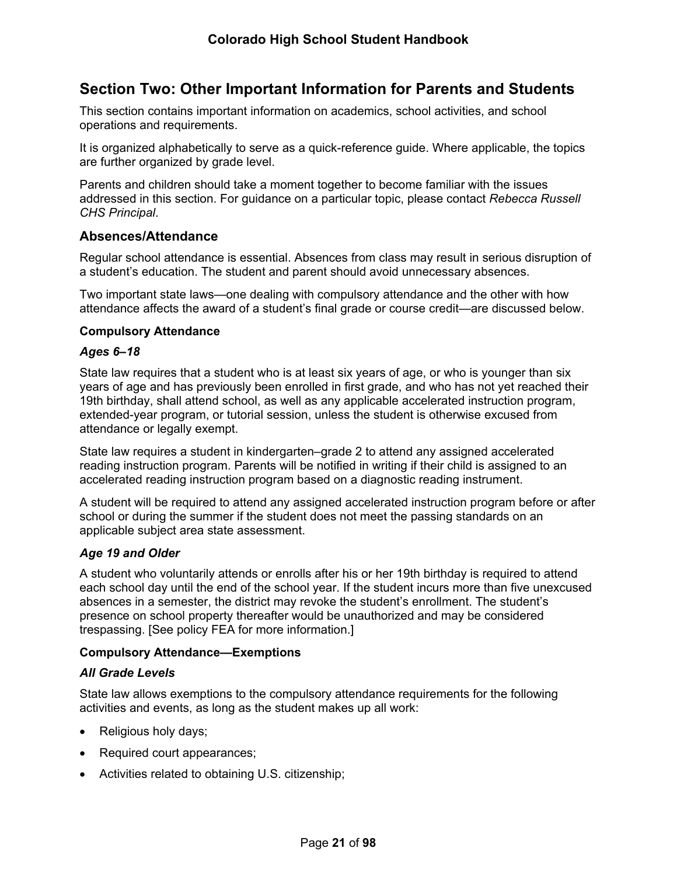# <span id="page-26-0"></span>**Section Two: Other Important Information for Parents and Students**

This section contains important information on academics, school activities, and school operations and requirements.

It is organized alphabetically to serve as a quick-reference guide. Where applicable, the topics are further organized by grade level.

Parents and children should take a moment together to become familiar with the issues addressed in this section. For guidance on a particular topic, please contact *Rebecca Russell CHS Principal*.

## <span id="page-26-1"></span>**Absences/Attendance**

Regular school attendance is essential. Absences from class may result in serious disruption of a student's education. The student and parent should avoid unnecessary absences.

Two important state laws—one dealing with compulsory attendance and the other with how attendance affects the award of a student's final grade or course credit—are discussed below.

#### <span id="page-26-2"></span>**Compulsory Attendance**

#### *Ages 6–18*

State law requires that a student who is at least six years of age, or who is younger than six years of age and has previously been enrolled in first grade, and who has not yet reached their 19th birthday, shall attend school, as well as any applicable accelerated instruction program, extended-year program, or tutorial session, unless the student is otherwise excused from attendance or legally exempt.

State law requires a student in kindergarten–grade 2 to attend any assigned accelerated reading instruction program. Parents will be notified in writing if their child is assigned to an accelerated reading instruction program based on a diagnostic reading instrument.

A student will be required to attend any assigned accelerated instruction program before or after school or during the summer if the student does not meet the passing standards on an applicable subject area state assessment.

## *Age 19 and Older*

A student who voluntarily attends or enrolls after his or her 19th birthday is required to attend each school day until the end of the school year. If the student incurs more than five unexcused absences in a semester, the district may revoke the student's enrollment. The student's presence on school property thereafter would be unauthorized and may be considered trespassing. [See policy FEA for more information.]

#### <span id="page-26-3"></span>**Compulsory Attendance—Exemptions**

#### *All Grade Levels*

State law allows exemptions to the compulsory attendance requirements for the following activities and events, as long as the student makes up all work:

- Religious holy days;
- Required court appearances;
- Activities related to obtaining U.S. citizenship;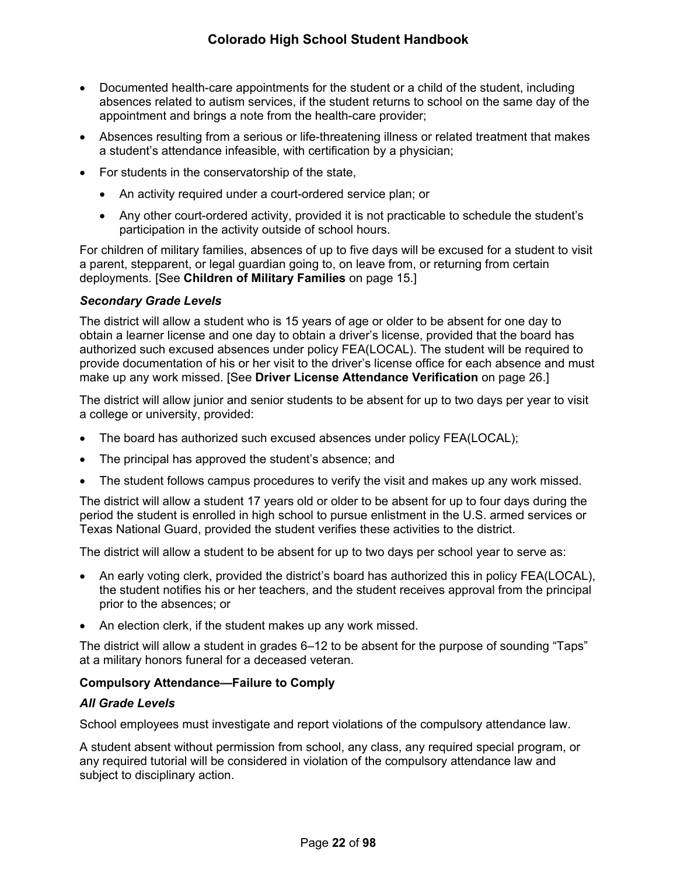- Documented health-care appointments for the student or a child of the student, including absences related to autism services, if the student returns to school on the same day of the appointment and brings a note from the health-care provider;
- Absences resulting from a serious or life-threatening illness or related treatment that makes a student's attendance infeasible, with certification by a physician;
- For students in the conservatorship of the state,
	- An activity required under a court-ordered service plan; or
	- Any other court-ordered activity, provided it is not practicable to schedule the student's participation in the activity outside of school hours.

For children of military families, absences of up to five days will be excused for a student to visit a parent, stepparent, or legal guardian going to, on leave from, or returning from certain deployments. [See **Children of Military Families** on page [15.](#page-20-2)]

#### *Secondary Grade Levels*

The district will allow a student who is 15 years of age or older to be absent for one day to obtain a learner license and one day to obtain a driver's license, provided that the board has authorized such excused absences under policy FEA(LOCAL). The student will be required to provide documentation of his or her visit to the driver's license office for each absence and must make up any work missed. [See **Driver License Attendance Verification** on page [26.](#page-30-1)]

The district will allow junior and senior students to be absent for up to two days per year to visit a college or university, provided:

- The board has authorized such excused absences under policy FEA(LOCAL);
- The principal has approved the student's absence; and
- The student follows campus procedures to verify the visit and makes up any work missed.

The district will allow a student 17 years old or older to be absent for up to four days during the period the student is enrolled in high school to pursue enlistment in the U.S. armed services or Texas National Guard, provided the student verifies these activities to the district.

The district will allow a student to be absent for up to two days per school year to serve as:

- An early voting clerk, provided the district's board has authorized this in policy FEA(LOCAL), the student notifies his or her teachers, and the student receives approval from the principal prior to the absences; or
- An election clerk, if the student makes up any work missed.

The district will allow a student in grades 6–12 to be absent for the purpose of sounding "Taps" at a military honors funeral for a deceased veteran.

#### <span id="page-27-0"></span>**Compulsory Attendance—Failure to Comply**

#### *All Grade Levels*

School employees must investigate and report violations of the compulsory attendance law.

A student absent without permission from school, any class, any required special program, or any required tutorial will be considered in violation of the compulsory attendance law and subject to disciplinary action.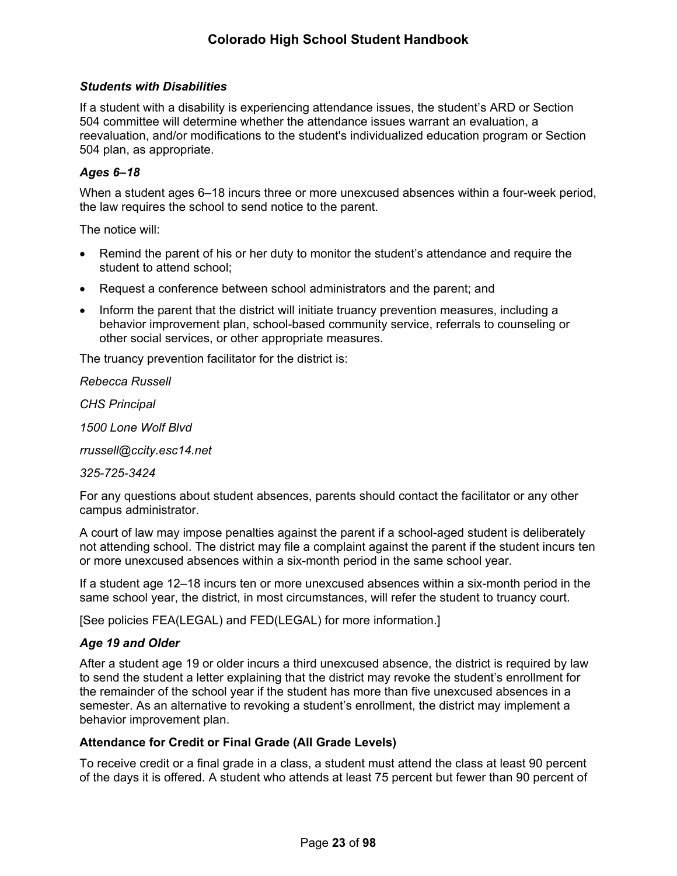#### *Students with Disabilities*

If a student with a disability is experiencing attendance issues, the student's ARD or Section 504 committee will determine whether the attendance issues warrant an evaluation, a reevaluation, and/or modifications to the student's individualized education program or Section 504 plan, as appropriate.

### *Ages 6–18*

When a student ages 6–18 incurs three or more unexcused absences within a four-week period, the law requires the school to send notice to the parent.

The notice will:

- Remind the parent of his or her duty to monitor the student's attendance and require the student to attend school;
- Request a conference between school administrators and the parent; and
- Inform the parent that the district will initiate truancy prevention measures, including a behavior improvement plan, school-based community service, referrals to counseling or other social services, or other appropriate measures.

The truancy prevention facilitator for the district is:

*Rebecca Russell*

*CHS Principal*

*1500 Lone Wolf Blvd*

*rrussell@ccity.esc14.net*

#### *325-725-3424*

For any questions about student absences, parents should contact the facilitator or any other campus administrator.

A court of law may impose penalties against the parent if a school-aged student is deliberately not attending school. The district may file a complaint against the parent if the student incurs ten or more unexcused absences within a six-month period in the same school year.

If a student age 12–18 incurs ten or more unexcused absences within a six-month period in the same school year, the district, in most circumstances, will refer the student to truancy court.

[See policies FEA(LEGAL) and FED(LEGAL) for more information.]

#### *Age 19 and Older*

After a student age 19 or older incurs a third unexcused absence, the district is required by law to send the student a letter explaining that the district may revoke the student's enrollment for the remainder of the school year if the student has more than five unexcused absences in a semester. As an alternative to revoking a student's enrollment, the district may implement a behavior improvement plan.

#### <span id="page-28-0"></span>**Attendance for Credit or Final Grade (All Grade Levels)**

To receive credit or a final grade in a class, a student must attend the class at least 90 percent of the days it is offered. A student who attends at least 75 percent but fewer than 90 percent of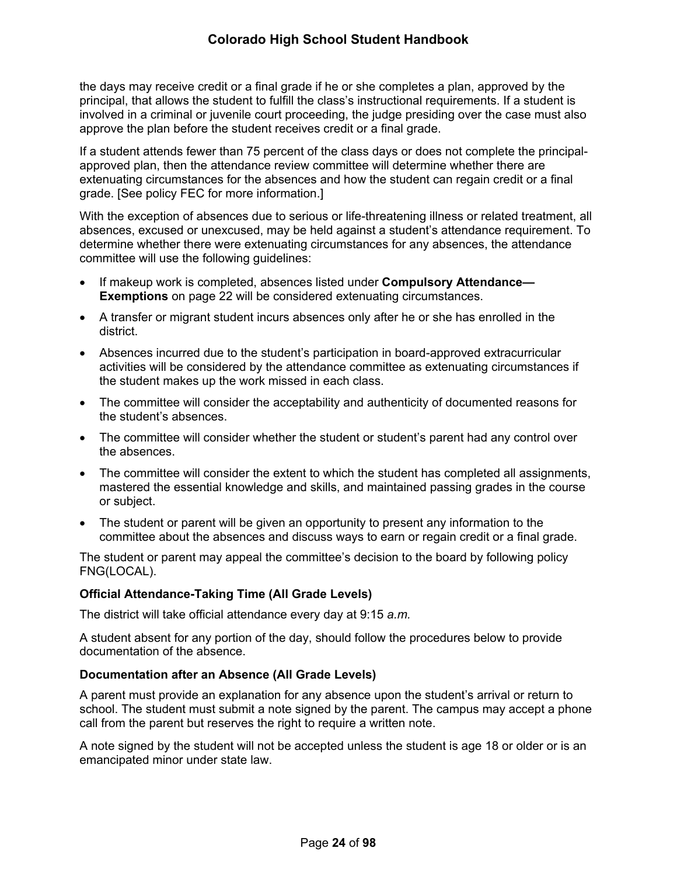the days may receive credit or a final grade if he or she completes a plan, approved by the principal, that allows the student to fulfill the class's instructional requirements. If a student is involved in a criminal or juvenile court proceeding, the judge presiding over the case must also approve the plan before the student receives credit or a final grade.

If a student attends fewer than 75 percent of the class days or does not complete the principalapproved plan, then the attendance review committee will determine whether there are extenuating circumstances for the absences and how the student can regain credit or a final grade. [See policy FEC for more information.]

With the exception of absences due to serious or life-threatening illness or related treatment, all absences, excused or unexcused, may be held against a student's attendance requirement. To determine whether there were extenuating circumstances for any absences, the attendance committee will use the following guidelines:

- If makeup work is completed, absences listed under **Compulsory Attendance— Exemptions** on page [22](#page-26-3) will be considered extenuating circumstances.
- A transfer or migrant student incurs absences only after he or she has enrolled in the district.
- Absences incurred due to the student's participation in board-approved extracurricular activities will be considered by the attendance committee as extenuating circumstances if the student makes up the work missed in each class.
- The committee will consider the acceptability and authenticity of documented reasons for the student's absences.
- The committee will consider whether the student or student's parent had any control over the absences.
- The committee will consider the extent to which the student has completed all assignments, mastered the essential knowledge and skills, and maintained passing grades in the course or subject.
- The student or parent will be given an opportunity to present any information to the committee about the absences and discuss ways to earn or regain credit or a final grade.

The student or parent may appeal the committee's decision to the board by following policy FNG(LOCAL).

## <span id="page-29-0"></span>**Official Attendance-Taking Time (All Grade Levels)**

The district will take official attendance every day at 9:15 *a.m.*

A student absent for any portion of the day, should follow the procedures below to provide documentation of the absence.

#### <span id="page-29-1"></span>**Documentation after an Absence (All Grade Levels)**

A parent must provide an explanation for any absence upon the student's arrival or return to school. The student must submit a note signed by the parent. The campus may accept a phone call from the parent but reserves the right to require a written note.

A note signed by the student will not be accepted unless the student is age 18 or older or is an emancipated minor under state law.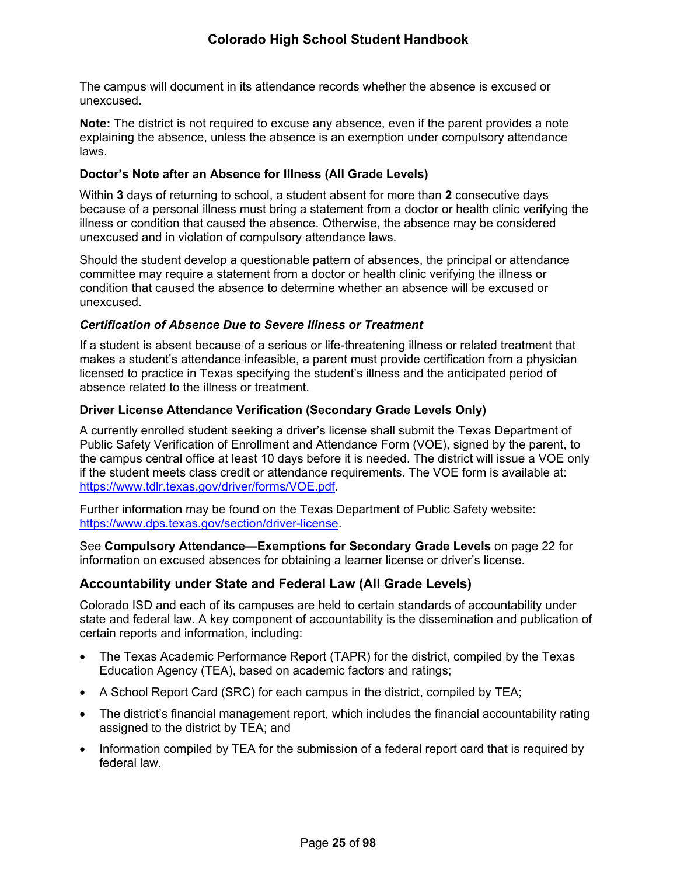The campus will document in its attendance records whether the absence is excused or unexcused.

**Note:** The district is not required to excuse any absence, even if the parent provides a note explaining the absence, unless the absence is an exemption under compulsory attendance laws.

### <span id="page-30-0"></span>**Doctor's Note after an Absence for Illness (All Grade Levels)**

Within **3** days of returning to school, a student absent for more than **2** consecutive days because of a personal illness must bring a statement from a doctor or health clinic verifying the illness or condition that caused the absence. Otherwise, the absence may be considered unexcused and in violation of compulsory attendance laws.

Should the student develop a questionable pattern of absences, the principal or attendance committee may require a statement from a doctor or health clinic verifying the illness or condition that caused the absence to determine whether an absence will be excused or unexcused.

#### *Certification of Absence Due to Severe Illness or Treatment*

If a student is absent because of a serious or life-threatening illness or related treatment that makes a student's attendance infeasible, a parent must provide certification from a physician licensed to practice in Texas specifying the student's illness and the anticipated period of absence related to the illness or treatment.

#### <span id="page-30-1"></span>**Driver License Attendance Verification (Secondary Grade Levels Only)**

A currently enrolled student seeking a driver's license shall submit the Texas Department of Public Safety Verification of Enrollment and Attendance Form (VOE), signed by the parent, to the campus central office at least 10 days before it is needed. The district will issue a VOE only if the student meets class credit or attendance requirements. The VOE form is available at: <https://www.tdlr.texas.gov/driver/forms/VOE.pdf>.

Further information may be found on the Texas Department of Public Safety website: <https://www.dps.texas.gov/section/driver-license>.

See **Compulsory Attendance—Exemptions for Secondary Grade Levels** on page [22](#page-26-3) for information on excused absences for obtaining a learner license or driver's license.

## <span id="page-30-2"></span>**Accountability under State and Federal Law (All Grade Levels)**

Colorado ISD and each of its campuses are held to certain standards of accountability under state and federal law. A key component of accountability is the dissemination and publication of certain reports and information, including:

- The Texas Academic Performance Report (TAPR) for the district, compiled by the Texas Education Agency (TEA), based on academic factors and ratings;
- A School Report Card (SRC) for each campus in the district, compiled by TEA;
- The district's financial management report, which includes the financial accountability rating assigned to the district by TEA; and
- Information compiled by TEA for the submission of a federal report card that is required by federal law.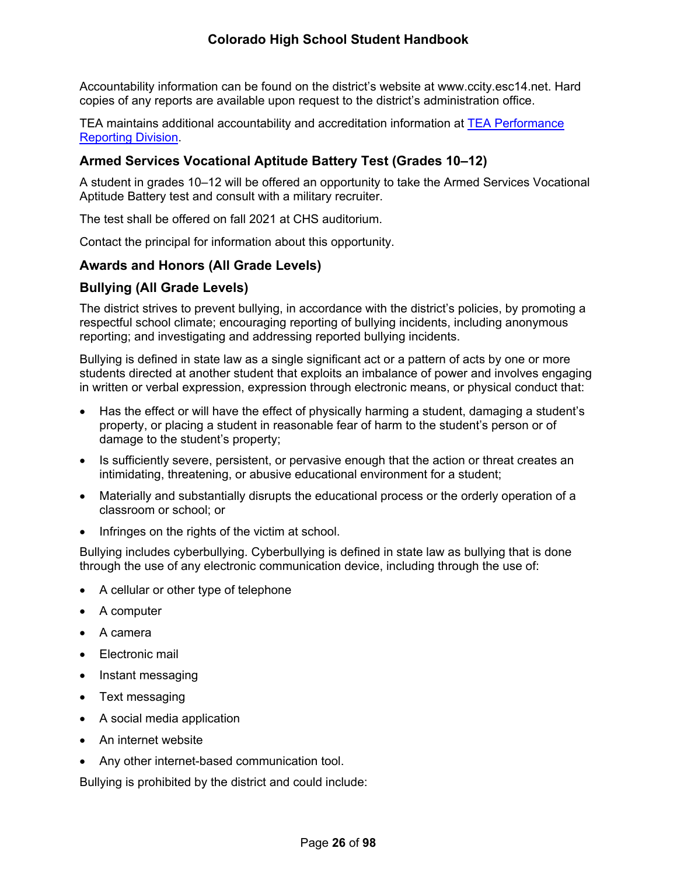Accountability information can be found on the district's website at www.ccity.esc14.net. Hard copies of any reports are available upon request to the district's administration office.

TEA maintains additional accountability and accreditation information at [TEA Performance](http://www.tea.texas.gov/perfreport/)  [Reporting Division](http://www.tea.texas.gov/perfreport/).

## <span id="page-31-0"></span>**Armed Services Vocational Aptitude Battery Test (Grades 10–12)**

A student in grades 10–12 will be offered an opportunity to take the Armed Services Vocational Aptitude Battery test and consult with a military recruiter.

The test shall be offered on fall 2021 at CHS auditorium.

Contact the principal for information about this opportunity.

## <span id="page-31-1"></span>**Awards and Honors (All Grade Levels)**

## <span id="page-31-2"></span>**Bullying (All Grade Levels)**

The district strives to prevent bullying, in accordance with the district's policies, by promoting a respectful school climate; encouraging reporting of bullying incidents, including anonymous reporting; and investigating and addressing reported bullying incidents.

Bullying is defined in state law as a single significant act or a pattern of acts by one or more students directed at another student that exploits an imbalance of power and involves engaging in written or verbal expression, expression through electronic means, or physical conduct that:

- Has the effect or will have the effect of physically harming a student, damaging a student's property, or placing a student in reasonable fear of harm to the student's person or of damage to the student's property;
- Is sufficiently severe, persistent, or pervasive enough that the action or threat creates an intimidating, threatening, or abusive educational environment for a student;
- Materially and substantially disrupts the educational process or the orderly operation of a classroom or school; or
- Infringes on the rights of the victim at school.

Bullying includes cyberbullying. Cyberbullying is defined in state law as bullying that is done through the use of any electronic communication device, including through the use of:

- A cellular or other type of telephone
- A computer
- A camera
- Electronic mail
- Instant messaging
- Text messaging
- A social media application
- An internet website
- Any other internet-based communication tool.

Bullying is prohibited by the district and could include: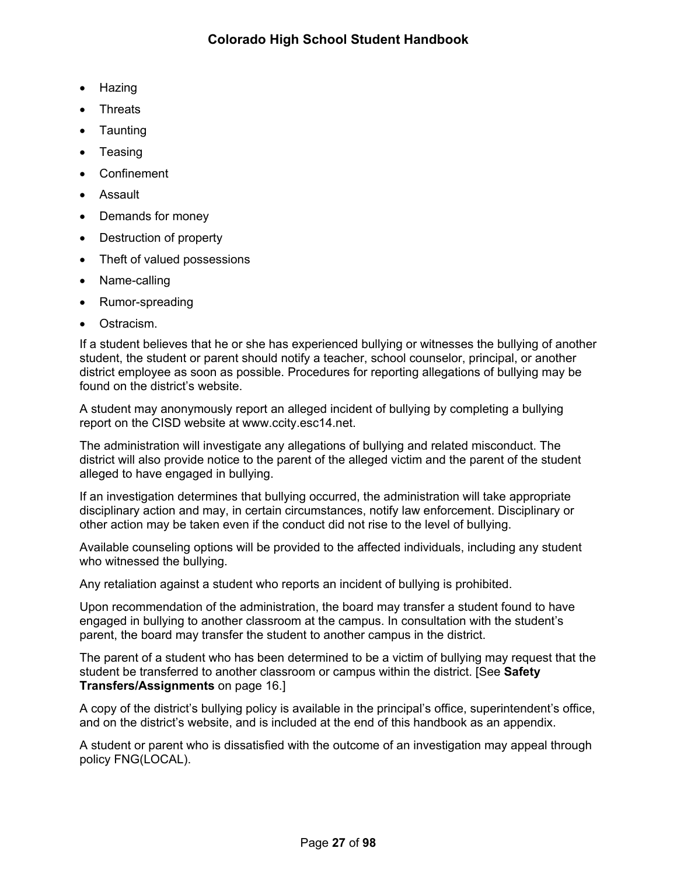- Hazing
- **Threats**
- Taunting
- **Teasing**
- Confinement
- Assault
- Demands for money
- Destruction of property
- Theft of valued possessions
- Name-calling
- Rumor-spreading
- Ostracism.

If a student believes that he or she has experienced bullying or witnesses the bullying of another student, the student or parent should notify a teacher, school counselor, principal, or another district employee as soon as possible. Procedures for reporting allegations of bullying may be found on the district's website.

A student may anonymously report an alleged incident of bullying by completing a bullying report on the CISD website at www.ccity.esc14.net.

The administration will investigate any allegations of bullying and related misconduct. The district will also provide notice to the parent of the alleged victim and the parent of the student alleged to have engaged in bullying.

If an investigation determines that bullying occurred, the administration will take appropriate disciplinary action and may, in certain circumstances, notify law enforcement. Disciplinary or other action may be taken even if the conduct did not rise to the level of bullying.

Available counseling options will be provided to the affected individuals, including any student who witnessed the bullying.

Any retaliation against a student who reports an incident of bullying is prohibited.

Upon recommendation of the administration, the board may transfer a student found to have engaged in bullying to another classroom at the campus. In consultation with the student's parent, the board may transfer the student to another campus in the district.

The parent of a student who has been determined to be a victim of bullying may request that the student be transferred to another classroom or campus within the district. [See **Safety Transfers/Assignments** on page [16](#page-21-2).]

A copy of the district's bullying policy is available in the principal's office, superintendent's office, and on the district's website, and is included at the end of this handbook as an appendix.

A student or parent who is dissatisfied with the outcome of an investigation may appeal through policy FNG(LOCAL).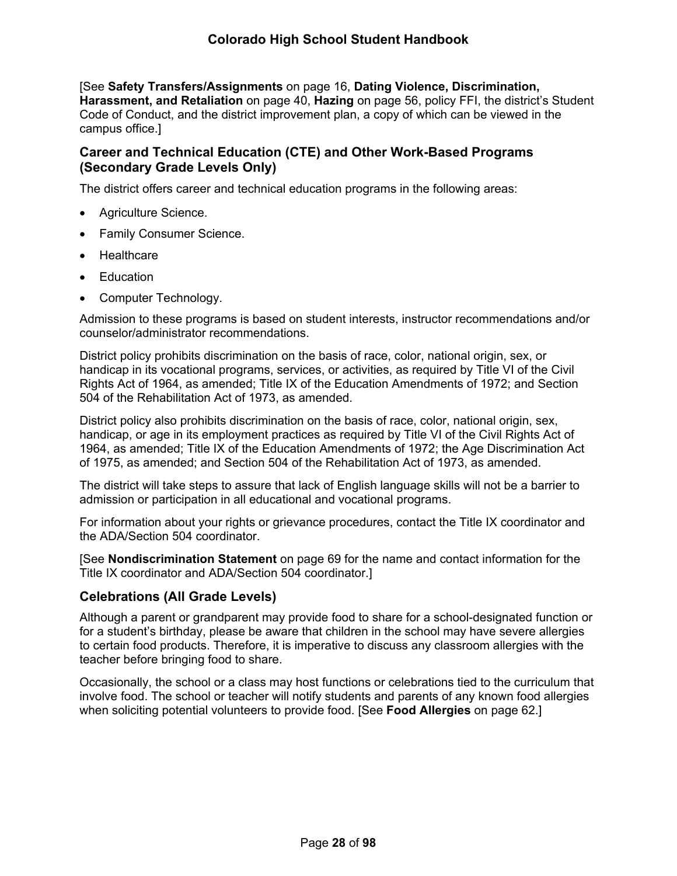[See **Safety Transfers/Assignments** on page [16](#page-21-2), **Dating Violence, Discrimination, Harassment, and Retaliation** on page [40](#page-44-0), **Hazing** on page [56](#page-61-4), policy FFI, the district's Student Code of Conduct, and the district improvement plan, a copy of which can be viewed in the campus office.]

## <span id="page-33-0"></span>**Career and Technical Education (CTE) and Other Work-Based Programs (Secondary Grade Levels Only)**

The district offers career and technical education programs in the following areas:

- Agriculture Science.
- Family Consumer Science.
- Healthcare
- **Education**
- Computer Technology.

Admission to these programs is based on student interests, instructor recommendations and/or counselor/administrator recommendations.

District policy prohibits discrimination on the basis of race, color, national origin, sex, or handicap in its vocational programs, services, or activities, as required by Title VI of the Civil Rights Act of 1964, as amended; Title IX of the Education Amendments of 1972; and Section 504 of the Rehabilitation Act of 1973, as amended.

District policy also prohibits discrimination on the basis of race, color, national origin, sex, handicap, or age in its employment practices as required by Title VI of the Civil Rights Act of 1964, as amended; Title IX of the Education Amendments of 1972; the Age Discrimination Act of 1975, as amended; and Section 504 of the Rehabilitation Act of 1973, as amended.

The district will take steps to assure that lack of English language skills will not be a barrier to admission or participation in all educational and vocational programs.

For information about your rights or grievance procedures, contact the Title IX coordinator and the ADA/Section 504 coordinator.

[See **Nondiscrimination Statement** on page [69](#page-73-2) for the name and contact information for the Title IX coordinator and ADA/Section 504 coordinator.]

## <span id="page-33-1"></span>**Celebrations (All Grade Levels)**

Although a parent or grandparent may provide food to share for a school-designated function or for a student's birthday, please be aware that children in the school may have severe allergies to certain food products. Therefore, it is imperative to discuss any classroom allergies with the teacher before bringing food to share.

Occasionally, the school or a class may host functions or celebrations tied to the curriculum that involve food. The school or teacher will notify students and parents of any known food allergies when soliciting potential volunteers to provide food. [See **Food Allergies** on page [62](#page-67-1).]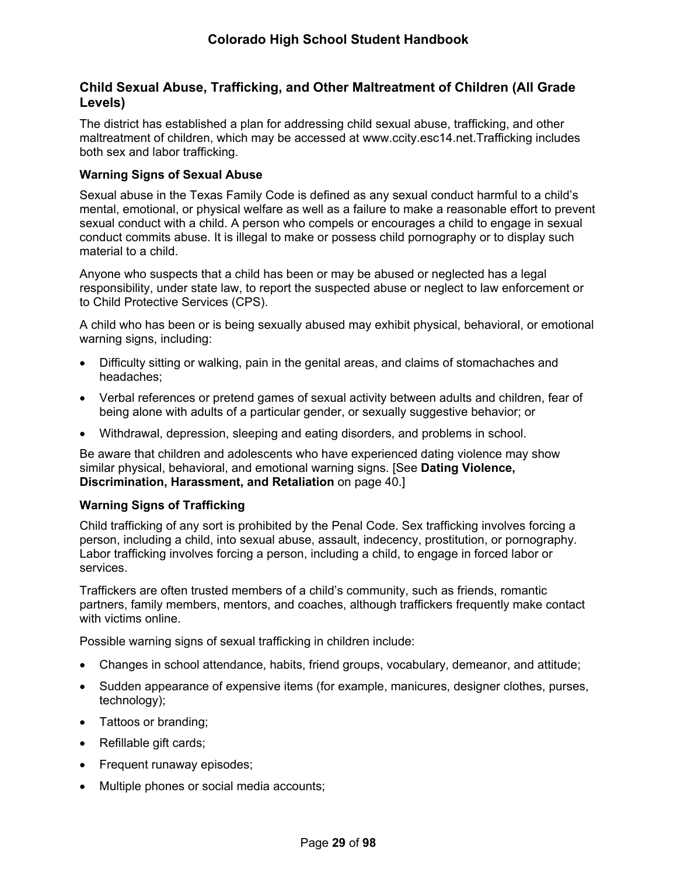## <span id="page-34-0"></span>**Child Sexual Abuse, Trafficking, and Other Maltreatment of Children (All Grade Levels)**

The district has established a plan for addressing child sexual abuse, trafficking, and other maltreatment of children, which may be accessed at www.ccity.esc14.net.Trafficking includes both sex and labor trafficking.

### <span id="page-34-1"></span>**Warning Signs of Sexual Abuse**

Sexual abuse in the Texas Family Code is defined as any sexual conduct harmful to a child's mental, emotional, or physical welfare as well as a failure to make a reasonable effort to prevent sexual conduct with a child. A person who compels or encourages a child to engage in sexual conduct commits abuse. It is illegal to make or possess child pornography or to display such material to a child.

Anyone who suspects that a child has been or may be abused or neglected has a legal responsibility, under state law, to report the suspected abuse or neglect to law enforcement or to Child Protective Services (CPS).

A child who has been or is being sexually abused may exhibit physical, behavioral, or emotional warning signs, including:

- Difficulty sitting or walking, pain in the genital areas, and claims of stomachaches and headaches;
- Verbal references or pretend games of sexual activity between adults and children, fear of being alone with adults of a particular gender, or sexually suggestive behavior; or
- Withdrawal, depression, sleeping and eating disorders, and problems in school.

Be aware that children and adolescents who have experienced dating violence may show similar physical, behavioral, and emotional warning signs. [See **Dating Violence, Discrimination, Harassment, and Retaliation** on page [40.](#page-44-0)]

## <span id="page-34-2"></span>**Warning Signs of Trafficking**

Child trafficking of any sort is prohibited by the Penal Code. Sex trafficking involves forcing a person, including a child, into sexual abuse, assault, indecency, prostitution, or pornography. Labor trafficking involves forcing a person, including a child, to engage in forced labor or services.

Traffickers are often trusted members of a child's community, such as friends, romantic partners, family members, mentors, and coaches, although traffickers frequently make contact with victims online.

Possible warning signs of sexual trafficking in children include:

- Changes in school attendance, habits, friend groups, vocabulary, demeanor, and attitude;
- Sudden appearance of expensive items (for example, manicures, designer clothes, purses, technology);
- Tattoos or branding;
- Refillable gift cards;
- Frequent runaway episodes;
- Multiple phones or social media accounts;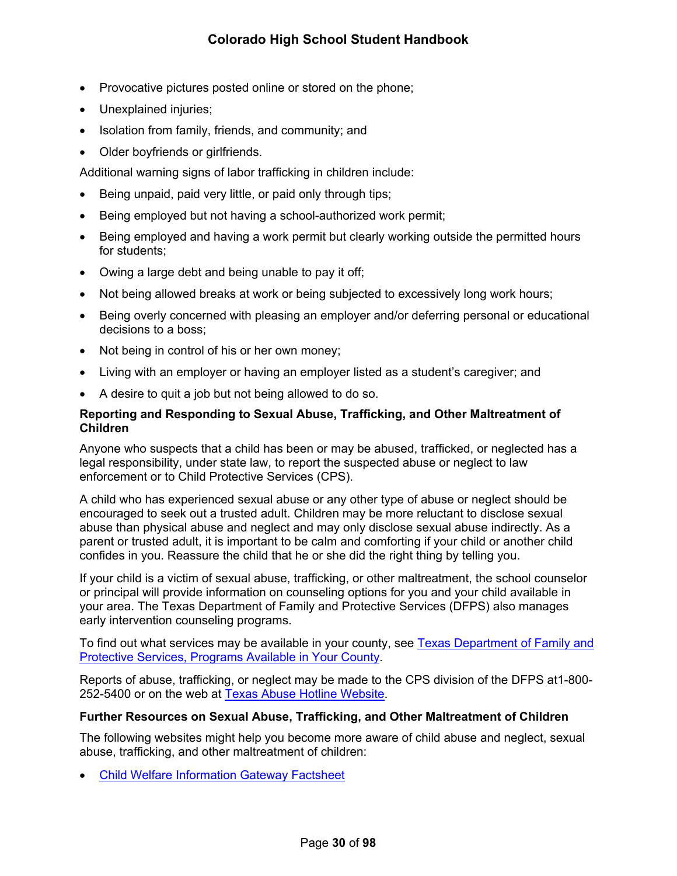- Provocative pictures posted online or stored on the phone;
- Unexplained injuries;
- Isolation from family, friends, and community; and
- Older boyfriends or girlfriends.

Additional warning signs of labor trafficking in children include:

- Being unpaid, paid very little, or paid only through tips;
- Being employed but not having a school-authorized work permit;
- Being employed and having a work permit but clearly working outside the permitted hours for students;
- Owing a large debt and being unable to pay it off;
- Not being allowed breaks at work or being subjected to excessively long work hours;
- Being overly concerned with pleasing an employer and/or deferring personal or educational decisions to a boss;
- Not being in control of his or her own money;
- Living with an employer or having an employer listed as a student's caregiver; and
- A desire to quit a job but not being allowed to do so.

### <span id="page-35-0"></span>**Reporting and Responding to Sexual Abuse, Trafficking, and Other Maltreatment of Children**

Anyone who suspects that a child has been or may be abused, trafficked, or neglected has a legal responsibility, under state law, to report the suspected abuse or neglect to law enforcement or to Child Protective Services (CPS).

A child who has experienced sexual abuse or any other type of abuse or neglect should be encouraged to seek out a trusted adult. Children may be more reluctant to disclose sexual abuse than physical abuse and neglect and may only disclose sexual abuse indirectly. As a parent or trusted adult, it is important to be calm and comforting if your child or another child confides in you. Reassure the child that he or she did the right thing by telling you.

If your child is a victim of sexual abuse, trafficking, or other maltreatment, the school counselor or principal will provide information on counseling options for you and your child available in your area. The Texas Department of Family and Protective Services (DFPS) also manages early intervention counseling programs.

To find out what services may be available in your county, see Texas Department of Family and [Protective Services, Programs Available in Your County](http://www.dfps.state.tx.us/Prevention_and_Early_Intervention/Programs_Available_In_Your_County/default.asp).

Reports of abuse, trafficking, or neglect may be made to the CPS division of the DFPS at1-800- 252-5400 or on the web at [Texas Abuse Hotline Website.](http://www.txabusehotline.org/)

#### <span id="page-35-1"></span>**Further Resources on Sexual Abuse, Trafficking, and Other Maltreatment of Children**

The following websites might help you become more aware of child abuse and neglect, sexual abuse, trafficking, and other maltreatment of children:

[Child Welfare Information Gateway Factsheet](https://www.childwelfare.gov/pubs/factsheets/whatiscan.pdf)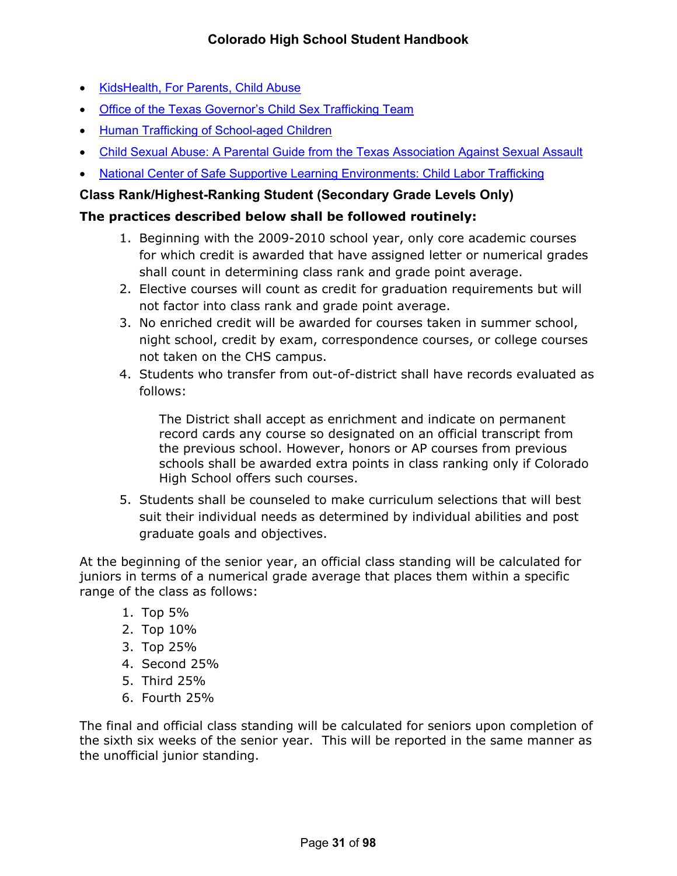- [KidsHealth, For Parents, Child Abuse](http://kidshealth.org/en/parents/child-abuse.html)
- [Office of the Texas Governor's Child Sex Trafficking Team](https://gov.texas.gov/organization/cjd/childsextrafficking)
- **[Human Trafficking of School-aged Children](https://tea.texas.gov/About_TEA/Other_Services/Human_Trafficking_of_School-aged_Children/)**
- [Child Sexual Abuse: A Parental Guide from the Texas Association Against Sexual Assault](http://taasa.org/product/child-sexual-abuse-parental-guide/)
- [National Center of Safe Supportive Learning Environments: Child Labor Trafficking](https://safesupportivelearning.ed.gov/human-trafficking-americas-schools/child-labor-trafficking)

# **Class Rank/Highest-Ranking Student (Secondary Grade Levels Only)**

# **The practices described below shall be followed routinely:**

- 1. Beginning with the 2009-2010 school year, only core academic courses for which credit is awarded that have assigned letter or numerical grades shall count in determining class rank and grade point average.
- 2. Elective courses will count as credit for graduation requirements but will not factor into class rank and grade point average.
- 3. No enriched credit will be awarded for courses taken in summer school, night school, credit by exam, correspondence courses, or college courses not taken on the CHS campus.
- 4. Students who transfer from out-of-district shall have records evaluated as follows:

The District shall accept as enrichment and indicate on permanent record cards any course so designated on an official transcript from the previous school. However, honors or AP courses from previous schools shall be awarded extra points in class ranking only if Colorado High School offers such courses.

5. Students shall be counseled to make curriculum selections that will best suit their individual needs as determined by individual abilities and post graduate goals and objectives.

At the beginning of the senior year, an official class standing will be calculated for juniors in terms of a numerical grade average that places them within a specific range of the class as follows:

- 1. Top 5%
- 2. Top 10%
- 3. Top 25%
- 4. Second 25%
- 5. Third 25%
- 6. Fourth 25%

The final and official class standing will be calculated for seniors upon completion of the sixth six weeks of the senior year. This will be reported in the same manner as the unofficial junior standing.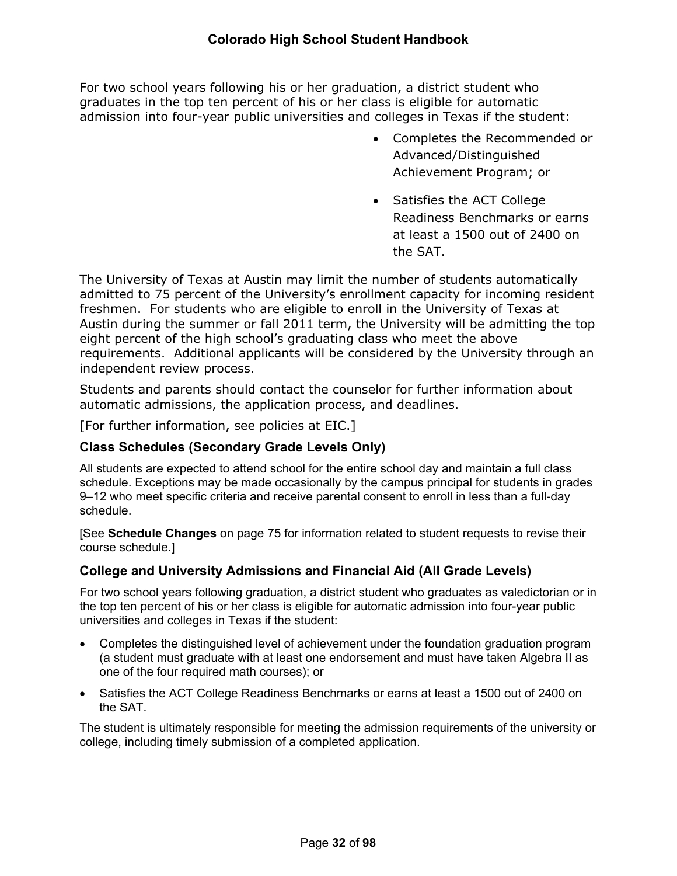For two school years following his or her graduation, a district student who graduates in the top ten percent of his or her class is eligible for automatic admission into four-year public universities and colleges in Texas if the student:

- Completes the Recommended or Advanced/Distinguished Achievement Program; or
- Satisfies the ACT College Readiness Benchmarks or earns at least a 1500 out of 2400 on the SAT.

The University of Texas at Austin may limit the number of students automatically admitted to 75 percent of the University's enrollment capacity for incoming resident freshmen. For students who are eligible to enroll in the University of Texas at Austin during the summer or fall 2011 term, the University will be admitting the top eight percent of the high school's graduating class who meet the above requirements. Additional applicants will be considered by the University through an independent review process.

Students and parents should contact the counselor for further information about automatic admissions, the application process, and deadlines.

[For further information, see policies at EIC.]

# **Class Schedules (Secondary Grade Levels Only)**

All students are expected to attend school for the entire school day and maintain a full class schedule. Exceptions may be made occasionally by the campus principal for students in grades 9–12 who meet specific criteria and receive parental consent to enroll in less than a full-day schedule.

[See **Schedule Changes** on page [75](#page-79-0) for information related to student requests to revise their course schedule.]

# **College and University Admissions and Financial Aid (All Grade Levels)**

For two school years following graduation, a district student who graduates as valedictorian or in the top ten percent of his or her class is eligible for automatic admission into four-year public universities and colleges in Texas if the student:

- Completes the distinguished level of achievement under the foundation graduation program (a student must graduate with at least one endorsement and must have taken Algebra II as one of the four required math courses); or
- Satisfies the ACT College Readiness Benchmarks or earns at least a 1500 out of 2400 on the SAT.

The student is ultimately responsible for meeting the admission requirements of the university or college, including timely submission of a completed application.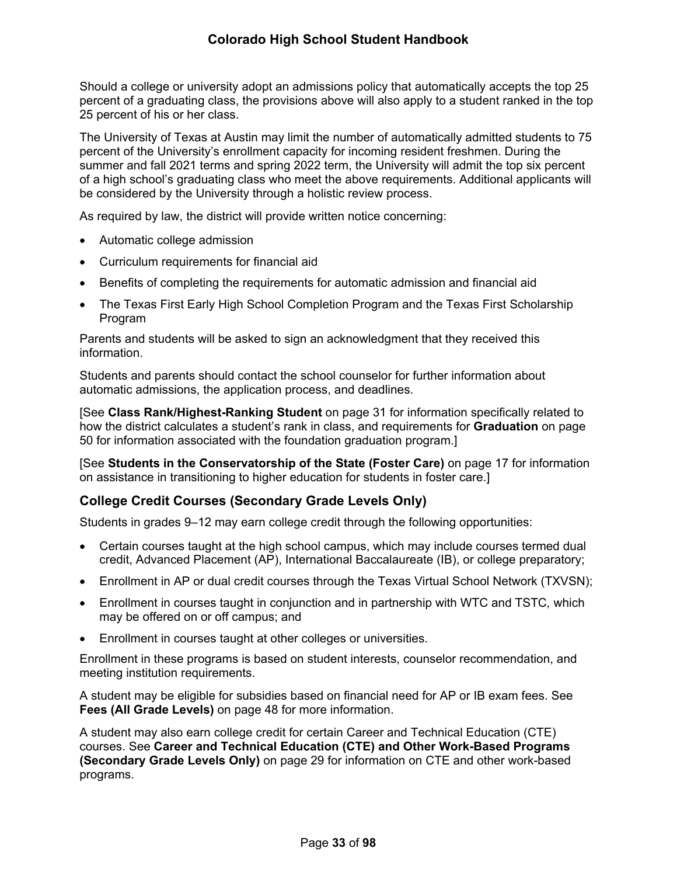Should a college or university adopt an admissions policy that automatically accepts the top 25 percent of a graduating class, the provisions above will also apply to a student ranked in the top 25 percent of his or her class.

The University of Texas at Austin may limit the number of automatically admitted students to 75 percent of the University's enrollment capacity for incoming resident freshmen. During the summer and fall 2021 terms and spring 2022 term, the University will admit the top six percent of a high school's graduating class who meet the above requirements. Additional applicants will be considered by the University through a holistic review process.

As required by law, the district will provide written notice concerning:

- Automatic college admission
- Curriculum requirements for financial aid
- Benefits of completing the requirements for automatic admission and financial aid
- The Texas First Early High School Completion Program and the Texas First Scholarship Program

Parents and students will be asked to sign an acknowledgment that they received this information.

Students and parents should contact the school counselor for further information about automatic admissions, the application process, and deadlines.

[See **Class Rank/Highest-Ranking Student** on page 31 for information specifically related to how the district calculates a student's rank in class, and requirements for **Graduation** on page [50](#page-56-0) for information associated with the foundation graduation program.]

[See **Students in the Conservatorship of the State (Foster Care)** on page [17](#page-21-0) for information on assistance in transitioning to higher education for students in foster care.]

# **College Credit Courses (Secondary Grade Levels Only)**

Students in grades 9–12 may earn college credit through the following opportunities:

- Certain courses taught at the high school campus, which may include courses termed dual credit, Advanced Placement (AP), International Baccalaureate (IB), or college preparatory;
- Enrollment in AP or dual credit courses through the Texas Virtual School Network (TXVSN);
- Enrollment in courses taught in conjunction and in partnership with WTC and TSTC*,* which may be offered on or off campus; and
- Enrollment in courses taught at other colleges or universities.

Enrollment in these programs is based on student interests, counselor recommendation, and meeting institution requirements.

A student may be eligible for subsidies based on financial need for AP or IB exam fees. See **Fees (All Grade Levels)** on page [48](#page-54-0) for more information.

A student may also earn college credit for certain Career and Technical Education (CTE) courses. See **Career and Technical Education (CTE) and Other Work-Based Programs (Secondary Grade Levels Only)** on page [29](#page-33-0) for information on CTE and other work-based programs.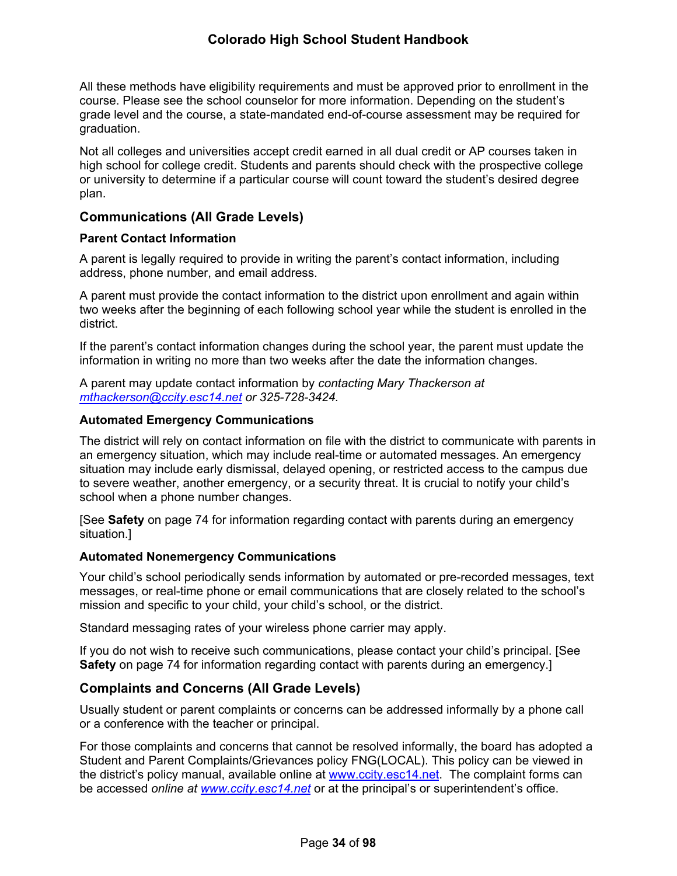All these methods have eligibility requirements and must be approved prior to enrollment in the course. Please see the school counselor for more information. Depending on the student's grade level and the course, a state-mandated end-of-course assessment may be required for graduation.

Not all colleges and universities accept credit earned in all dual credit or AP courses taken in high school for college credit. Students and parents should check with the prospective college or university to determine if a particular course will count toward the student's desired degree plan.

## **Communications (All Grade Levels)**

#### **Parent Contact Information**

A parent is legally required to provide in writing the parent's contact information, including address, phone number, and email address.

A parent must provide the contact information to the district upon enrollment and again within two weeks after the beginning of each following school year while the student is enrolled in the district.

If the parent's contact information changes during the school year, the parent must update the information in writing no more than two weeks after the date the information changes.

A parent may update contact information by *contacting Mary Thackerson at [mthackerson@ccity.esc14.net](mailto:mthackerson@ccity.esc14.net) or 325-728-3424.*

#### **Automated Emergency Communications**

The district will rely on contact information on file with the district to communicate with parents in an emergency situation, which may include real-time or automated messages. An emergency situation may include early dismissal, delayed opening, or restricted access to the campus due to severe weather, another emergency, or a security threat. It is crucial to notify your child's school when a phone number changes.

[See **Safety** on page [74](#page-78-0) for information regarding contact with parents during an emergency situation.]

#### **Automated Nonemergency Communications**

Your child's school periodically sends information by automated or pre-recorded messages, text messages, or real-time phone or email communications that are closely related to the school's mission and specific to your child, your child's school, or the district.

Standard messaging rates of your wireless phone carrier may apply.

If you do not wish to receive such communications, please contact your child's principal. [See **Safety** on page [74](#page-78-0) for information regarding contact with parents during an emergency.]

## **Complaints and Concerns (All Grade Levels)**

Usually student or parent complaints or concerns can be addressed informally by a phone call or a conference with the teacher or principal.

For those complaints and concerns that cannot be resolved informally, the board has adopted a Student and Parent Complaints/Grievances policy FNG(LOCAL). This policy can be viewed in the district's policy manual, available online at [www.ccity.esc14.net](http://www.ccity.esc14.net/). The complaint forms can be accessed *online at [www.ccity.esc14.net](http://www.ccity.esc14.net/)* or at the principal's or superintendent's office.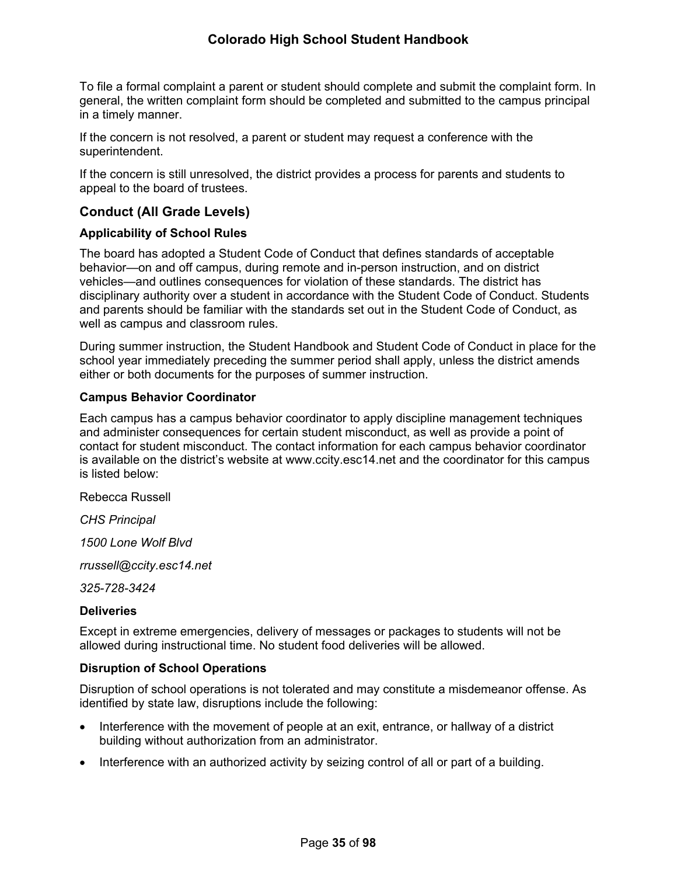To file a formal complaint a parent or student should complete and submit the complaint form. In general, the written complaint form should be completed and submitted to the campus principal in a timely manner.

If the concern is not resolved, a parent or student may request a conference with the superintendent.

If the concern is still unresolved, the district provides a process for parents and students to appeal to the board of trustees.

# **Conduct (All Grade Levels)**

### **Applicability of School Rules**

The board has adopted a Student Code of Conduct that defines standards of acceptable behavior—on and off campus, during remote and in-person instruction, and on district vehicles—and outlines consequences for violation of these standards. The district has disciplinary authority over a student in accordance with the Student Code of Conduct. Students and parents should be familiar with the standards set out in the Student Code of Conduct, as well as campus and classroom rules.

During summer instruction, the Student Handbook and Student Code of Conduct in place for the school year immediately preceding the summer period shall apply, unless the district amends either or both documents for the purposes of summer instruction.

#### **Campus Behavior Coordinator**

Each campus has a campus behavior coordinator to apply discipline management techniques and administer consequences for certain student misconduct, as well as provide a point of contact for student misconduct. The contact information for each campus behavior coordinator is available on the district's website at www.ccity.esc14.net and the coordinator for this campus is listed below:

Rebecca Russell

*CHS Principal*

*1500 Lone Wolf Blvd*

*rrussell@ccity.esc14.net*

*325-728-3424*

#### **Deliveries**

Except in extreme emergencies, delivery of messages or packages to students will not be allowed during instructional time. No student food deliveries will be allowed.

#### **Disruption of School Operations**

Disruption of school operations is not tolerated and may constitute a misdemeanor offense. As identified by state law, disruptions include the following:

- Interference with the movement of people at an exit, entrance, or hallway of a district building without authorization from an administrator.
- Interference with an authorized activity by seizing control of all or part of a building.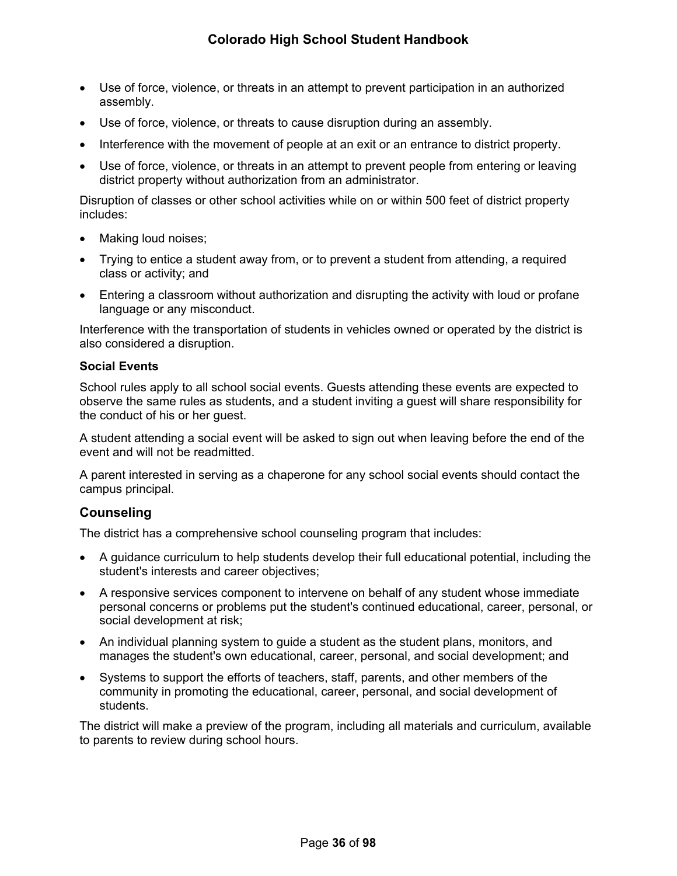- Use of force, violence, or threats in an attempt to prevent participation in an authorized assembly.
- Use of force, violence, or threats to cause disruption during an assembly.
- Interference with the movement of people at an exit or an entrance to district property.
- Use of force, violence, or threats in an attempt to prevent people from entering or leaving district property without authorization from an administrator.

Disruption of classes or other school activities while on or within 500 feet of district property includes:

- Making loud noises;
- Trying to entice a student away from, or to prevent a student from attending, a required class or activity; and
- Entering a classroom without authorization and disrupting the activity with loud or profane language or any misconduct.

Interference with the transportation of students in vehicles owned or operated by the district is also considered a disruption.

#### **Social Events**

School rules apply to all school social events. Guests attending these events are expected to observe the same rules as students, and a student inviting a guest will share responsibility for the conduct of his or her guest.

A student attending a social event will be asked to sign out when leaving before the end of the event and will not be readmitted.

A parent interested in serving as a chaperone for any school social events should contact the campus principal.

## <span id="page-41-0"></span>**Counseling**

The district has a comprehensive school counseling program that includes:

- A guidance curriculum to help students develop their full educational potential, including the student's interests and career objectives;
- A responsive services component to intervene on behalf of any student whose immediate personal concerns or problems put the student's continued educational, career, personal, or social development at risk;
- An individual planning system to guide a student as the student plans, monitors, and manages the student's own educational, career, personal, and social development; and
- Systems to support the efforts of teachers, staff, parents, and other members of the community in promoting the educational, career, personal, and social development of students.

The district will make a preview of the program, including all materials and curriculum, available to parents to review during school hours.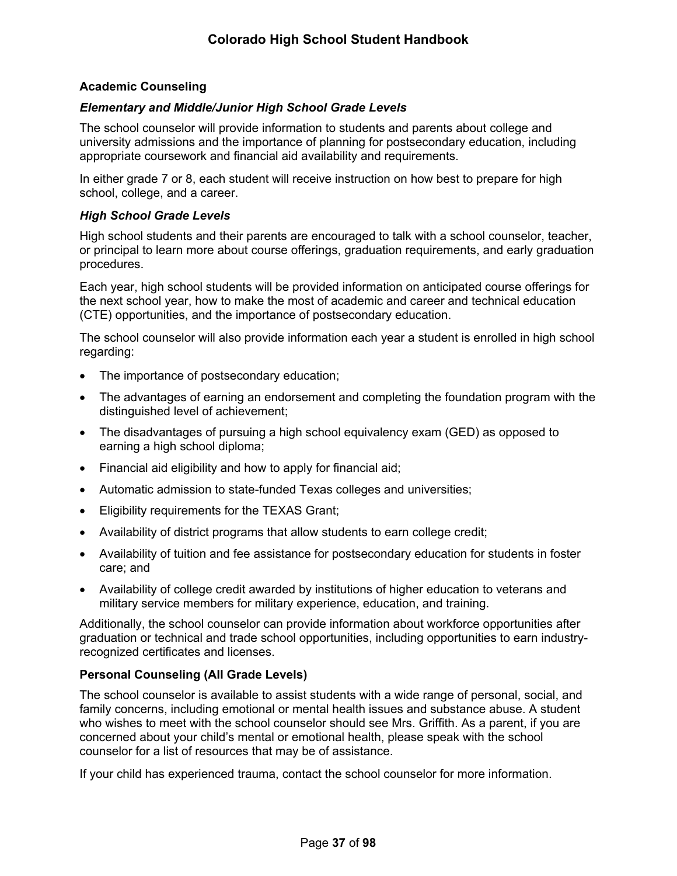### **Academic Counseling**

### *Elementary and Middle/Junior High School Grade Levels*

The school counselor will provide information to students and parents about college and university admissions and the importance of planning for postsecondary education, including appropriate coursework and financial aid availability and requirements.

In either grade 7 or 8, each student will receive instruction on how best to prepare for high school, college, and a career.

#### *High School Grade Levels*

High school students and their parents are encouraged to talk with a school counselor, teacher, or principal to learn more about course offerings, graduation requirements, and early graduation procedures.

Each year, high school students will be provided information on anticipated course offerings for the next school year, how to make the most of academic and career and technical education (CTE) opportunities, and the importance of postsecondary education.

The school counselor will also provide information each year a student is enrolled in high school regarding:

- The importance of postsecondary education;
- The advantages of earning an endorsement and completing the foundation program with the distinguished level of achievement;
- The disadvantages of pursuing a high school equivalency exam (GED) as opposed to earning a high school diploma;
- Financial aid eligibility and how to apply for financial aid;
- Automatic admission to state-funded Texas colleges and universities;
- Eligibility requirements for the TEXAS Grant;
- Availability of district programs that allow students to earn college credit;
- Availability of tuition and fee assistance for postsecondary education for students in foster care; and
- Availability of college credit awarded by institutions of higher education to veterans and military service members for military experience, education, and training.

Additionally, the school counselor can provide information about workforce opportunities after graduation or technical and trade school opportunities, including opportunities to earn industryrecognized certificates and licenses.

## **Personal Counseling (All Grade Levels)**

The school counselor is available to assist students with a wide range of personal, social, and family concerns, including emotional or mental health issues and substance abuse. A student who wishes to meet with the school counselor should see Mrs. Griffith. As a parent, if you are concerned about your child's mental or emotional health, please speak with the school counselor for a list of resources that may be of assistance.

If your child has experienced trauma, contact the school counselor for more information.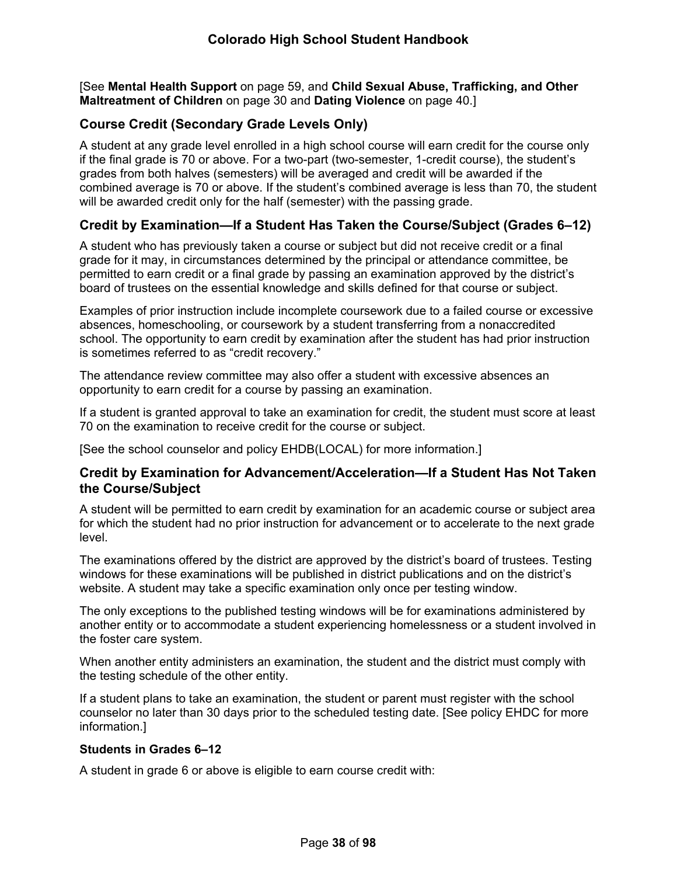[See **Mental Health Support** on page [59,](#page-65-0) and **Child Sexual Abuse, Trafficking, and Other Maltreatment of Children** on page [30](#page-34-0) and **Dating Violence** on page [40.](#page-44-0)]

# **Course Credit (Secondary Grade Levels Only)**

A student at any grade level enrolled in a high school course will earn credit for the course only if the final grade is 70 or above. For a two-part (two-semester, 1-credit course), the student's grades from both halves (semesters) will be averaged and credit will be awarded if the combined average is 70 or above. If the student's combined average is less than 70, the student will be awarded credit only for the half (semester) with the passing grade.

## **Credit by Examination—If a Student Has Taken the Course/Subject (Grades 6–12)**

A student who has previously taken a course or subject but did not receive credit or a final grade for it may, in circumstances determined by the principal or attendance committee, be permitted to earn credit or a final grade by passing an examination approved by the district's board of trustees on the essential knowledge and skills defined for that course or subject.

Examples of prior instruction include incomplete coursework due to a failed course or excessive absences, homeschooling, or coursework by a student transferring from a nonaccredited school. The opportunity to earn credit by examination after the student has had prior instruction is sometimes referred to as "credit recovery."

The attendance review committee may also offer a student with excessive absences an opportunity to earn credit for a course by passing an examination.

If a student is granted approval to take an examination for credit, the student must score at least 70 on the examination to receive credit for the course or subject.

[See the school counselor and policy EHDB(LOCAL) for more information.]

## **Credit by Examination for Advancement/Acceleration—If a Student Has Not Taken the Course/Subject**

A student will be permitted to earn credit by examination for an academic course or subject area for which the student had no prior instruction for advancement or to accelerate to the next grade level.

The examinations offered by the district are approved by the district's board of trustees. Testing windows for these examinations will be published in district publications and on the district's website. A student may take a specific examination only once per testing window.

The only exceptions to the published testing windows will be for examinations administered by another entity or to accommodate a student experiencing homelessness or a student involved in the foster care system.

When another entity administers an examination, the student and the district must comply with the testing schedule of the other entity.

If a student plans to take an examination, the student or parent must register with the school counselor no later than 30 days prior to the scheduled testing date. [See policy EHDC for more information.]

#### **Students in Grades 6–12**

A student in grade 6 or above is eligible to earn course credit with: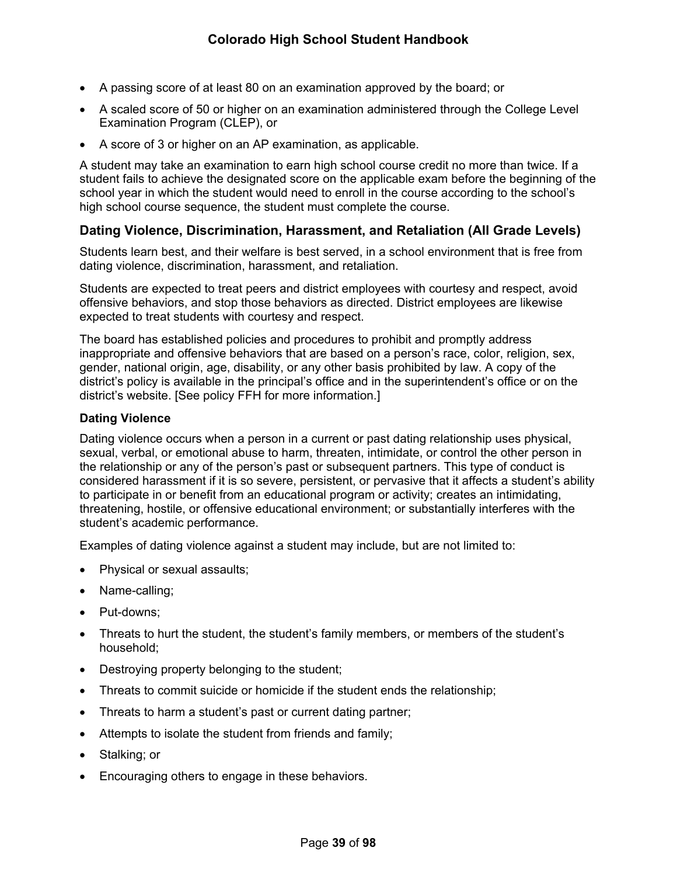- A passing score of at least 80 on an examination approved by the board; or
- A scaled score of 50 or higher on an examination administered through the College Level Examination Program (CLEP), or
- A score of 3 or higher on an AP examination, as applicable.

A student may take an examination to earn high school course credit no more than twice. If a student fails to achieve the designated score on the applicable exam before the beginning of the school year in which the student would need to enroll in the course according to the school's high school course sequence, the student must complete the course.

# <span id="page-44-1"></span>**Dating Violence, Discrimination, Harassment, and Retaliation (All Grade Levels)**

Students learn best, and their welfare is best served, in a school environment that is free from dating violence, discrimination, harassment, and retaliation.

Students are expected to treat peers and district employees with courtesy and respect, avoid offensive behaviors, and stop those behaviors as directed. District employees are likewise expected to treat students with courtesy and respect.

The board has established policies and procedures to prohibit and promptly address inappropriate and offensive behaviors that are based on a person's race, color, religion, sex, gender, national origin, age, disability, or any other basis prohibited by law. A copy of the district's policy is available in the principal's office and in the superintendent's office or on the district's website. [See policy FFH for more information.]

#### <span id="page-44-0"></span>**Dating Violence**

Dating violence occurs when a person in a current or past dating relationship uses physical, sexual, verbal, or emotional abuse to harm, threaten, intimidate, or control the other person in the relationship or any of the person's past or subsequent partners. This type of conduct is considered harassment if it is so severe, persistent, or pervasive that it affects a student's ability to participate in or benefit from an educational program or activity; creates an intimidating, threatening, hostile, or offensive educational environment; or substantially interferes with the student's academic performance.

Examples of dating violence against a student may include, but are not limited to:

- Physical or sexual assaults;
- Name-calling;
- Put-downs;
- Threats to hurt the student, the student's family members, or members of the student's household;
- Destroying property belonging to the student;
- Threats to commit suicide or homicide if the student ends the relationship;
- Threats to harm a student's past or current dating partner;
- Attempts to isolate the student from friends and family;
- Stalking; or
- Encouraging others to engage in these behaviors.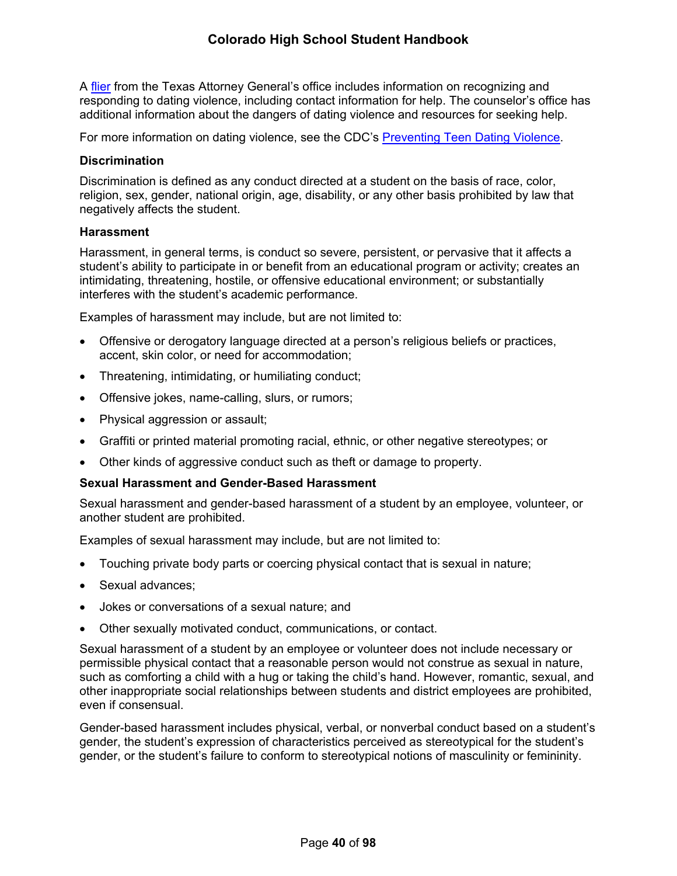A [flier](https://www.texasattorneygeneral.gov/sites/default/files/files/child-support/papa/session%2010/recognizing-relationship-violence-en.pdf) from the Texas Attorney General's office includes information on recognizing and responding to dating violence, including contact information for help. The counselor's office has additional information about the dangers of dating violence and resources for seeking help.

For more information on dating violence, see the CDC's [Preventing Teen Dating Violence.](https://www.cdc.gov/violenceprevention/intimatepartnerviolence/teendatingviolence/fastfact.html)

### **Discrimination**

Discrimination is defined as any conduct directed at a student on the basis of race, color, religion, sex, gender, national origin, age, disability, or any other basis prohibited by law that negatively affects the student.

### **Harassment**

Harassment, in general terms, is conduct so severe, persistent, or pervasive that it affects a student's ability to participate in or benefit from an educational program or activity; creates an intimidating, threatening, hostile, or offensive educational environment; or substantially interferes with the student's academic performance.

Examples of harassment may include, but are not limited to:

- Offensive or derogatory language directed at a person's religious beliefs or practices, accent, skin color, or need for accommodation;
- Threatening, intimidating, or humiliating conduct;
- Offensive jokes, name-calling, slurs, or rumors;
- Physical aggression or assault;
- Graffiti or printed material promoting racial, ethnic, or other negative stereotypes; or
- Other kinds of aggressive conduct such as theft or damage to property.

## **Sexual Harassment and Gender-Based Harassment**

Sexual harassment and gender-based harassment of a student by an employee, volunteer, or another student are prohibited.

Examples of sexual harassment may include, but are not limited to:

- Touching private body parts or coercing physical contact that is sexual in nature;
- Sexual advances:
- Jokes or conversations of a sexual nature; and
- Other sexually motivated conduct, communications, or contact.

Sexual harassment of a student by an employee or volunteer does not include necessary or permissible physical contact that a reasonable person would not construe as sexual in nature, such as comforting a child with a hug or taking the child's hand. However, romantic, sexual, and other inappropriate social relationships between students and district employees are prohibited, even if consensual.

Gender-based harassment includes physical, verbal, or nonverbal conduct based on a student's gender, the student's expression of characteristics perceived as stereotypical for the student's gender, or the student's failure to conform to stereotypical notions of masculinity or femininity.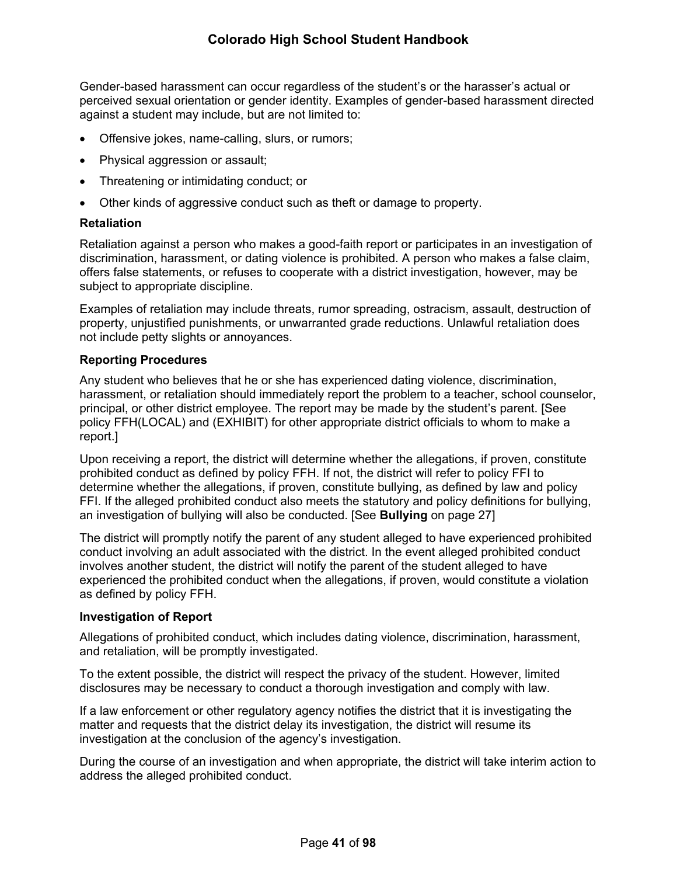Gender-based harassment can occur regardless of the student's or the harasser's actual or perceived sexual orientation or gender identity. Examples of gender-based harassment directed against a student may include, but are not limited to:

- Offensive jokes, name-calling, slurs, or rumors;
- Physical aggression or assault;
- Threatening or intimidating conduct; or
- Other kinds of aggressive conduct such as theft or damage to property.

### **Retaliation**

Retaliation against a person who makes a good-faith report or participates in an investigation of discrimination, harassment, or dating violence is prohibited. A person who makes a false claim, offers false statements, or refuses to cooperate with a district investigation, however, may be subject to appropriate discipline.

Examples of retaliation may include threats, rumor spreading, ostracism, assault, destruction of property, unjustified punishments, or unwarranted grade reductions. Unlawful retaliation does not include petty slights or annoyances.

#### **Reporting Procedures**

Any student who believes that he or she has experienced dating violence, discrimination, harassment, or retaliation should immediately report the problem to a teacher, school counselor, principal, or other district employee. The report may be made by the student's parent. [See policy FFH(LOCAL) and (EXHIBIT) for other appropriate district officials to whom to make a report.]

Upon receiving a report, the district will determine whether the allegations, if proven, constitute prohibited conduct as defined by policy FFH. If not, the district will refer to policy FFI to determine whether the allegations, if proven, constitute bullying, as defined by law and policy FFI. If the alleged prohibited conduct also meets the statutory and policy definitions for bullying, an investigation of bullying will also be conducted. [See **Bullying** on page [27\]](#page-31-0)

The district will promptly notify the parent of any student alleged to have experienced prohibited conduct involving an adult associated with the district. In the event alleged prohibited conduct involves another student, the district will notify the parent of the student alleged to have experienced the prohibited conduct when the allegations, if proven, would constitute a violation as defined by policy FFH.

#### **Investigation of Report**

Allegations of prohibited conduct, which includes dating violence, discrimination, harassment, and retaliation, will be promptly investigated.

To the extent possible, the district will respect the privacy of the student. However, limited disclosures may be necessary to conduct a thorough investigation and comply with law.

If a law enforcement or other regulatory agency notifies the district that it is investigating the matter and requests that the district delay its investigation, the district will resume its investigation at the conclusion of the agency's investigation.

During the course of an investigation and when appropriate, the district will take interim action to address the alleged prohibited conduct.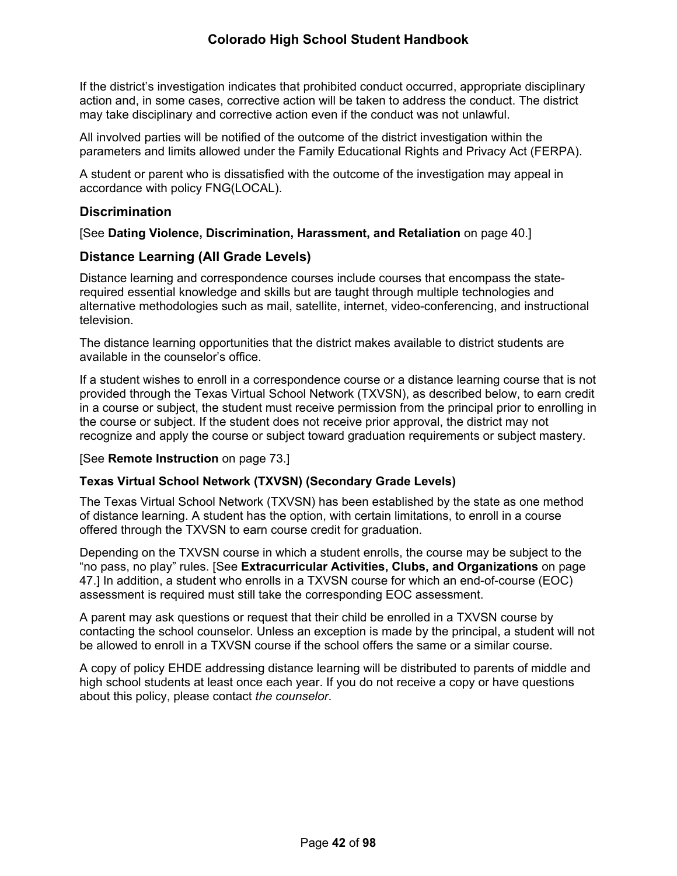If the district's investigation indicates that prohibited conduct occurred, appropriate disciplinary action and, in some cases, corrective action will be taken to address the conduct. The district may take disciplinary and corrective action even if the conduct was not unlawful.

All involved parties will be notified of the outcome of the district investigation within the parameters and limits allowed under the Family Educational Rights and Privacy Act (FERPA).

A student or parent who is dissatisfied with the outcome of the investigation may appeal in accordance with policy FNG(LOCAL).

## **Discrimination**

[See **Dating Violence, Discrimination, Harassment, and Retaliation** on page [40.](#page-44-1)]

## **Distance Learning (All Grade Levels)**

Distance learning and correspondence courses include courses that encompass the staterequired essential knowledge and skills but are taught through multiple technologies and alternative methodologies such as mail, satellite, internet, video-conferencing, and instructional television.

The distance learning opportunities that the district makes available to district students are available in the counselor's office.

If a student wishes to enroll in a correspondence course or a distance learning course that is not provided through the Texas Virtual School Network (TXVSN), as described below, to earn credit in a course or subject, the student must receive permission from the principal prior to enrolling in the course or subject. If the student does not receive prior approval, the district may not recognize and apply the course or subject toward graduation requirements or subject mastery.

## [See **Remote Instruction** on page [73](#page-77-0).]

## **Texas Virtual School Network (TXVSN) (Secondary Grade Levels)**

The Texas Virtual School Network (TXVSN) has been established by the state as one method of distance learning. A student has the option, with certain limitations, to enroll in a course offered through the TXVSN to earn course credit for graduation.

Depending on the TXVSN course in which a student enrolls, the course may be subject to the "no pass, no play" rules. [See **Extracurricular Activities, Clubs, and Organizations** on page [47](#page-52-0).] In addition, a student who enrolls in a TXVSN course for which an end-of-course (EOC) assessment is required must still take the corresponding EOC assessment.

A parent may ask questions or request that their child be enrolled in a TXVSN course by contacting the school counselor. Unless an exception is made by the principal, a student will not be allowed to enroll in a TXVSN course if the school offers the same or a similar course.

A copy of policy EHDE addressing distance learning will be distributed to parents of middle and high school students at least once each year. If you do not receive a copy or have questions about this policy, please contact *the counselor*.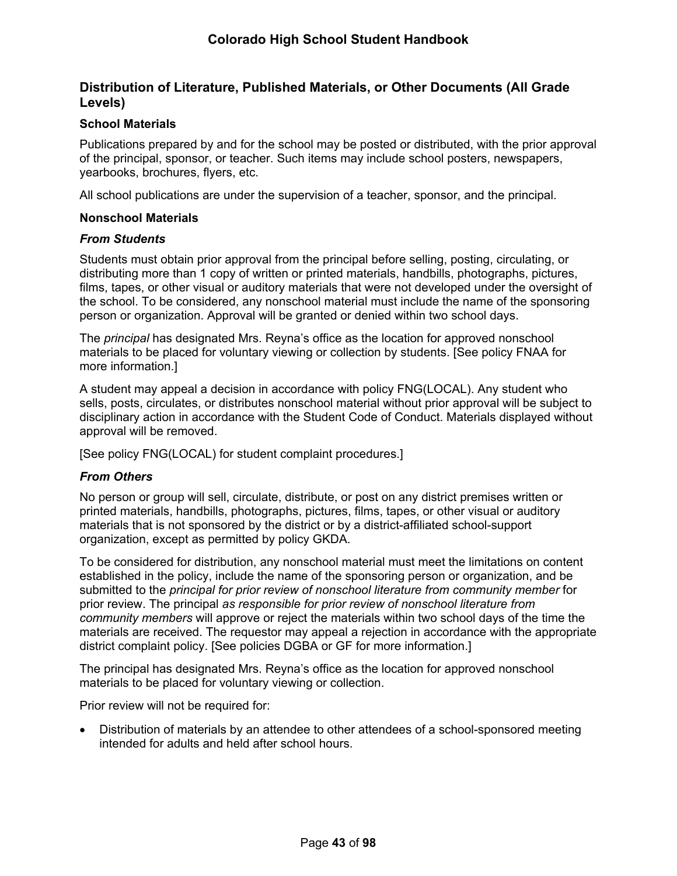# **Distribution of Literature, Published Materials, or Other Documents (All Grade Levels)**

### **School Materials**

Publications prepared by and for the school may be posted or distributed, with the prior approval of the principal, sponsor, or teacher. Such items may include school posters, newspapers, yearbooks, brochures, flyers, etc.

All school publications are under the supervision of a teacher, sponsor, and the principal.

#### **Nonschool Materials**

#### *From Students*

Students must obtain prior approval from the principal before selling, posting, circulating, or distributing more than 1 copy of written or printed materials, handbills, photographs, pictures, films, tapes, or other visual or auditory materials that were not developed under the oversight of the school. To be considered, any nonschool material must include the name of the sponsoring person or organization. Approval will be granted or denied within two school days.

The *principal* has designated Mrs. Reyna's office as the location for approved nonschool materials to be placed for voluntary viewing or collection by students. [See policy FNAA for more information.]

A student may appeal a decision in accordance with policy FNG(LOCAL). Any student who sells, posts, circulates, or distributes nonschool material without prior approval will be subject to disciplinary action in accordance with the Student Code of Conduct. Materials displayed without approval will be removed.

[See policy FNG(LOCAL) for student complaint procedures.]

#### *From Others*

No person or group will sell, circulate, distribute, or post on any district premises written or printed materials, handbills, photographs, pictures, films, tapes, or other visual or auditory materials that is not sponsored by the district or by a district-affiliated school-support organization, except as permitted by policy GKDA.

To be considered for distribution, any nonschool material must meet the limitations on content established in the policy, include the name of the sponsoring person or organization, and be submitted to the *principal for prior review of nonschool literature from community member* for prior review. The principal *as responsible for prior review of nonschool literature from community members* will approve or reject the materials within two school days of the time the materials are received. The requestor may appeal a rejection in accordance with the appropriate district complaint policy. [See policies DGBA or GF for more information.]

The principal has designated Mrs. Reyna's office as the location for approved nonschool materials to be placed for voluntary viewing or collection.

Prior review will not be required for:

 Distribution of materials by an attendee to other attendees of a school-sponsored meeting intended for adults and held after school hours.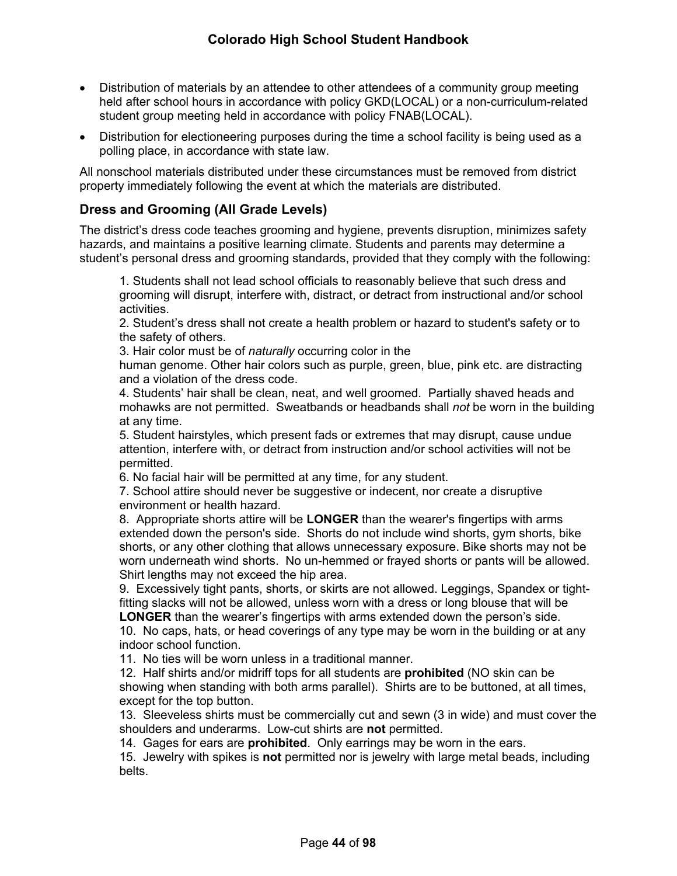- Distribution of materials by an attendee to other attendees of a community group meeting held after school hours in accordance with policy GKD(LOCAL) or a non-curriculum-related student group meeting held in accordance with policy FNAB(LOCAL).
- Distribution for electioneering purposes during the time a school facility is being used as a polling place, in accordance with state law.

All nonschool materials distributed under these circumstances must be removed from district property immediately following the event at which the materials are distributed.

# **Dress and Grooming (All Grade Levels)**

The district's dress code teaches grooming and hygiene, prevents disruption, minimizes safety hazards, and maintains a positive learning climate. Students and parents may determine a student's personal dress and grooming standards, provided that they comply with the following:

1. Students shall not lead school officials to reasonably believe that such dress and grooming will disrupt, interfere with, distract, or detract from instructional and/or school activities.

2. Student's dress shall not create a health problem or hazard to student's safety or to the safety of others.

3. Hair color must be of *naturally* occurring color in the

human genome. Other hair colors such as purple, green, blue, pink etc. are distracting and a violation of the dress code.

4. Students' hair shall be clean, neat, and well groomed. Partially shaved heads and mohawks are not permitted. Sweatbands or headbands shall *not* be worn in the building at any time.

5. Student hairstyles, which present fads or extremes that may disrupt, cause undue attention, interfere with, or detract from instruction and/or school activities will not be permitted.

6. No facial hair will be permitted at any time, for any student.

7. School attire should never be suggestive or indecent, nor create a disruptive environment or health hazard.

8. Appropriate shorts attire will be **LONGER** than the wearer's fingertips with arms extended down the person's side. Shorts do not include wind shorts, gym shorts, bike shorts, or any other clothing that allows unnecessary exposure. Bike shorts may not be worn underneath wind shorts. No un-hemmed or frayed shorts or pants will be allowed. Shirt lengths may not exceed the hip area.

9. Excessively tight pants, shorts, or skirts are not allowed. Leggings, Spandex or tightfitting slacks will not be allowed, unless worn with a dress or long blouse that will be **LONGER** than the wearer's fingertips with arms extended down the person's side.

10. No caps, hats, or head coverings of any type may be worn in the building or at any indoor school function.

11. No ties will be worn unless in a traditional manner.

12. Half shirts and/or midriff tops for all students are **prohibited** (NO skin can be showing when standing with both arms parallel). Shirts are to be buttoned, at all times, except for the top button.

13. Sleeveless shirts must be commercially cut and sewn (3 in wide) and must cover the shoulders and underarms. Low-cut shirts are **not** permitted.

14. Gages for ears are **prohibited**. Only earrings may be worn in the ears.

15. Jewelry with spikes is **not** permitted nor is jewelry with large metal beads, including belts.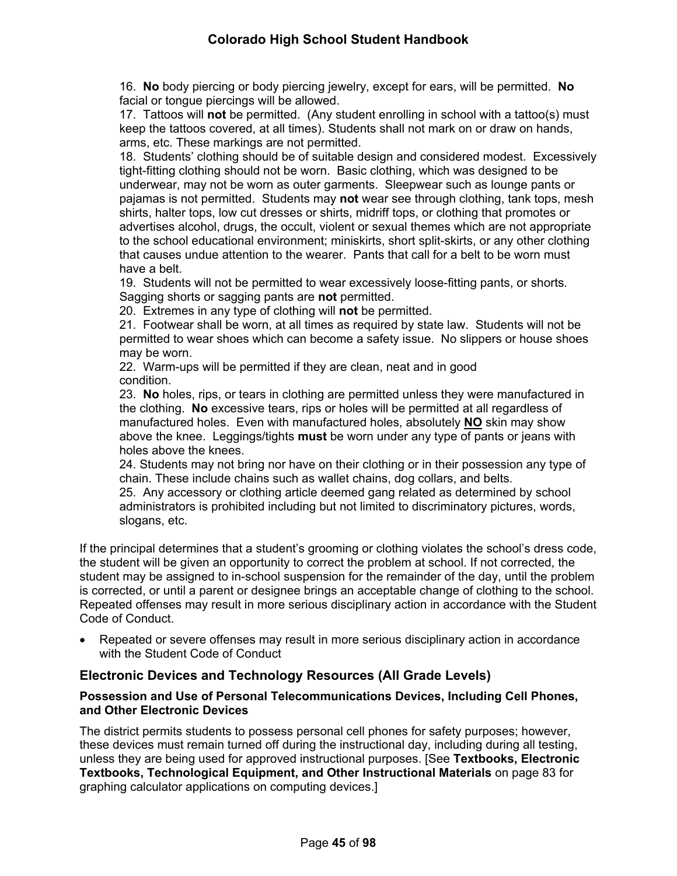16. **No** body piercing or body piercing jewelry, except for ears, will be permitted. **No** facial or tongue piercings will be allowed.

17. Tattoos will **not** be permitted. (Any student enrolling in school with a tattoo(s) must keep the tattoos covered, at all times). Students shall not mark on or draw on hands, arms, etc. These markings are not permitted.

18. Students' clothing should be of suitable design and considered modest. Excessively tight-fitting clothing should not be worn. Basic clothing, which was designed to be underwear, may not be worn as outer garments. Sleepwear such as lounge pants or pajamas is not permitted. Students may **not** wear see through clothing, tank tops, mesh shirts, halter tops, low cut dresses or shirts, midriff tops, or clothing that promotes or advertises alcohol, drugs, the occult, violent or sexual themes which are not appropriate to the school educational environment; miniskirts, short split-skirts, or any other clothing that causes undue attention to the wearer. Pants that call for a belt to be worn must have a belt.

19. Students will not be permitted to wear excessively loose-fitting pants, or shorts. Sagging shorts or sagging pants are **not** permitted.

20. Extremes in any type of clothing will **not** be permitted.

21. Footwear shall be worn, at all times as required by state law. Students will not be permitted to wear shoes which can become a safety issue. No slippers or house shoes may be worn.

22. Warm-ups will be permitted if they are clean, neat and in good condition.

23. **No** holes, rips, or tears in clothing are permitted unless they were manufactured in the clothing. **No** excessive tears, rips or holes will be permitted at all regardless of manufactured holes. Even with manufactured holes, absolutely **NO** skin may show above the knee. Leggings/tights **must** be worn under any type of pants or jeans with holes above the knees.

24. Students may not bring nor have on their clothing or in their possession any type of chain. These include chains such as wallet chains, dog collars, and belts.

25. Any accessory or clothing article deemed gang related as determined by school administrators is prohibited including but not limited to discriminatory pictures, words, slogans, etc.

If the principal determines that a student's grooming or clothing violates the school's dress code, the student will be given an opportunity to correct the problem at school. If not corrected, the student may be assigned to in-school suspension for the remainder of the day, until the problem is corrected, or until a parent or designee brings an acceptable change of clothing to the school. Repeated offenses may result in more serious disciplinary action in accordance with the Student Code of Conduct.

 Repeated or severe offenses may result in more serious disciplinary action in accordance with the Student Code of Conduct

# **Electronic Devices and Technology Resources (All Grade Levels)**

### **Possession and Use of Personal Telecommunications Devices, Including Cell Phones, and Other Electronic Devices**

The district permits students to possess personal cell phones for safety purposes; however, these devices must remain turned off during the instructional day, including during all testing, unless they are being used for approved instructional purposes. [See **Textbooks, Electronic Textbooks, Technological Equipment, and Other Instructional Materials** on page [83](#page-86-0) for graphing calculator applications on computing devices.]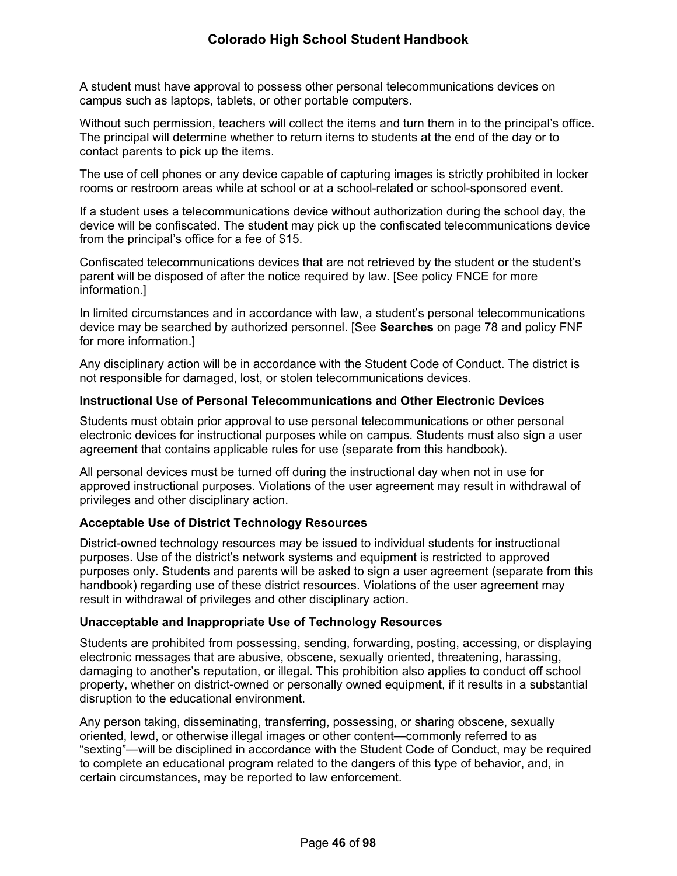A student must have approval to possess other personal telecommunications devices on campus such as laptops, tablets, or other portable computers.

Without such permission, teachers will collect the items and turn them in to the principal's office. The principal will determine whether to return items to students at the end of the day or to contact parents to pick up the items.

The use of cell phones or any device capable of capturing images is strictly prohibited in locker rooms or restroom areas while at school or at a school-related or school-sponsored event.

If a student uses a telecommunications device without authorization during the school day, the device will be confiscated. The student may pick up the confiscated telecommunications device from the principal's office for a fee of \$15.

Confiscated telecommunications devices that are not retrieved by the student or the student's parent will be disposed of after the notice required by law. [See policy FNCE for more information.]

In limited circumstances and in accordance with law, a student's personal telecommunications device may be searched by authorized personnel. [See **Searches** on page [78](#page-82-0) and policy FNF for more information.]

Any disciplinary action will be in accordance with the Student Code of Conduct. The district is not responsible for damaged, lost, or stolen telecommunications devices.

### **Instructional Use of Personal Telecommunications and Other Electronic Devices**

Students must obtain prior approval to use personal telecommunications or other personal electronic devices for instructional purposes while on campus. Students must also sign a user agreement that contains applicable rules for use (separate from this handbook).

All personal devices must be turned off during the instructional day when not in use for approved instructional purposes. Violations of the user agreement may result in withdrawal of privileges and other disciplinary action.

## **Acceptable Use of District Technology Resources**

District-owned technology resources may be issued to individual students for instructional purposes. Use of the district's network systems and equipment is restricted to approved purposes only. Students and parents will be asked to sign a user agreement (separate from this handbook) regarding use of these district resources. Violations of the user agreement may result in withdrawal of privileges and other disciplinary action.

#### **Unacceptable and Inappropriate Use of Technology Resources**

Students are prohibited from possessing, sending, forwarding, posting, accessing, or displaying electronic messages that are abusive, obscene, sexually oriented, threatening, harassing, damaging to another's reputation, or illegal. This prohibition also applies to conduct off school property, whether on district-owned or personally owned equipment, if it results in a substantial disruption to the educational environment.

Any person taking, disseminating, transferring, possessing, or sharing obscene, sexually oriented, lewd, or otherwise illegal images or other content—commonly referred to as "sexting"—will be disciplined in accordance with the Student Code of Conduct, may be required to complete an educational program related to the dangers of this type of behavior, and, in certain circumstances, may be reported to law enforcement.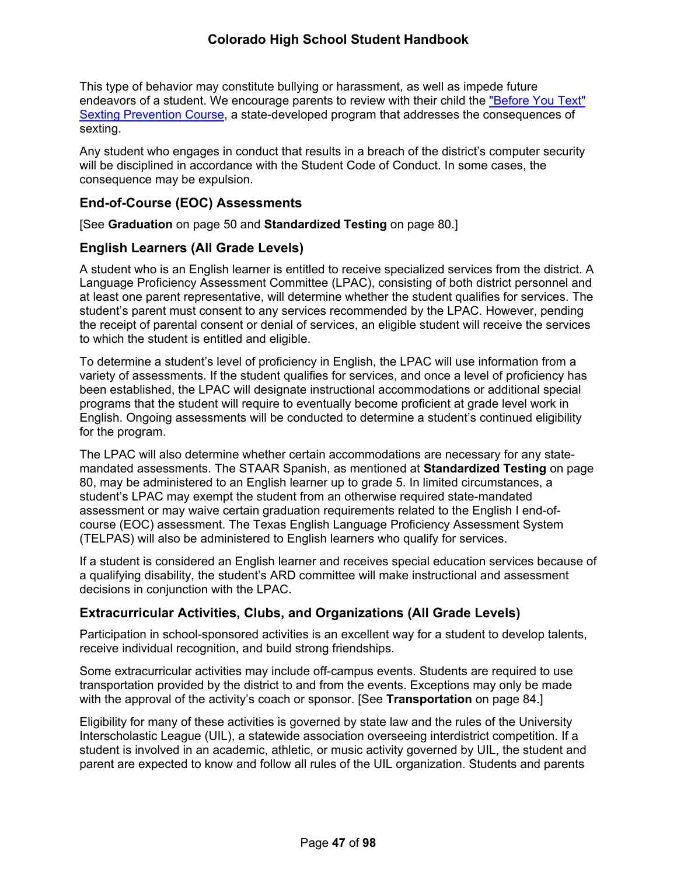This type of behavior may constitute bullying or harassment, as well as impede future endeavors of a student. We encourage parents to review with their child the ["Before You Text"](https://txssc.txstate.edu/tools/courses/before-you-text/)  [Sexting Prevention Course,](https://txssc.txstate.edu/tools/courses/before-you-text/) a state-developed program that addresses the consequences of sexting.

Any student who engages in conduct that results in a breach of the district's computer security will be disciplined in accordance with the Student Code of Conduct. In some cases, the consequence may be expulsion.

## **End-of-Course (EOC) Assessments**

[See **Graduation** on page [50](#page-56-0) and **Standardized Testing** on page [80](#page-84-0).]

## **English Learners (All Grade Levels)**

A student who is an English learner is entitled to receive specialized services from the district. A Language Proficiency Assessment Committee (LPAC), consisting of both district personnel and at least one parent representative, will determine whether the student qualifies for services. The student's parent must consent to any services recommended by the LPAC. However, pending the receipt of parental consent or denial of services, an eligible student will receive the services to which the student is entitled and eligible.

To determine a student's level of proficiency in English, the LPAC will use information from a variety of assessments. If the student qualifies for services, and once a level of proficiency has been established, the LPAC will designate instructional accommodations or additional special programs that the student will require to eventually become proficient at grade level work in English. Ongoing assessments will be conducted to determine a student's continued eligibility for the program.

The LPAC will also determine whether certain accommodations are necessary for any statemandated assessments. The STAAR Spanish, as mentioned at **Standardized Testing** on page [80](#page-84-0), may be administered to an English learner up to grade 5. In limited circumstances, a student's LPAC may exempt the student from an otherwise required state-mandated assessment or may waive certain graduation requirements related to the English I end-ofcourse (EOC) assessment. The Texas English Language Proficiency Assessment System (TELPAS) will also be administered to English learners who qualify for services.

If a student is considered an English learner and receives special education services because of a qualifying disability, the student's ARD committee will make instructional and assessment decisions in conjunction with the LPAC.

# <span id="page-52-0"></span>**Extracurricular Activities, Clubs, and Organizations (All Grade Levels)**

Participation in school-sponsored activities is an excellent way for a student to develop talents, receive individual recognition, and build strong friendships.

Some extracurricular activities may include off-campus events. Students are required to use transportation provided by the district to and from the events. Exceptions may only be made with the approval of the activity's coach or sponsor. [See **Transportation** on page [84](#page-87-0).]

Eligibility for many of these activities is governed by state law and the rules of the University Interscholastic League (UIL), a statewide association overseeing interdistrict competition. If a student is involved in an academic, athletic, or music activity governed by UIL, the student and parent are expected to know and follow all rules of the UIL organization. Students and parents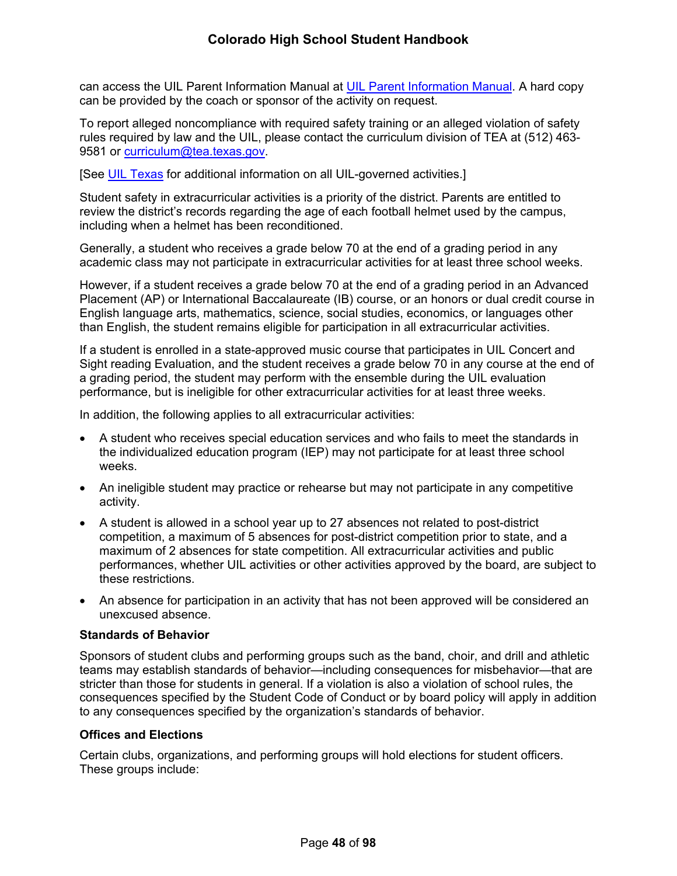can access the UIL Parent Information Manual at [UIL Parent Information Manual](https://www.uiltexas.org/athletics/manuals). A hard copy can be provided by the coach or sponsor of the activity on request.

To report alleged noncompliance with required safety training or an alleged violation of safety rules required by law and the UIL, please contact the curriculum division of TEA at (512) 463 9581 or [curriculum@tea.texas.gov.](mailto:curriculum@tea.state.tx.us)

[See [UIL Texas](http://www.uiltexas.org/) for additional information on all UIL-governed activities.]

Student safety in extracurricular activities is a priority of the district. Parents are entitled to review the district's records regarding the age of each football helmet used by the campus, including when a helmet has been reconditioned.

Generally, a student who receives a grade below 70 at the end of a grading period in any academic class may not participate in extracurricular activities for at least three school weeks.

However, if a student receives a grade below 70 at the end of a grading period in an Advanced Placement (AP) or International Baccalaureate (IB) course, or an honors or dual credit course in English language arts, mathematics, science, social studies, economics, or languages other than English, the student remains eligible for participation in all extracurricular activities.

If a student is enrolled in a state-approved music course that participates in UIL Concert and Sight reading Evaluation, and the student receives a grade below 70 in any course at the end of a grading period, the student may perform with the ensemble during the UIL evaluation performance, but is ineligible for other extracurricular activities for at least three weeks.

In addition, the following applies to all extracurricular activities:

- A student who receives special education services and who fails to meet the standards in the individualized education program (IEP) may not participate for at least three school weeks.
- An ineligible student may practice or rehearse but may not participate in any competitive activity.
- A student is allowed in a school year up to 27 absences not related to post-district competition, a maximum of 5 absences for post-district competition prior to state, and a maximum of 2 absences for state competition. All extracurricular activities and public performances, whether UIL activities or other activities approved by the board, are subject to these restrictions.
- An absence for participation in an activity that has not been approved will be considered an unexcused absence.

## **Standards of Behavior**

Sponsors of student clubs and performing groups such as the band, choir, and drill and athletic teams may establish standards of behavior—including consequences for misbehavior—that are stricter than those for students in general. If a violation is also a violation of school rules, the consequences specified by the Student Code of Conduct or by board policy will apply in addition to any consequences specified by the organization's standards of behavior.

## **Offices and Elections**

Certain clubs, organizations, and performing groups will hold elections for student officers. These groups include: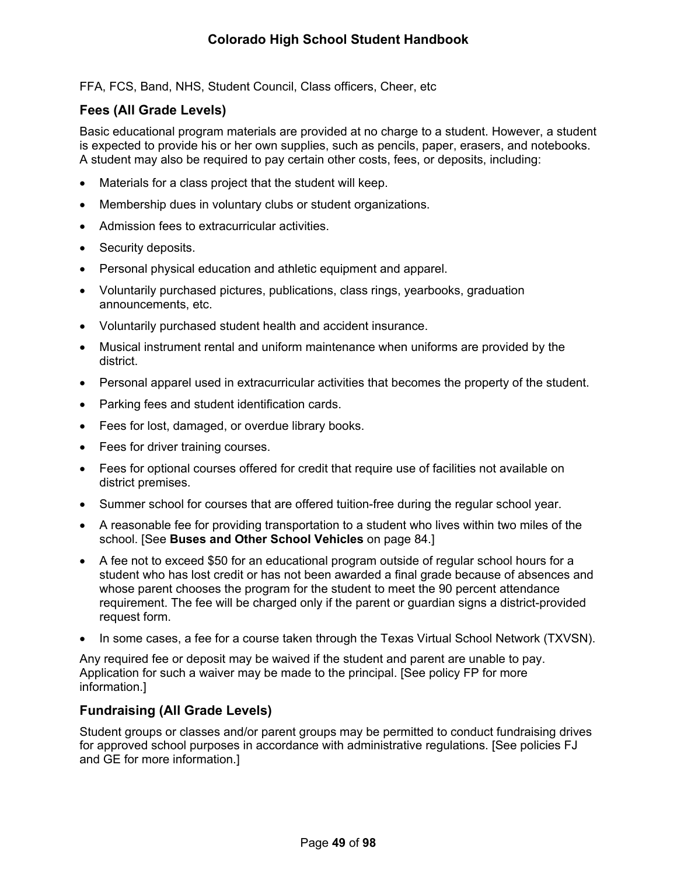FFA, FCS, Band, NHS, Student Council, Class officers, Cheer, etc

## <span id="page-54-0"></span>**Fees (All Grade Levels)**

Basic educational program materials are provided at no charge to a student. However, a student is expected to provide his or her own supplies, such as pencils, paper, erasers, and notebooks. A student may also be required to pay certain other costs, fees, or deposits, including:

- Materials for a class project that the student will keep.
- Membership dues in voluntary clubs or student organizations.
- Admission fees to extracurricular activities.
- Security deposits.
- Personal physical education and athletic equipment and apparel.
- Voluntarily purchased pictures, publications, class rings, yearbooks, graduation announcements, etc.
- Voluntarily purchased student health and accident insurance.
- Musical instrument rental and uniform maintenance when uniforms are provided by the district.
- Personal apparel used in extracurricular activities that becomes the property of the student.
- Parking fees and student identification cards.
- Fees for lost, damaged, or overdue library books.
- Fees for driver training courses.
- Fees for optional courses offered for credit that require use of facilities not available on district premises.
- Summer school for courses that are offered tuition-free during the regular school year.
- A reasonable fee for providing transportation to a student who lives within two miles of the school. [See **Buses and Other School Vehicles** on page [84](#page-87-1).]
- A fee not to exceed \$50 for an educational program outside of regular school hours for a student who has lost credit or has not been awarded a final grade because of absences and whose parent chooses the program for the student to meet the 90 percent attendance requirement. The fee will be charged only if the parent or guardian signs a district-provided request form.
- In some cases, a fee for a course taken through the Texas Virtual School Network (TXVSN).

Any required fee or deposit may be waived if the student and parent are unable to pay. Application for such a waiver may be made to the principal. [See policy FP for more information.]

# **Fundraising (All Grade Levels)**

Student groups or classes and/or parent groups may be permitted to conduct fundraising drives for approved school purposes in accordance with administrative regulations. [See policies FJ and GE for more information.]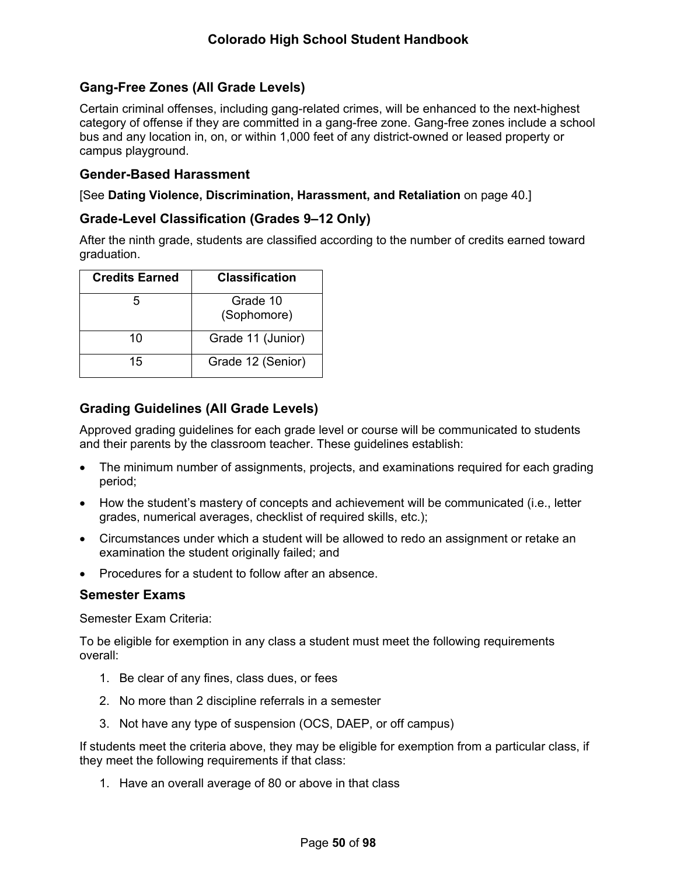# **Gang-Free Zones (All Grade Levels)**

Certain criminal offenses, including gang-related crimes, will be enhanced to the next-highest category of offense if they are committed in a gang-free zone. Gang-free zones include a school bus and any location in, on, or within 1,000 feet of any district-owned or leased property or campus playground.

## **Gender-Based Harassment**

[See **Dating Violence, Discrimination, Harassment, and Retaliation** on page [40.](#page-44-1)]

## **Grade-Level Classification (Grades 9–12 Only)**

After the ninth grade, students are classified according to the number of credits earned toward graduation.

| <b>Credits Earned</b> | <b>Classification</b>   |  |
|-----------------------|-------------------------|--|
| 5                     | Grade 10<br>(Sophomore) |  |
| 10                    | Grade 11 (Junior)       |  |
| 15                    | Grade 12 (Senior)       |  |

# **Grading Guidelines (All Grade Levels)**

Approved grading guidelines for each grade level or course will be communicated to students and their parents by the classroom teacher. These guidelines establish:

- The minimum number of assignments, projects, and examinations required for each grading period;
- How the student's mastery of concepts and achievement will be communicated (i.e., letter grades, numerical averages, checklist of required skills, etc.);
- Circumstances under which a student will be allowed to redo an assignment or retake an examination the student originally failed; and
- Procedures for a student to follow after an absence.

## **Semester Exams**

Semester Exam Criteria:

To be eligible for exemption in any class a student must meet the following requirements overall:

- 1. Be clear of any fines, class dues, or fees
- 2. No more than 2 discipline referrals in a semester
- 3. Not have any type of suspension (OCS, DAEP, or off campus)

If students meet the criteria above, they may be eligible for exemption from a particular class, if they meet the following requirements if that class:

1. Have an overall average of 80 or above in that class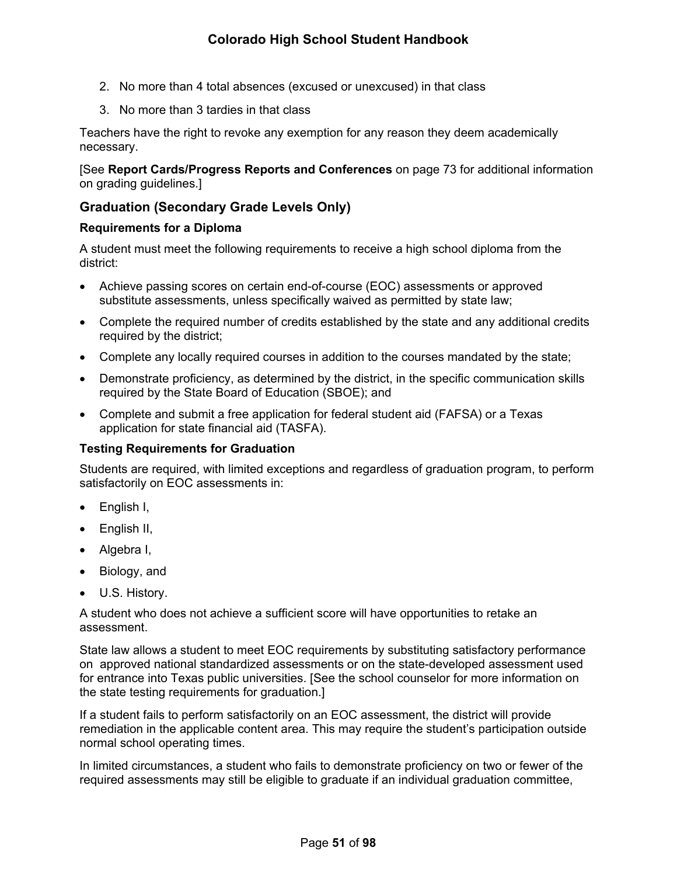- 2. No more than 4 total absences (excused or unexcused) in that class
- 3. No more than 3 tardies in that class

Teachers have the right to revoke any exemption for any reason they deem academically necessary.

[See **Report Cards/Progress Reports and Conferences** on page [73](#page-77-1) for additional information on grading guidelines.]

# <span id="page-56-0"></span>**Graduation (Secondary Grade Levels Only)**

## **Requirements for a Diploma**

A student must meet the following requirements to receive a high school diploma from the district:

- Achieve passing scores on certain end-of-course (EOC) assessments or approved substitute assessments, unless specifically waived as permitted by state law;
- Complete the required number of credits established by the state and any additional credits required by the district;
- Complete any locally required courses in addition to the courses mandated by the state;
- Demonstrate proficiency, as determined by the district, in the specific communication skills required by the State Board of Education (SBOE); and
- Complete and submit a free application for federal student aid (FAFSA) or a Texas application for state financial aid (TASFA).

## **Testing Requirements for Graduation**

Students are required, with limited exceptions and regardless of graduation program, to perform satisfactorily on EOC assessments in:

- English I,
- English II,
- Algebra I,
- Biology, and
- U.S. History.

A student who does not achieve a sufficient score will have opportunities to retake an assessment.

State law allows a student to meet EOC requirements by substituting satisfactory performance on approved national standardized assessments or on the state-developed assessment used for entrance into Texas public universities. [See the school counselor for more information on the state testing requirements for graduation.]

If a student fails to perform satisfactorily on an EOC assessment, the district will provide remediation in the applicable content area. This may require the student's participation outside normal school operating times.

In limited circumstances, a student who fails to demonstrate proficiency on two or fewer of the required assessments may still be eligible to graduate if an individual graduation committee,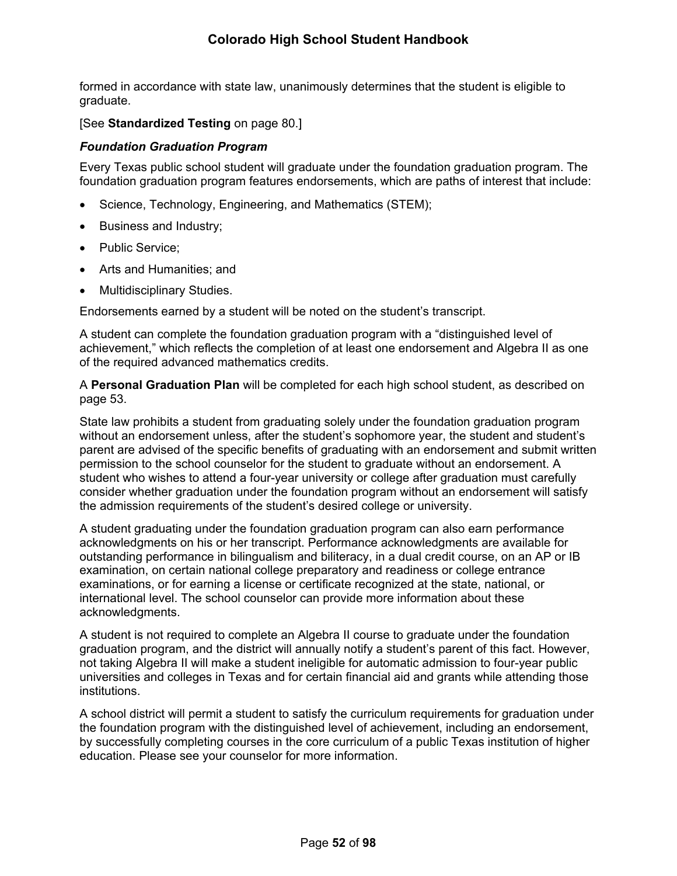formed in accordance with state law, unanimously determines that the student is eligible to graduate.

[See **Standardized Testing** on page [80](#page-84-0).]

### *Foundation Graduation Program*

Every Texas public school student will graduate under the foundation graduation program. The foundation graduation program features endorsements, which are paths of interest that include:

- Science, Technology, Engineering, and Mathematics (STEM);
- Business and Industry;
- Public Service;
- Arts and Humanities; and
- Multidisciplinary Studies.

Endorsements earned by a student will be noted on the student's transcript.

A student can complete the foundation graduation program with a "distinguished level of achievement," which reflects the completion of at least one endorsement and Algebra II as one of the required advanced mathematics credits.

A **Personal Graduation Plan** will be completed for each high school student, as described on page [53.](#page-59-0)

State law prohibits a student from graduating solely under the foundation graduation program without an endorsement unless, after the student's sophomore year, the student and student's parent are advised of the specific benefits of graduating with an endorsement and submit written permission to the school counselor for the student to graduate without an endorsement. A student who wishes to attend a four-year university or college after graduation must carefully consider whether graduation under the foundation program without an endorsement will satisfy the admission requirements of the student's desired college or university.

A student graduating under the foundation graduation program can also earn performance acknowledgments on his or her transcript. Performance acknowledgments are available for outstanding performance in bilingualism and biliteracy, in a dual credit course, on an AP or IB examination, on certain national college preparatory and readiness or college entrance examinations, or for earning a license or certificate recognized at the state, national, or international level. The school counselor can provide more information about these acknowledgments.

A student is not required to complete an Algebra II course to graduate under the foundation graduation program, and the district will annually notify a student's parent of this fact. However, not taking Algebra II will make a student ineligible for automatic admission to four-year public universities and colleges in Texas and for certain financial aid and grants while attending those institutions.

A school district will permit a student to satisfy the curriculum requirements for graduation under the foundation program with the distinguished level of achievement, including an endorsement, by successfully completing courses in the core curriculum of a public Texas institution of higher education. Please see your counselor for more information.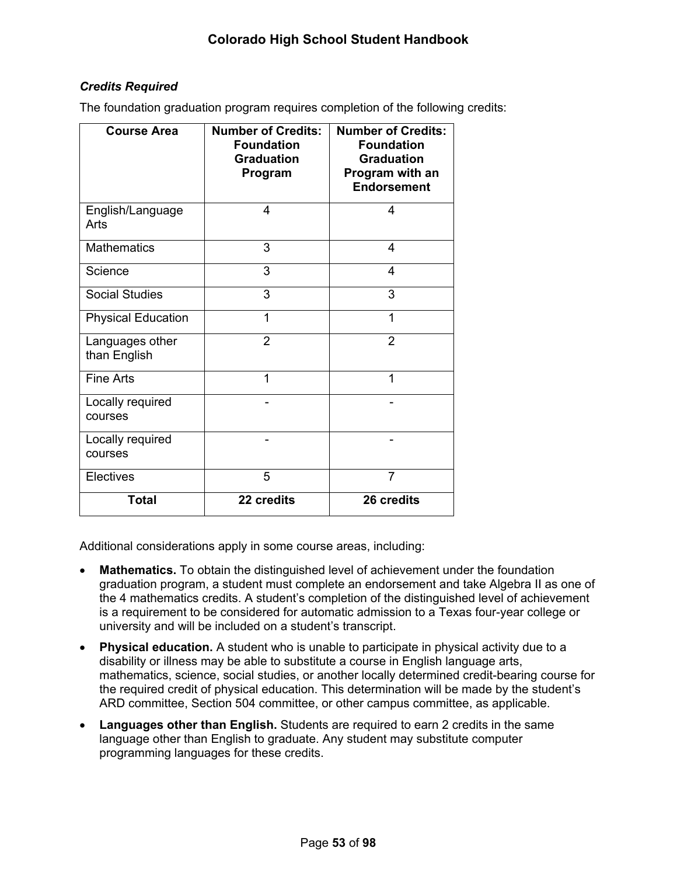## *Credits Required*

The foundation graduation program requires completion of the following credits:

| <b>Course Area</b>              | <b>Number of Credits:</b><br><b>Foundation</b><br><b>Graduation</b><br>Program | <b>Number of Credits:</b><br><b>Foundation</b><br><b>Graduation</b><br>Program with an<br><b>Endorsement</b> |
|---------------------------------|--------------------------------------------------------------------------------|--------------------------------------------------------------------------------------------------------------|
| English/Language<br>Arts        | 4                                                                              | 4                                                                                                            |
| <b>Mathematics</b>              | 3                                                                              | 4                                                                                                            |
| Science                         | 3                                                                              | 4                                                                                                            |
| <b>Social Studies</b>           | 3                                                                              | 3                                                                                                            |
| <b>Physical Education</b>       | 1                                                                              | 1                                                                                                            |
| Languages other<br>than English | $\overline{2}$                                                                 | $\overline{2}$                                                                                               |
| <b>Fine Arts</b>                | 1                                                                              | 1                                                                                                            |
| Locally required<br>courses     |                                                                                |                                                                                                              |
| Locally required<br>courses     |                                                                                |                                                                                                              |
| Electives                       | 5                                                                              | $\overline{7}$                                                                                               |
| <b>Total</b>                    | 22 credits                                                                     | 26 credits                                                                                                   |

Additional considerations apply in some course areas, including:

- **Mathematics.** To obtain the distinguished level of achievement under the foundation graduation program, a student must complete an endorsement and take Algebra II as one of the 4 mathematics credits. A student's completion of the distinguished level of achievement is a requirement to be considered for automatic admission to a Texas four-year college or university and will be included on a student's transcript.
- **Physical education.** A student who is unable to participate in physical activity due to a disability or illness may be able to substitute a course in English language arts, mathematics, science, social studies, or another locally determined credit-bearing course for the required credit of physical education. This determination will be made by the student's ARD committee, Section 504 committee, or other campus committee, as applicable.
- **Languages other than English.** Students are required to earn 2 credits in the same language other than English to graduate. Any student may substitute computer programming languages for these credits.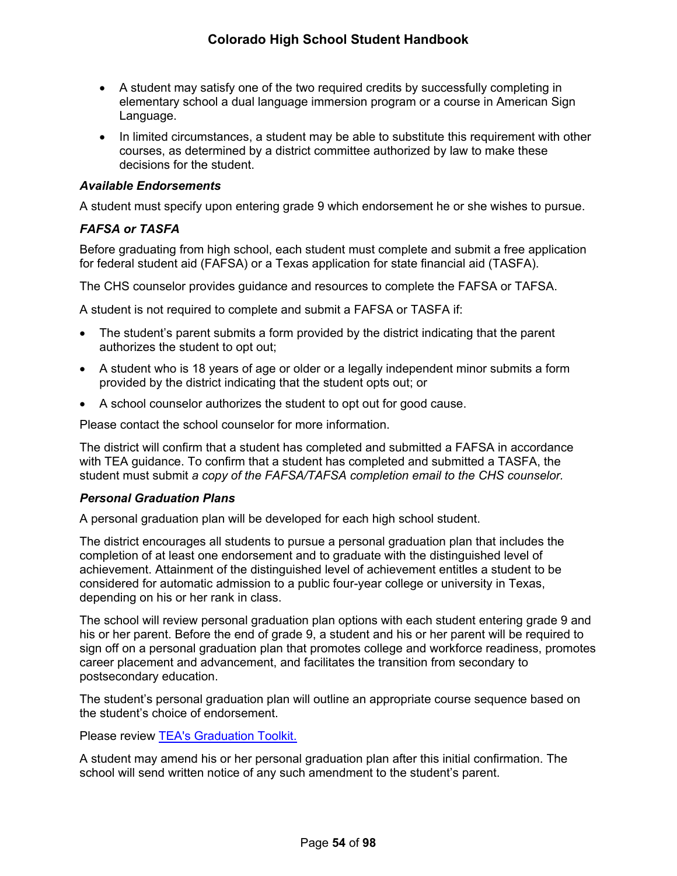- A student may satisfy one of the two required credits by successfully completing in elementary school a dual language immersion program or a course in American Sign Language.
- In limited circumstances, a student may be able to substitute this requirement with other courses, as determined by a district committee authorized by law to make these decisions for the student.

### *Available Endorsements*

A student must specify upon entering grade 9 which endorsement he or she wishes to pursue.

## *FAFSA or TASFA*

Before graduating from high school, each student must complete and submit a free application for federal student aid (FAFSA) or a Texas application for state financial aid (TASFA).

The CHS counselor provides guidance and resources to complete the FAFSA or TAFSA.

A student is not required to complete and submit a FAFSA or TASFA if:

- The student's parent submits a form provided by the district indicating that the parent authorizes the student to opt out;
- A student who is 18 years of age or older or a legally independent minor submits a form provided by the district indicating that the student opts out; or
- A school counselor authorizes the student to opt out for good cause.

Please contact the school counselor for more information.

The district will confirm that a student has completed and submitted a FAFSA in accordance with TEA guidance. To confirm that a student has completed and submitted a TASFA, the student must submit *a copy of the FAFSA/TAFSA completion email to the CHS counselor.* 

#### <span id="page-59-0"></span>*Personal Graduation Plans*

A personal graduation plan will be developed for each high school student.

The district encourages all students to pursue a personal graduation plan that includes the completion of at least one endorsement and to graduate with the distinguished level of achievement. Attainment of the distinguished level of achievement entitles a student to be considered for automatic admission to a public four-year college or university in Texas, depending on his or her rank in class.

The school will review personal graduation plan options with each student entering grade 9 and his or her parent. Before the end of grade 9, a student and his or her parent will be required to sign off on a personal graduation plan that promotes college and workforce readiness, promotes career placement and advancement, and facilitates the transition from secondary to postsecondary education.

The student's personal graduation plan will outline an appropriate course sequence based on the student's choice of endorsement.

Please review [TEA's Graduation Toolkit](https://tea.texas.gov/about-tea/news-and-multimedia/brochures/tea-brochures).

A student may amend his or her personal graduation plan after this initial confirmation. The school will send written notice of any such amendment to the student's parent.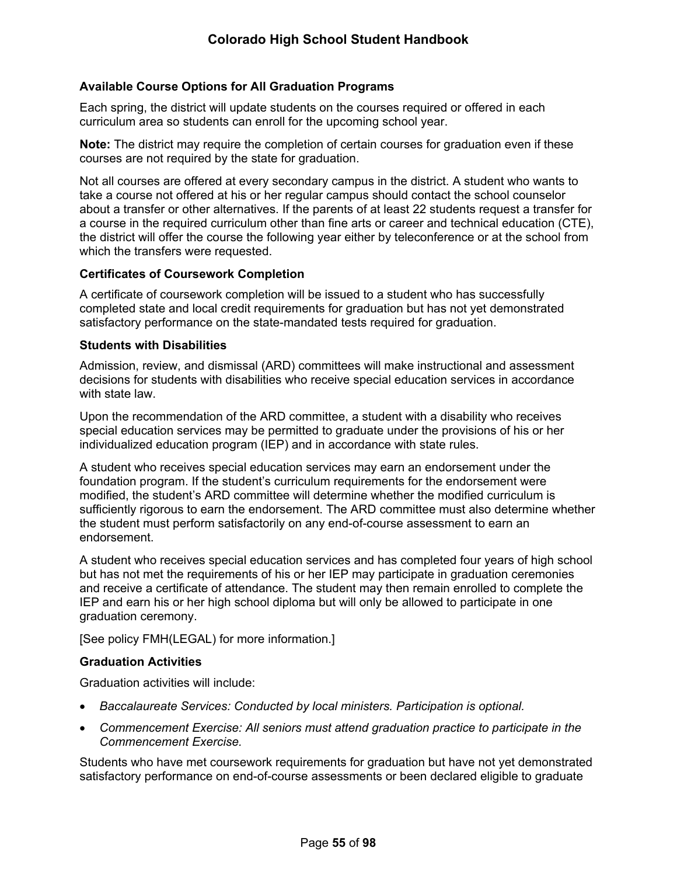### **Available Course Options for All Graduation Programs**

Each spring, the district will update students on the courses required or offered in each curriculum area so students can enroll for the upcoming school year.

**Note:** The district may require the completion of certain courses for graduation even if these courses are not required by the state for graduation.

Not all courses are offered at every secondary campus in the district. A student who wants to take a course not offered at his or her regular campus should contact the school counselor about a transfer or other alternatives. If the parents of at least 22 students request a transfer for a course in the required curriculum other than fine arts or career and technical education (CTE), the district will offer the course the following year either by teleconference or at the school from which the transfers were requested.

#### **Certificates of Coursework Completion**

A certificate of coursework completion will be issued to a student who has successfully completed state and local credit requirements for graduation but has not yet demonstrated satisfactory performance on the state-mandated tests required for graduation.

#### **Students with Disabilities**

Admission, review, and dismissal (ARD) committees will make instructional and assessment decisions for students with disabilities who receive special education services in accordance with state law.

Upon the recommendation of the ARD committee, a student with a disability who receives special education services may be permitted to graduate under the provisions of his or her individualized education program (IEP) and in accordance with state rules.

A student who receives special education services may earn an endorsement under the foundation program. If the student's curriculum requirements for the endorsement were modified, the student's ARD committee will determine whether the modified curriculum is sufficiently rigorous to earn the endorsement. The ARD committee must also determine whether the student must perform satisfactorily on any end-of-course assessment to earn an endorsement.

A student who receives special education services and has completed four years of high school but has not met the requirements of his or her IEP may participate in graduation ceremonies and receive a certificate of attendance. The student may then remain enrolled to complete the IEP and earn his or her high school diploma but will only be allowed to participate in one graduation ceremony.

[See policy FMH(LEGAL) for more information.]

#### **Graduation Activities**

Graduation activities will include:

- *Baccalaureate Services: Conducted by local ministers. Participation is optional.*
- *Commencement Exercise: All seniors must attend graduation practice to participate in the Commencement Exercise.*

Students who have met coursework requirements for graduation but have not yet demonstrated satisfactory performance on end-of-course assessments or been declared eligible to graduate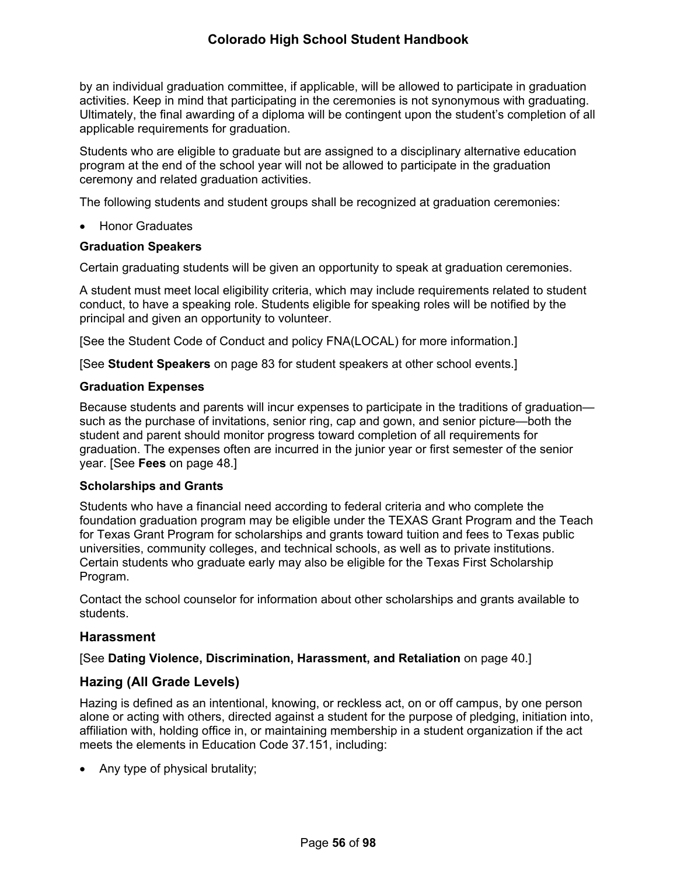by an individual graduation committee, if applicable, will be allowed to participate in graduation activities. Keep in mind that participating in the ceremonies is not synonymous with graduating. Ultimately, the final awarding of a diploma will be contingent upon the student's completion of all applicable requirements for graduation.

Students who are eligible to graduate but are assigned to a disciplinary alternative education program at the end of the school year will not be allowed to participate in the graduation ceremony and related graduation activities.

The following students and student groups shall be recognized at graduation ceremonies:

• Honor Graduates

### **Graduation Speakers**

Certain graduating students will be given an opportunity to speak at graduation ceremonies.

A student must meet local eligibility criteria, which may include requirements related to student conduct, to have a speaking role. Students eligible for speaking roles will be notified by the principal and given an opportunity to volunteer.

[See the Student Code of Conduct and policy FNA(LOCAL) for more information.]

[See **Student Speakers** on page [83](#page-86-1) for student speakers at other school events.]

### **Graduation Expenses**

Because students and parents will incur expenses to participate in the traditions of graduation such as the purchase of invitations, senior ring, cap and gown, and senior picture—both the student and parent should monitor progress toward completion of all requirements for graduation. The expenses often are incurred in the junior year or first semester of the senior year. [See **Fees** on page [48](#page-54-0).]

#### **Scholarships and Grants**

Students who have a financial need according to federal criteria and who complete the foundation graduation program may be eligible under the TEXAS Grant Program and the Teach for Texas Grant Program for scholarships and grants toward tuition and fees to Texas public universities, community colleges, and technical schools, as well as to private institutions. Certain students who graduate early may also be eligible for the Texas First Scholarship Program.

Contact the school counselor for information about other scholarships and grants available to students.

## **Harassment**

[See **Dating Violence, Discrimination, Harassment, and Retaliation** on page [40.](#page-44-1)]

## **Hazing (All Grade Levels)**

Hazing is defined as an intentional, knowing, or reckless act, on or off campus, by one person alone or acting with others, directed against a student for the purpose of pledging, initiation into, affiliation with, holding office in, or maintaining membership in a student organization if the act meets the elements in Education Code 37.151, including:

• Any type of physical brutality;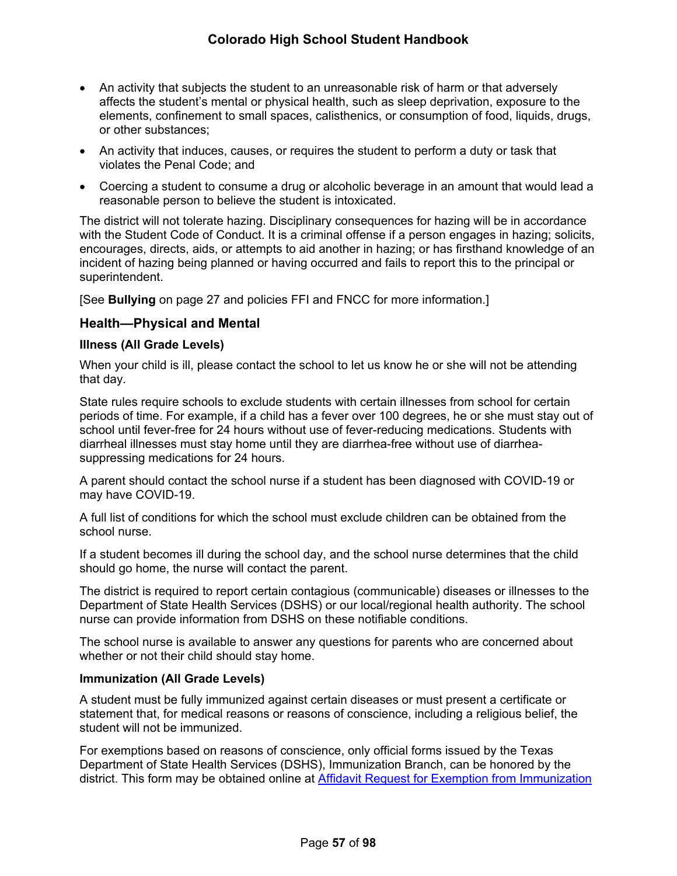- An activity that subjects the student to an unreasonable risk of harm or that adversely affects the student's mental or physical health, such as sleep deprivation, exposure to the elements, confinement to small spaces, calisthenics, or consumption of food, liquids, drugs, or other substances;
- An activity that induces, causes, or requires the student to perform a duty or task that violates the Penal Code; and
- Coercing a student to consume a drug or alcoholic beverage in an amount that would lead a reasonable person to believe the student is intoxicated.

The district will not tolerate hazing. Disciplinary consequences for hazing will be in accordance with the Student Code of Conduct. It is a criminal offense if a person engages in hazing; solicits, encourages, directs, aids, or attempts to aid another in hazing; or has firsthand knowledge of an incident of hazing being planned or having occurred and fails to report this to the principal or superintendent.

[See **Bullying** on page [27](#page-31-0) and policies FFI and FNCC for more information.]

## **Health—Physical and Mental**

#### **Illness (All Grade Levels)**

When your child is ill, please contact the school to let us know he or she will not be attending that day.

State rules require schools to exclude students with certain illnesses from school for certain periods of time. For example, if a child has a fever over 100 degrees, he or she must stay out of school until fever-free for 24 hours without use of fever-reducing medications. Students with diarrheal illnesses must stay home until they are diarrhea-free without use of diarrheasuppressing medications for 24 hours.

A parent should contact the school nurse if a student has been diagnosed with COVID-19 or may have COVID-19.

A full list of conditions for which the school must exclude children can be obtained from the school nurse.

If a student becomes ill during the school day, and the school nurse determines that the child should go home, the nurse will contact the parent.

The district is required to report certain contagious (communicable) diseases or illnesses to the Department of State Health Services (DSHS) or our local/regional health authority. The school nurse can provide information from DSHS on these notifiable conditions.

The school nurse is available to answer any questions for parents who are concerned about whether or not their child should stay home.

#### <span id="page-62-0"></span>**Immunization (All Grade Levels)**

A student must be fully immunized against certain diseases or must present a certificate or statement that, for medical reasons or reasons of conscience, including a religious belief, the student will not be immunized.

For exemptions based on reasons of conscience, only official forms issued by the Texas Department of State Health Services (DSHS), Immunization Branch, can be honored by the district. This form may be obtained online at [Affidavit Request for Exemption from Immunization](https://corequest.dshs.texas.gov/)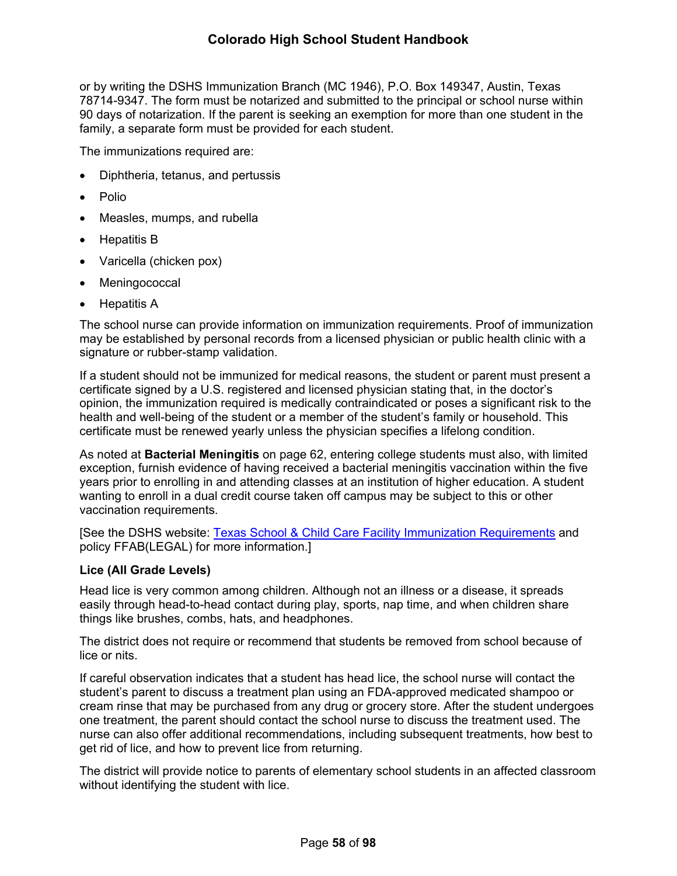or by writing the DSHS Immunization Branch (MC 1946), P.O. Box 149347, Austin, Texas 78714-9347. The form must be notarized and submitted to the principal or school nurse within 90 days of notarization. If the parent is seeking an exemption for more than one student in the family, a separate form must be provided for each student.

The immunizations required are:

- Diphtheria, tetanus, and pertussis
- Polio
- Measles, mumps, and rubella
- Hepatitis B
- Varicella (chicken pox)
- Meningococcal
- Hepatitis A

The school nurse can provide information on immunization requirements. Proof of immunization may be established by personal records from a licensed physician or public health clinic with a signature or rubber-stamp validation.

If a student should not be immunized for medical reasons, the student or parent must present a certificate signed by a U.S. registered and licensed physician stating that, in the doctor's opinion, the immunization required is medically contraindicated or poses a significant risk to the health and well-being of the student or a member of the student's family or household. This certificate must be renewed yearly unless the physician specifies a lifelong condition.

As noted at **Bacterial Meningitis** on page [62,](#page-67-0) entering college students must also, with limited exception, furnish evidence of having received a bacterial meningitis vaccination within the five years prior to enrolling in and attending classes at an institution of higher education. A student wanting to enroll in a dual credit course taken off campus may be subject to this or other vaccination requirements.

[See the DSHS website: [Texas School & Child Care Facility Immunization Requirements](http://www.dshs.state.tx.us/immunize/school/default.shtm) and policy FFAB(LEGAL) for more information.]

#### **Lice (All Grade Levels)**

Head lice is very common among children. Although not an illness or a disease, it spreads easily through head-to-head contact during play, sports, nap time, and when children share things like brushes, combs, hats, and headphones.

The district does not require or recommend that students be removed from school because of lice or nits.

If careful observation indicates that a student has head lice, the school nurse will contact the student's parent to discuss a treatment plan using an FDA-approved medicated shampoo or cream rinse that may be purchased from any drug or grocery store. After the student undergoes one treatment, the parent should contact the school nurse to discuss the treatment used. The nurse can also offer additional recommendations, including subsequent treatments, how best to get rid of lice, and how to prevent lice from returning.

The district will provide notice to parents of elementary school students in an affected classroom without identifying the student with lice.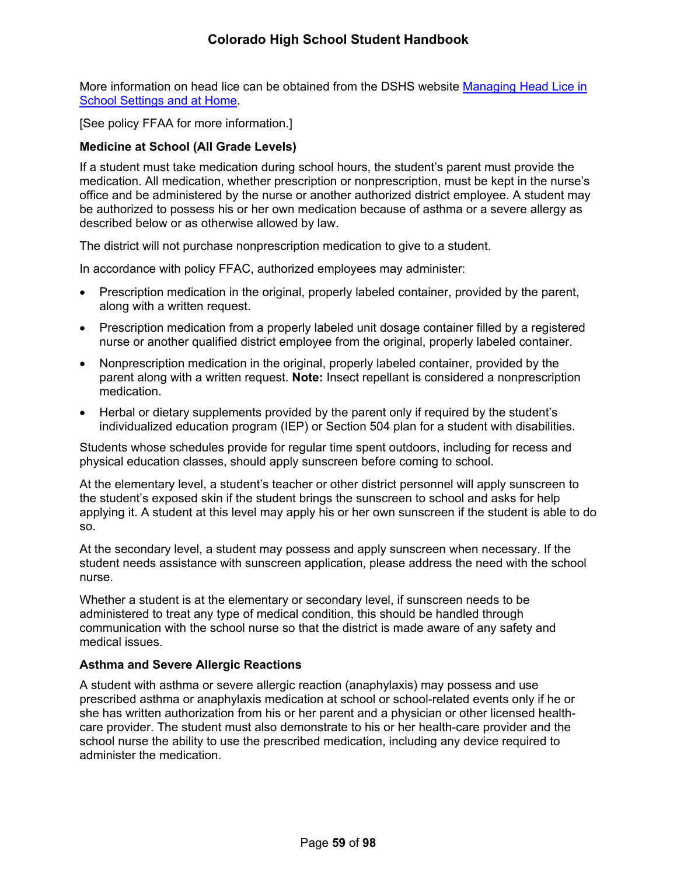More information on head lice can be obtained from the DSHS website Managing Head Lice in [School Settings and at Home](http://www.dshs.state.tx.us/schoolhealth/lice.shtm).

[See policy FFAA for more information.]

## <span id="page-64-0"></span>**Medicine at School (All Grade Levels)**

If a student must take medication during school hours, the student's parent must provide the medication. All medication, whether prescription or nonprescription, must be kept in the nurse's office and be administered by the nurse or another authorized district employee. A student may be authorized to possess his or her own medication because of asthma or a severe allergy as described below or as otherwise allowed by law.

The district will not purchase nonprescription medication to give to a student.

In accordance with policy FFAC, authorized employees may administer:

- Prescription medication in the original, properly labeled container, provided by the parent, along with a written request.
- Prescription medication from a properly labeled unit dosage container filled by a registered nurse or another qualified district employee from the original, properly labeled container.
- Nonprescription medication in the original, properly labeled container, provided by the parent along with a written request. **Note:** Insect repellant is considered a nonprescription medication.
- Herbal or dietary supplements provided by the parent only if required by the student's individualized education program (IEP) or Section 504 plan for a student with disabilities.

Students whose schedules provide for regular time spent outdoors, including for recess and physical education classes, should apply sunscreen before coming to school.

At the elementary level, a student's teacher or other district personnel will apply sunscreen to the student's exposed skin if the student brings the sunscreen to school and asks for help applying it. A student at this level may apply his or her own sunscreen if the student is able to do so.

At the secondary level, a student may possess and apply sunscreen when necessary. If the student needs assistance with sunscreen application, please address the need with the school nurse.

Whether a student is at the elementary or secondary level, if sunscreen needs to be administered to treat any type of medical condition, this should be handled through communication with the school nurse so that the district is made aware of any safety and medical issues.

## **Asthma and Severe Allergic Reactions**

A student with asthma or severe allergic reaction (anaphylaxis) may possess and use prescribed asthma or anaphylaxis medication at school or school-related events only if he or she has written authorization from his or her parent and a physician or other licensed healthcare provider. The student must also demonstrate to his or her health-care provider and the school nurse the ability to use the prescribed medication, including any device required to administer the medication.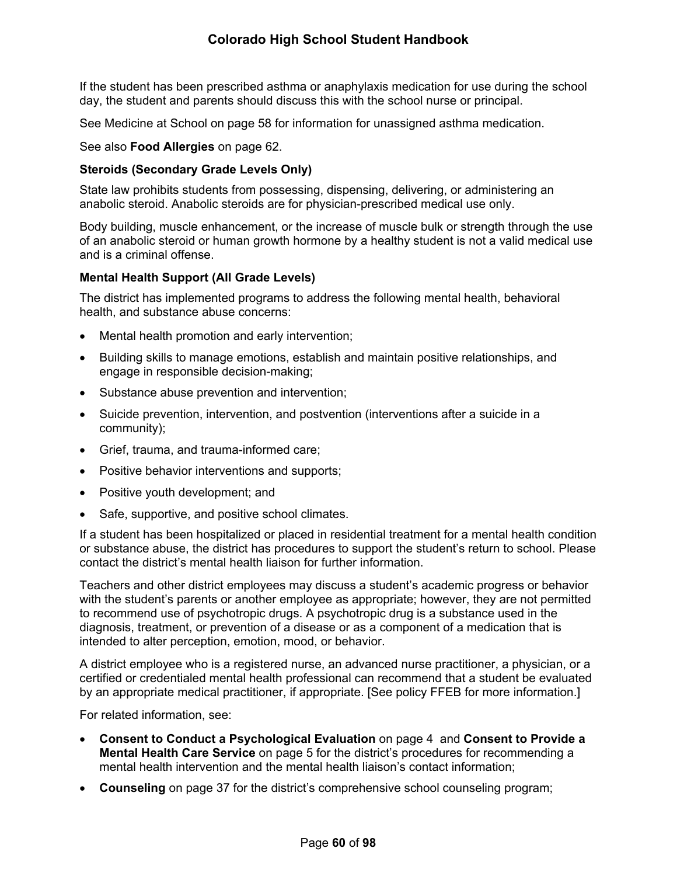If the student has been prescribed asthma or anaphylaxis medication for use during the school day, the student and parents should discuss this with the school nurse or principal.

See Medicine at School on page [58](#page-64-0) for information for unassigned asthma medication.

### See also **Food Allergies** on page [62](#page-67-1).

#### **Steroids (Secondary Grade Levels Only)**

State law prohibits students from possessing, dispensing, delivering, or administering an anabolic steroid. Anabolic steroids are for physician-prescribed medical use only.

Body building, muscle enhancement, or the increase of muscle bulk or strength through the use of an anabolic steroid or human growth hormone by a healthy student is not a valid medical use and is a criminal offense.

#### <span id="page-65-0"></span>**Mental Health Support (All Grade Levels)**

The district has implemented programs to address the following mental health, behavioral health, and substance abuse concerns:

- Mental health promotion and early intervention;
- Building skills to manage emotions, establish and maintain positive relationships, and engage in responsible decision-making;
- Substance abuse prevention and intervention;
- Suicide prevention, intervention, and postvention (interventions after a suicide in a community);
- Grief, trauma, and trauma-informed care;
- Positive behavior interventions and supports;
- Positive youth development; and
- Safe, supportive, and positive school climates.

If a student has been hospitalized or placed in residential treatment for a mental health condition or substance abuse, the district has procedures to support the student's return to school. Please contact the district's mental health liaison for further information.

Teachers and other district employees may discuss a student's academic progress or behavior with the student's parents or another employee as appropriate; however, they are not permitted to recommend use of psychotropic drugs. A psychotropic drug is a substance used in the diagnosis, treatment, or prevention of a disease or as a component of a medication that is intended to alter perception, emotion, mood, or behavior.

A district employee who is a registered nurse, an advanced nurse practitioner, a physician, or a certified or credentialed mental health professional can recommend that a student be evaluated by an appropriate medical practitioner, if appropriate. [See policy FFEB for more information.]

For related information, see:

- **Consent to Conduct a Psychological Evaluation** on page [4](#page-9-0) and **Consent to Provide a Mental Health Care Service** on page [5](#page-10-0) for the district's procedures for recommending a mental health intervention and the mental health liaison's contact information;
- **Counseling** on page [37](#page-41-0) for the district's comprehensive school counseling program;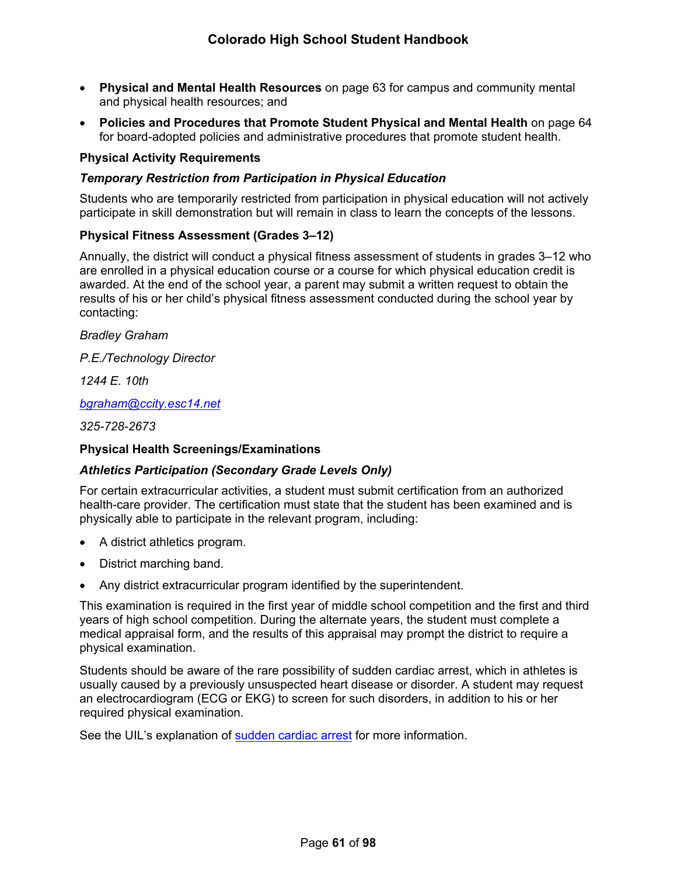- **Physical and Mental Health Resources** on page [63](#page-68-0) for campus and community mental and physical health resources; and
- **Policies and Procedures that Promote Student Physical and Mental Health** on page [64](#page-69-0)  for board-adopted policies and administrative procedures that promote student health.

### **Physical Activity Requirements**

### *Temporary Restriction from Participation in Physical Education*

Students who are temporarily restricted from participation in physical education will not actively participate in skill demonstration but will remain in class to learn the concepts of the lessons.

### **Physical Fitness Assessment (Grades 3–12)**

Annually, the district will conduct a physical fitness assessment of students in grades 3–12 who are enrolled in a physical education course or a course for which physical education credit is awarded. At the end of the school year, a parent may submit a written request to obtain the results of his or her child's physical fitness assessment conducted during the school year by contacting:

*Bradley Graham*

*P.E./Technology Director*

*1244 E. 10th*

*[bgraham@ccity.esc14.net](mailto:bgraham@ccity.esc14.net)*

*325-728-2673*

#### **Physical Health Screenings/Examinations**

#### *Athletics Participation (Secondary Grade Levels Only)*

For certain extracurricular activities, a student must submit certification from an authorized health-care provider. The certification must state that the student has been examined and is physically able to participate in the relevant program, including:

- A district athletics program.
- District marching band.
- Any district extracurricular program identified by the superintendent.

This examination is required in the first year of middle school competition and the first and third years of high school competition. During the alternate years, the student must complete a medical appraisal form, and the results of this appraisal may prompt the district to require a physical examination.

Students should be aware of the rare possibility of sudden cardiac arrest, which in athletes is usually caused by a previously unsuspected heart disease or disorder. A student may request an electrocardiogram (ECG or EKG) to screen for such disorders, in addition to his or her required physical examination.

See the UIL's explanation of [sudden cardiac arrest](https://www.uiltexas.org/health/info/sudden-cardiac-death) for more information.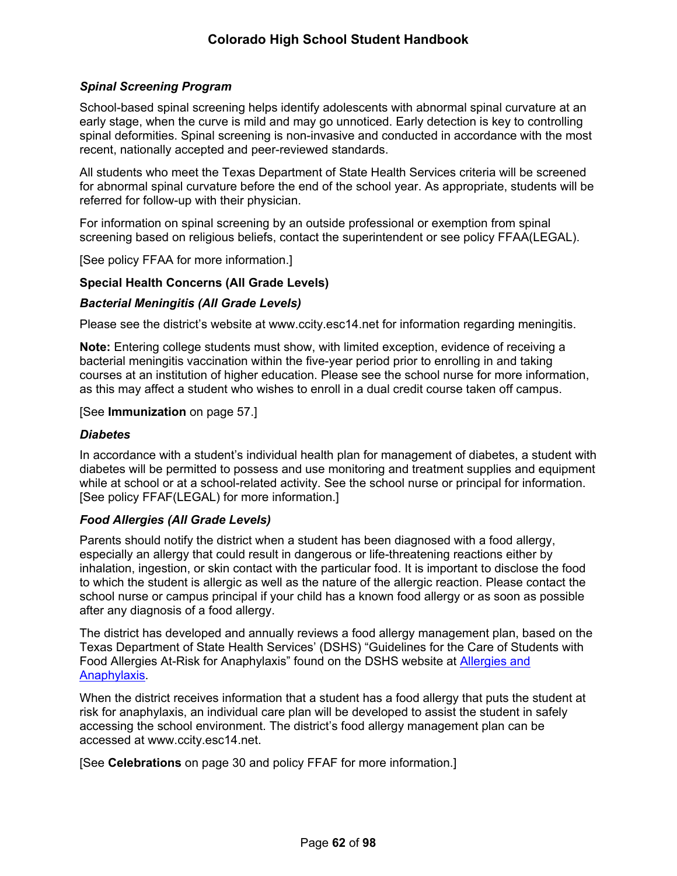## *Spinal Screening Program*

School-based spinal screening helps identify adolescents with abnormal spinal curvature at an early stage, when the curve is mild and may go unnoticed. Early detection is key to controlling spinal deformities. Spinal screening is non-invasive and conducted in accordance with the most recent, nationally accepted and peer-reviewed standards.

All students who meet the Texas Department of State Health Services criteria will be screened for abnormal spinal curvature before the end of the school year. As appropriate, students will be referred for follow-up with their physician.

For information on spinal screening by an outside professional or exemption from spinal screening based on religious beliefs, contact the superintendent or see policy FFAA(LEGAL).

[See policy FFAA for more information.]

### **Special Health Concerns (All Grade Levels)**

#### <span id="page-67-0"></span>*Bacterial Meningitis (All Grade Levels)*

Please see the district's website at www.ccity.esc14.net for information regarding meningitis.

**Note:** Entering college students must show, with limited exception, evidence of receiving a bacterial meningitis vaccination within the five-year period prior to enrolling in and taking courses at an institution of higher education. Please see the school nurse for more information, as this may affect a student who wishes to enroll in a dual credit course taken off campus.

#### [See **Immunization** on page [57.](#page-62-0)]

#### *Diabetes*

In accordance with a student's individual health plan for management of diabetes, a student with diabetes will be permitted to possess and use monitoring and treatment supplies and equipment while at school or at a school-related activity. See the school nurse or principal for information. [See policy FFAF(LEGAL) for more information.]

#### <span id="page-67-1"></span>*Food Allergies (All Grade Levels)*

Parents should notify the district when a student has been diagnosed with a food allergy, especially an allergy that could result in dangerous or life-threatening reactions either by inhalation, ingestion, or skin contact with the particular food. It is important to disclose the food to which the student is allergic as well as the nature of the allergic reaction. Please contact the school nurse or campus principal if your child has a known food allergy or as soon as possible after any diagnosis of a food allergy.

The district has developed and annually reviews a food allergy management plan, based on the Texas Department of State Health Services' (DSHS) "Guidelines for the Care of Students with Food Allergies At-Risk for Anaphylaxis" found on the DSHS website at [Allergies and](https://www.dshs.texas.gov/schoolhealth/allergiesandanaphylaxis/)  [Anaphylaxis](https://www.dshs.texas.gov/schoolhealth/allergiesandanaphylaxis/).

When the district receives information that a student has a food allergy that puts the student at risk for anaphylaxis, an individual care plan will be developed to assist the student in safely accessing the school environment. The district's food allergy management plan can be accessed at www.ccity.esc14.net.

[See **Celebrations** on page [30](#page-33-1) and policy FFAF for more information.]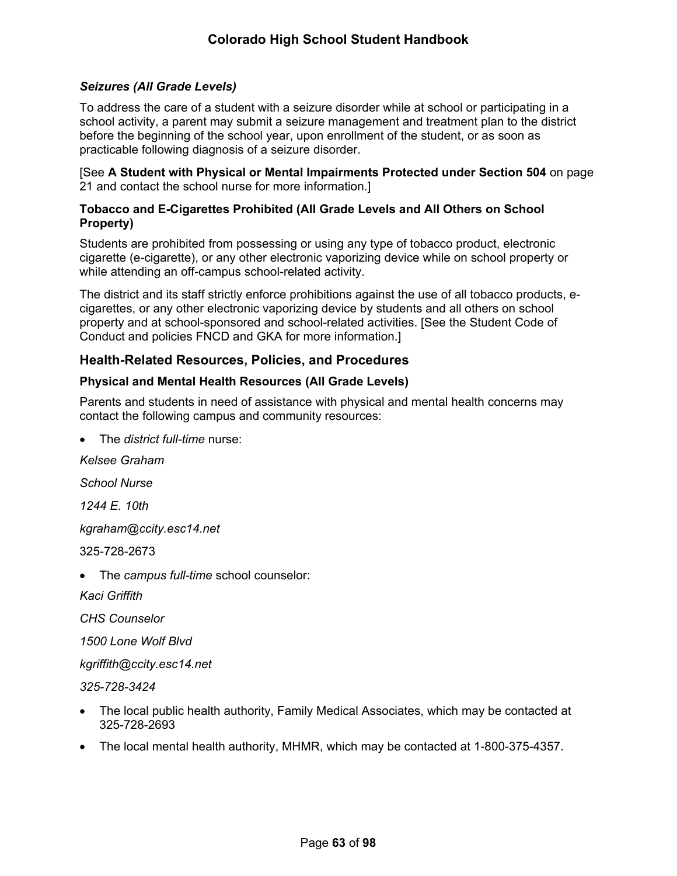### *Seizures (All Grade Levels)*

To address the care of a student with a seizure disorder while at school or participating in a school activity, a parent may submit a seizure management and treatment plan to the district before the beginning of the school year, upon enrollment of the student, or as soon as practicable following diagnosis of a seizure disorder.

[See **A Student with Physical or Mental Impairments Protected under Section 504** on page [21](#page-25-0) and contact the school nurse for more information.]

### **Tobacco and E-Cigarettes Prohibited (All Grade Levels and All Others on School Property)**

Students are prohibited from possessing or using any type of tobacco product, electronic cigarette (e-cigarette), or any other electronic vaporizing device while on school property or while attending an off-campus school-related activity.

The district and its staff strictly enforce prohibitions against the use of all tobacco products, ecigarettes, or any other electronic vaporizing device by students and all others on school property and at school-sponsored and school-related activities. [See the Student Code of Conduct and policies FNCD and GKA for more information.]

## **Health-Related Resources, Policies, and Procedures**

### <span id="page-68-0"></span>**Physical and Mental Health Resources (All Grade Levels)**

Parents and students in need of assistance with physical and mental health concerns may contact the following campus and community resources:

The *district full-time* nurse:

*Kelsee Graham*

*School Nurse*

*1244 E. 10th*

*kgraham@ccity.esc14.net*

325-728-2673

The *campus full-time* school counselor:

*Kaci Griffith*

*CHS Counselor*

*1500 Lone Wolf Blvd*

*kgriffith@ccity.esc14.net*

*325-728-3424*

- The local public health authority, Family Medical Associates, which may be contacted at 325-728-2693
- The local mental health authority, MHMR, which may be contacted at 1-800-375-4357.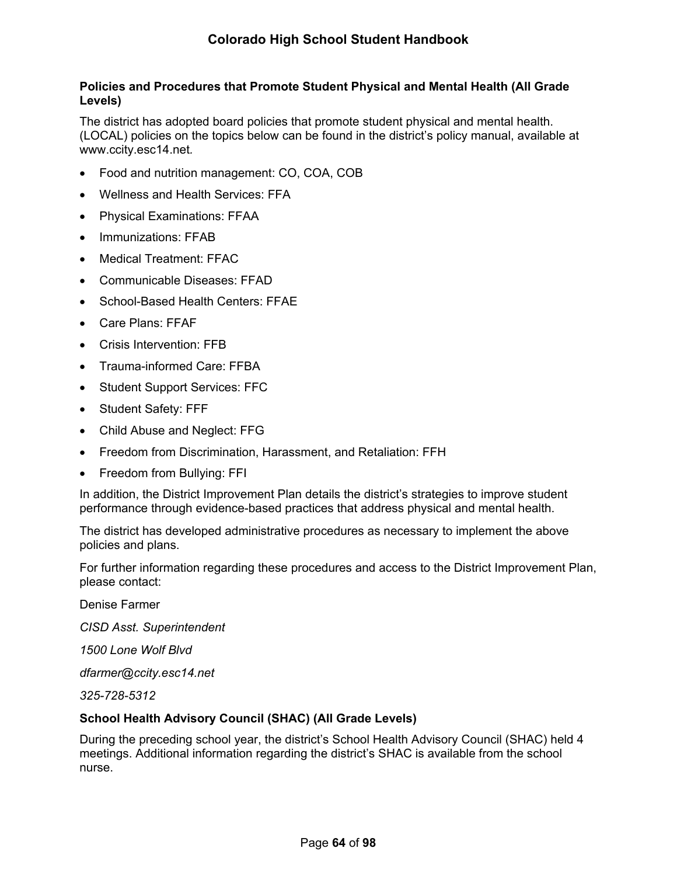### <span id="page-69-0"></span>**Policies and Procedures that Promote Student Physical and Mental Health (All Grade Levels)**

The district has adopted board policies that promote student physical and mental health. (LOCAL) policies on the topics below can be found in the district's policy manual, available at www.ccity.esc14.net*.*

- Food and nutrition management: CO, COA, COB
- Wellness and Health Services: FFA
- Physical Examinations: FFAA
- Immunizations: FFAB
- Medical Treatment: FFAC
- Communicable Diseases: FFAD
- School-Based Health Centers: FFAE
- Care Plans: FFAF
- Crisis Intervention: FFB
- Trauma-informed Care: FFBA
- Student Support Services: FFC
- Student Safety: FFF
- Child Abuse and Neglect: FFG
- Freedom from Discrimination, Harassment, and Retaliation: FFH
- Freedom from Bullying: FFI

In addition, the District Improvement Plan details the district's strategies to improve student performance through evidence-based practices that address physical and mental health.

The district has developed administrative procedures as necessary to implement the above policies and plans.

For further information regarding these procedures and access to the District Improvement Plan, please contact:

Denise Farmer

*CISD Asst. Superintendent*

*1500 Lone Wolf Blvd*

*dfarmer@ccity.esc14.net*

*325-728-5312*

## **School Health Advisory Council (SHAC) (All Grade Levels)**

During the preceding school year, the district's School Health Advisory Council (SHAC) held 4 meetings. Additional information regarding the district's SHAC is available from the school nurse.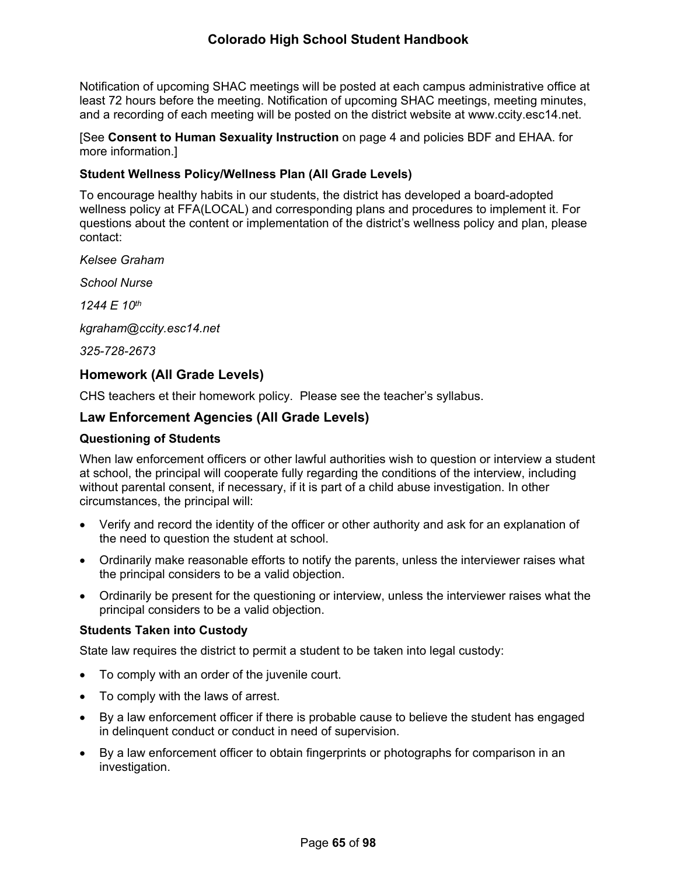Notification of upcoming SHAC meetings will be posted at each campus administrative office at least 72 hours before the meeting. Notification of upcoming SHAC meetings, meeting minutes, and a recording of each meeting will be posted on the district website at www.ccity.esc14.net.

[See **Consent to Human Sexuality Instruction** on page [4](#page-9-1) and policies BDF and EHAA. for more information.]

### **Student Wellness Policy/Wellness Plan (All Grade Levels)**

To encourage healthy habits in our students, the district has developed a board-adopted wellness policy at FFA(LOCAL) and corresponding plans and procedures to implement it. For questions about the content or implementation of the district's wellness policy and plan, please contact:

*Kelsee Graham*

*School Nurse*

*1244 E 10th*

*kgraham@ccity.esc14.net*

*325-728-2673*

## **Homework (All Grade Levels)**

CHS teachers et their homework policy. Please see the teacher's syllabus.

## **Law Enforcement Agencies (All Grade Levels)**

#### **Questioning of Students**

When law enforcement officers or other lawful authorities wish to question or interview a student at school, the principal will cooperate fully regarding the conditions of the interview, including without parental consent, if necessary, if it is part of a child abuse investigation. In other circumstances, the principal will:

- Verify and record the identity of the officer or other authority and ask for an explanation of the need to question the student at school.
- Ordinarily make reasonable efforts to notify the parents, unless the interviewer raises what the principal considers to be a valid objection.
- Ordinarily be present for the questioning or interview, unless the interviewer raises what the principal considers to be a valid objection.

#### **Students Taken into Custody**

State law requires the district to permit a student to be taken into legal custody:

- To comply with an order of the juvenile court.
- To comply with the laws of arrest.
- By a law enforcement officer if there is probable cause to believe the student has engaged in delinquent conduct or conduct in need of supervision.
- By a law enforcement officer to obtain fingerprints or photographs for comparison in an investigation.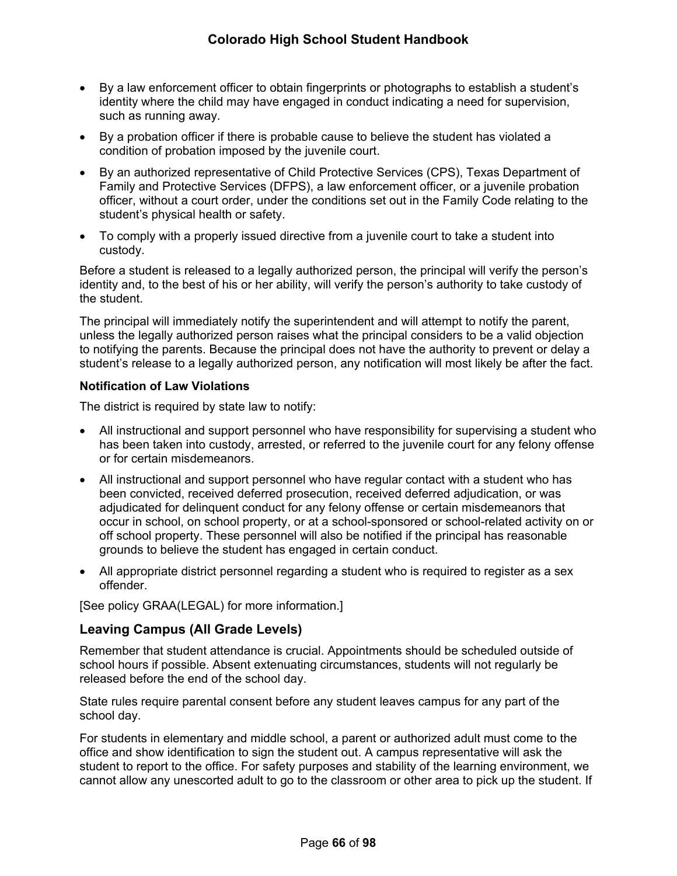- By a law enforcement officer to obtain fingerprints or photographs to establish a student's identity where the child may have engaged in conduct indicating a need for supervision, such as running away.
- By a probation officer if there is probable cause to believe the student has violated a condition of probation imposed by the juvenile court.
- By an authorized representative of Child Protective Services (CPS), Texas Department of Family and Protective Services (DFPS), a law enforcement officer, or a juvenile probation officer, without a court order, under the conditions set out in the Family Code relating to the student's physical health or safety.
- To comply with a properly issued directive from a juvenile court to take a student into custody.

Before a student is released to a legally authorized person, the principal will verify the person's identity and, to the best of his or her ability, will verify the person's authority to take custody of the student.

The principal will immediately notify the superintendent and will attempt to notify the parent, unless the legally authorized person raises what the principal considers to be a valid objection to notifying the parents. Because the principal does not have the authority to prevent or delay a student's release to a legally authorized person, any notification will most likely be after the fact.

## **Notification of Law Violations**

The district is required by state law to notify:

- All instructional and support personnel who have responsibility for supervising a student who has been taken into custody, arrested, or referred to the juvenile court for any felony offense or for certain misdemeanors.
- All instructional and support personnel who have regular contact with a student who has been convicted, received deferred prosecution, received deferred adjudication, or was adjudicated for delinquent conduct for any felony offense or certain misdemeanors that occur in school, on school property, or at a school-sponsored or school-related activity on or off school property. These personnel will also be notified if the principal has reasonable grounds to believe the student has engaged in certain conduct.
- All appropriate district personnel regarding a student who is required to register as a sex offender.

[See policy GRAA(LEGAL) for more information.]

# **Leaving Campus (All Grade Levels)**

Remember that student attendance is crucial. Appointments should be scheduled outside of school hours if possible. Absent extenuating circumstances, students will not regularly be released before the end of the school day.

State rules require parental consent before any student leaves campus for any part of the school day.

For students in elementary and middle school, a parent or authorized adult must come to the office and show identification to sign the student out. A campus representative will ask the student to report to the office. For safety purposes and stability of the learning environment, we cannot allow any unescorted adult to go to the classroom or other area to pick up the student. If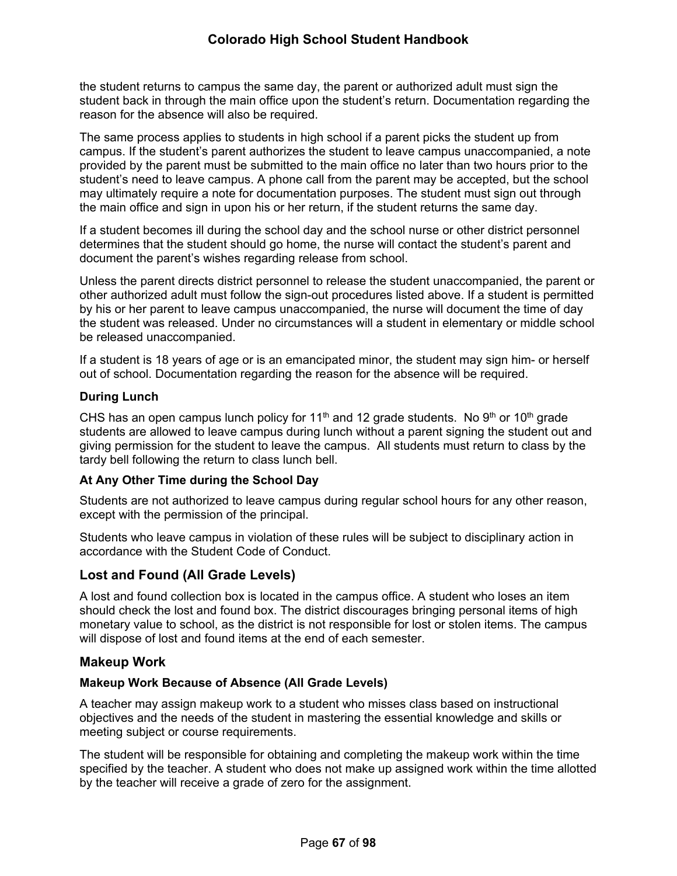the student returns to campus the same day, the parent or authorized adult must sign the student back in through the main office upon the student's return. Documentation regarding the reason for the absence will also be required.

The same process applies to students in high school if a parent picks the student up from campus. If the student's parent authorizes the student to leave campus unaccompanied, a note provided by the parent must be submitted to the main office no later than two hours prior to the student's need to leave campus. A phone call from the parent may be accepted, but the school may ultimately require a note for documentation purposes. The student must sign out through the main office and sign in upon his or her return, if the student returns the same day.

If a student becomes ill during the school day and the school nurse or other district personnel determines that the student should go home, the nurse will contact the student's parent and document the parent's wishes regarding release from school.

Unless the parent directs district personnel to release the student unaccompanied, the parent or other authorized adult must follow the sign-out procedures listed above. If a student is permitted by his or her parent to leave campus unaccompanied, the nurse will document the time of day the student was released. Under no circumstances will a student in elementary or middle school be released unaccompanied.

If a student is 18 years of age or is an emancipated minor, the student may sign him- or herself out of school. Documentation regarding the reason for the absence will be required.

# **During Lunch**

CHS has an open campus lunch policy for 11<sup>th</sup> and 12 grade students. No 9<sup>th</sup> or 10<sup>th</sup> grade students are allowed to leave campus during lunch without a parent signing the student out and giving permission for the student to leave the campus. All students must return to class by the tardy bell following the return to class lunch bell.

# **At Any Other Time during the School Day**

Students are not authorized to leave campus during regular school hours for any other reason, except with the permission of the principal.

Students who leave campus in violation of these rules will be subject to disciplinary action in accordance with the Student Code of Conduct.

# **Lost and Found (All Grade Levels)**

A lost and found collection box is located in the campus office. A student who loses an item should check the lost and found box. The district discourages bringing personal items of high monetary value to school, as the district is not responsible for lost or stolen items. The campus will dispose of lost and found items at the end of each semester.

# **Makeup Work**

# **Makeup Work Because of Absence (All Grade Levels)**

A teacher may assign makeup work to a student who misses class based on instructional objectives and the needs of the student in mastering the essential knowledge and skills or meeting subject or course requirements.

The student will be responsible for obtaining and completing the makeup work within the time specified by the teacher. A student who does not make up assigned work within the time allotted by the teacher will receive a grade of zero for the assignment.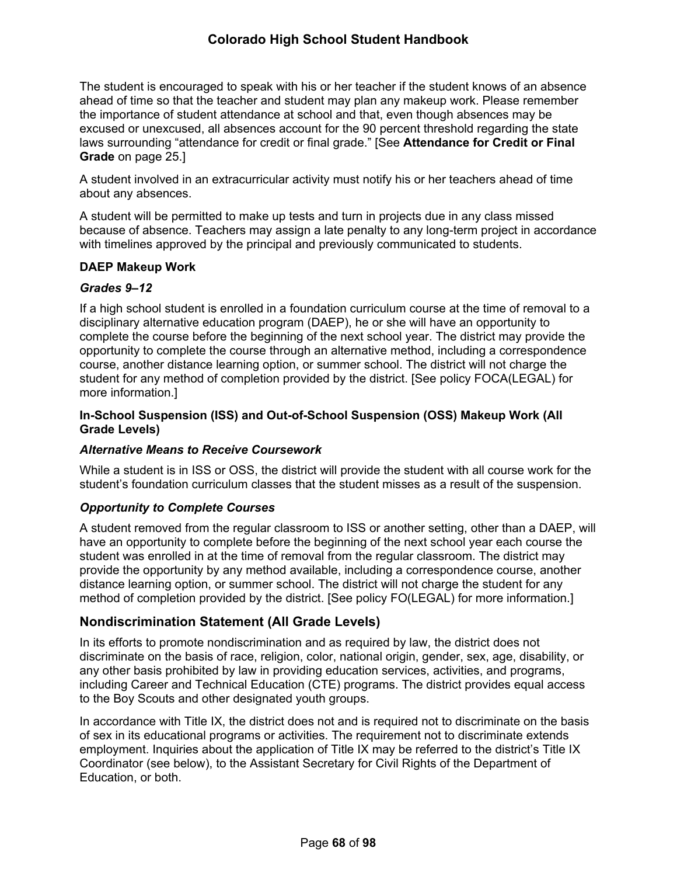The student is encouraged to speak with his or her teacher if the student knows of an absence ahead of time so that the teacher and student may plan any makeup work. Please remember the importance of student attendance at school and that, even though absences may be excused or unexcused, all absences account for the 90 percent threshold regarding the state laws surrounding "attendance for credit or final grade." [See **Attendance for Credit or Final Grade** on page [25.](#page-28-0)]

A student involved in an extracurricular activity must notify his or her teachers ahead of time about any absences.

A student will be permitted to make up tests and turn in projects due in any class missed because of absence. Teachers may assign a late penalty to any long-term project in accordance with timelines approved by the principal and previously communicated to students.

#### **DAEP Makeup Work**

#### *Grades 9–12*

If a high school student is enrolled in a foundation curriculum course at the time of removal to a disciplinary alternative education program (DAEP), he or she will have an opportunity to complete the course before the beginning of the next school year. The district may provide the opportunity to complete the course through an alternative method, including a correspondence course, another distance learning option, or summer school. The district will not charge the student for any method of completion provided by the district. [See policy FOCA(LEGAL) for more information.]

### **In-School Suspension (ISS) and Out-of-School Suspension (OSS) Makeup Work (All Grade Levels)**

# *Alternative Means to Receive Coursework*

While a student is in ISS or OSS, the district will provide the student with all course work for the student's foundation curriculum classes that the student misses as a result of the suspension.

#### *Opportunity to Complete Courses*

A student removed from the regular classroom to ISS or another setting, other than a DAEP, will have an opportunity to complete before the beginning of the next school year each course the student was enrolled in at the time of removal from the regular classroom. The district may provide the opportunity by any method available, including a correspondence course, another distance learning option, or summer school. The district will not charge the student for any method of completion provided by the district. [See policy FO(LEGAL) for more information.]

# **Nondiscrimination Statement (All Grade Levels)**

In its efforts to promote nondiscrimination and as required by law, the district does not discriminate on the basis of race, religion, color, national origin, gender, sex, age, disability, or any other basis prohibited by law in providing education services, activities, and programs, including Career and Technical Education (CTE) programs. The district provides equal access to the Boy Scouts and other designated youth groups.

In accordance with Title IX, the district does not and is required not to discriminate on the basis of sex in its educational programs or activities. The requirement not to discriminate extends employment. Inquiries about the application of Title IX may be referred to the district's Title IX Coordinator (see below), to the Assistant Secretary for Civil Rights of the Department of Education, or both.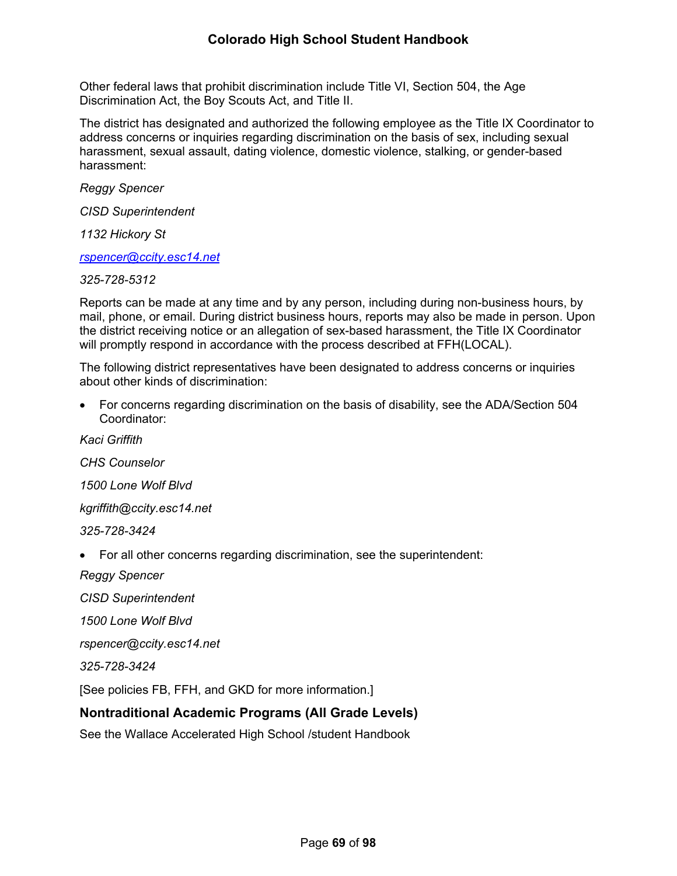Other federal laws that prohibit discrimination include Title VI, Section 504, the Age Discrimination Act, the Boy Scouts Act, and Title II.

The district has designated and authorized the following employee as the Title IX Coordinator to address concerns or inquiries regarding discrimination on the basis of sex, including sexual harassment, sexual assault, dating violence, domestic violence, stalking, or gender-based harassment:

*Reggy Spencer*

*CISD Superintendent*

*1132 Hickory St*

*[rspencer@ccity.esc14.net](mailto:rspencer@ccity.esc14.net)*

*325-728-5312*

Reports can be made at any time and by any person, including during non-business hours, by mail, phone, or email. During district business hours, reports may also be made in person. Upon the district receiving notice or an allegation of sex-based harassment, the Title IX Coordinator will promptly respond in accordance with the process described at FFH(LOCAL).

The following district representatives have been designated to address concerns or inquiries about other kinds of discrimination:

 For concerns regarding discrimination on the basis of disability, see the ADA/Section 504 Coordinator:

*Kaci Griffith CHS Counselor 1500 Lone Wolf Blvd kgriffith@ccity.esc14.net 325-728-3424* For all other concerns regarding discrimination, see the superintendent: *Reggy Spencer*

*CISD Superintendent*

*1500 Lone Wolf Blvd*

*rspencer@ccity.esc14.net*

*325-728-3424*

[See policies FB, FFH, and GKD for more information.]

# **Nontraditional Academic Programs (All Grade Levels)**

See the Wallace Accelerated High School /student Handbook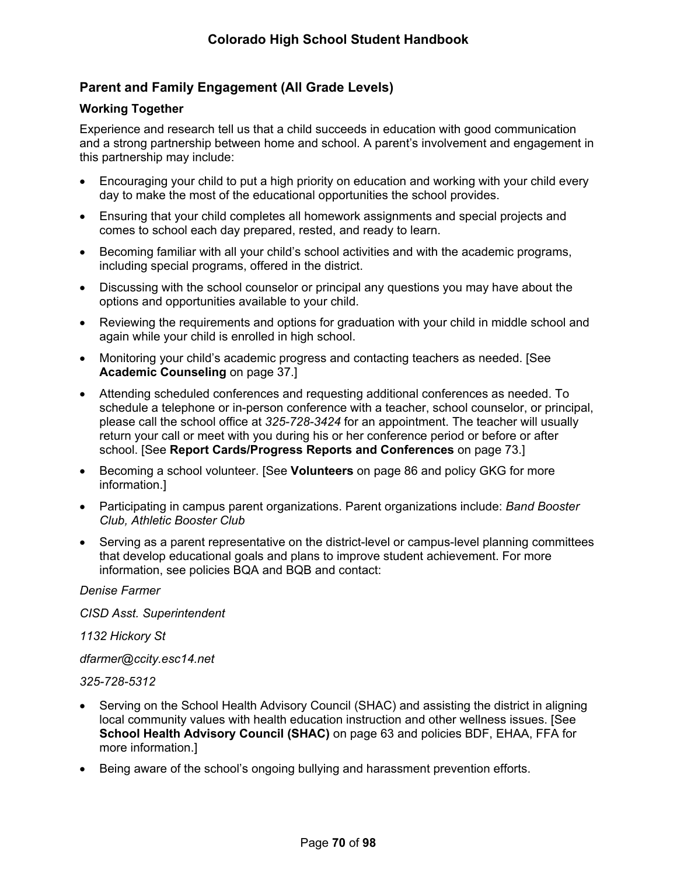# **Parent and Family Engagement (All Grade Levels)**

# <span id="page-75-0"></span>**Working Together**

Experience and research tell us that a child succeeds in education with good communication and a strong partnership between home and school. A parent's involvement and engagement in this partnership may include:

- Encouraging your child to put a high priority on education and working with your child every day to make the most of the educational opportunities the school provides.
- Ensuring that your child completes all homework assignments and special projects and comes to school each day prepared, rested, and ready to learn.
- Becoming familiar with all your child's school activities and with the academic programs, including special programs, offered in the district.
- Discussing with the school counselor or principal any questions you may have about the options and opportunities available to your child.
- Reviewing the requirements and options for graduation with your child in middle school and again while your child is enrolled in high school.
- Monitoring your child's academic progress and contacting teachers as needed. [See **Academic Counseling** on page [37](#page-42-0).]
- Attending scheduled conferences and requesting additional conferences as needed. To schedule a telephone or in-person conference with a teacher, school counselor, or principal, please call the school office at *325-728-3424* for an appointment. The teacher will usually return your call or meet with you during his or her conference period or before or after school. [See **Report Cards/Progress Reports and Conferences** on page [73](#page-77-0).]
- Becoming a school volunteer. [See **Volunteers** on page [86](#page-89-0) and policy GKG for more information.]
- Participating in campus parent organizations. Parent organizations include: *Band Booster Club, Athletic Booster Club*
- Serving as a parent representative on the district-level or campus-level planning committees that develop educational goals and plans to improve student achievement. For more information, see policies BQA and BQB and contact:

*Denise Farmer*

*CISD Asst. Superintendent*

*1132 Hickory St*

*dfarmer@ccity.esc14.net*

*325-728-5312*

- Serving on the School Health Advisory Council (SHAC) and assisting the district in aligning local community values with health education instruction and other wellness issues. [See **School Health Advisory Council (SHAC)** on page [63](#page-68-0) and policies BDF, EHAA, FFA for more information.]
- Being aware of the school's ongoing bullying and harassment prevention efforts.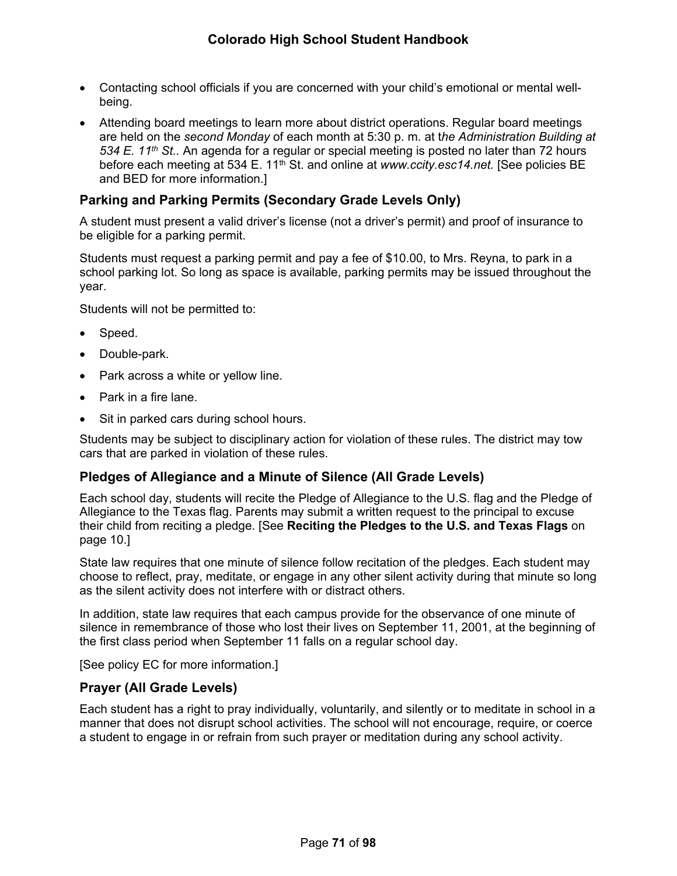- Contacting school officials if you are concerned with your child's emotional or mental wellbeing.
- Attending board meetings to learn more about district operations. Regular board meetings are held on the *second Monday* of each month at 5:30 p. m. at t*he Administration Building at 534 E. 11th St..* An agenda for a regular or special meeting is posted no later than 72 hours before each meeting at 534 E. 11<sup>th</sup> St. and online at *www.ccity.esc14.net.* [See policies BE and BED for more information.]

# **Parking and Parking Permits (Secondary Grade Levels Only)**

A student must present a valid driver's license (not a driver's permit) and proof of insurance to be eligible for a parking permit.

Students must request a parking permit and pay a fee of \$10.00, to Mrs. Reyna, to park in a school parking lot. So long as space is available, parking permits may be issued throughout the year.

Students will not be permitted to:

- Speed.
- Double-park.
- Park across a white or yellow line.
- Park in a fire lane.
- Sit in parked cars during school hours.

Students may be subject to disciplinary action for violation of these rules. The district may tow cars that are parked in violation of these rules.

# **Pledges of Allegiance and a Minute of Silence (All Grade Levels)**

Each school day, students will recite the Pledge of Allegiance to the U.S. flag and the Pledge of Allegiance to the Texas flag. Parents may submit a written request to the principal to excuse their child from reciting a pledge. [See **Reciting the Pledges to the U.S. and Texas Flags** on page [10.](#page-15-0)]

State law requires that one minute of silence follow recitation of the pledges. Each student may choose to reflect, pray, meditate, or engage in any other silent activity during that minute so long as the silent activity does not interfere with or distract others.

In addition, state law requires that each campus provide for the observance of one minute of silence in remembrance of those who lost their lives on September 11, 2001, at the beginning of the first class period when September 11 falls on a regular school day.

[See policy EC for more information.]

# **Prayer (All Grade Levels)**

Each student has a right to pray individually, voluntarily, and silently or to meditate in school in a manner that does not disrupt school activities. The school will not encourage, require, or coerce a student to engage in or refrain from such prayer or meditation during any school activity.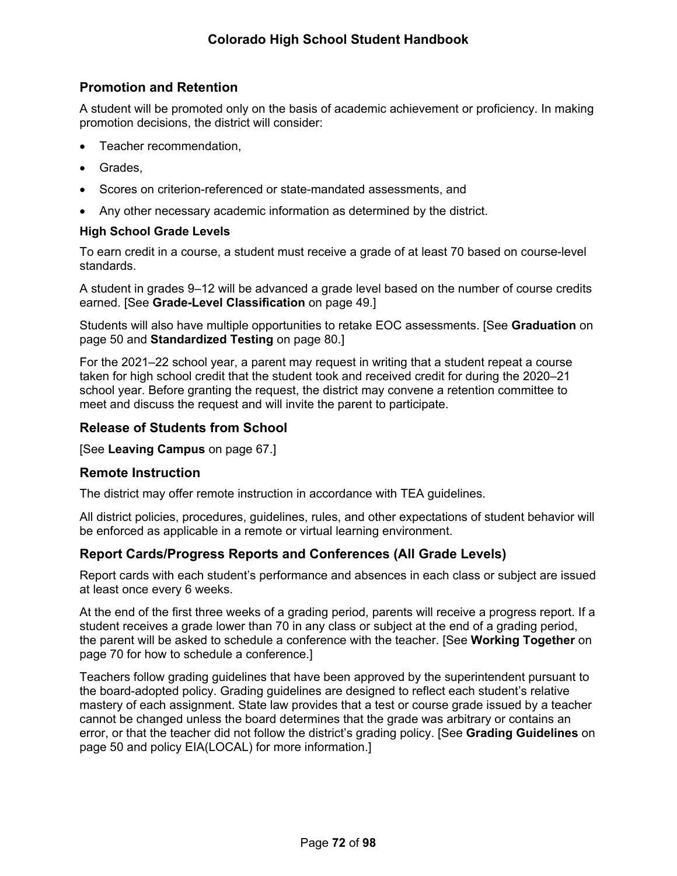# **Promotion and Retention**

A student will be promoted only on the basis of academic achievement or proficiency. In making promotion decisions, the district will consider:

- Teacher recommendation,
- Grades.
- Scores on criterion-referenced or state-mandated assessments, and
- Any other necessary academic information as determined by the district.

#### **High School Grade Levels**

To earn credit in a course, a student must receive a grade of at least 70 based on course-level standards.

A student in grades 9–12 will be advanced a grade level based on the number of course credits earned. [See **Grade-Level Classification** on page [49](#page-55-0).]

Students will also have multiple opportunities to retake EOC assessments. [See **Graduation** on page [50](#page-56-0) and **Standardized Testing** on page [80.](#page-84-0)]

For the 2021–22 school year, a parent may request in writing that a student repeat a course taken for high school credit that the student took and received credit for during the 2020–21 school year. Before granting the request, the district may convene a retention committee to meet and discuss the request and will invite the parent to participate.

# **Release of Students from School**

[See **Leaving Campus** on page [67.](#page-71-0)]

#### **Remote Instruction**

The district may offer remote instruction in accordance with TEA guidelines.

All district policies, procedures, guidelines, rules, and other expectations of student behavior will be enforced as applicable in a remote or virtual learning environment.

# <span id="page-77-0"></span>**Report Cards/Progress Reports and Conferences (All Grade Levels)**

Report cards with each student's performance and absences in each class or subject are issued at least once every 6 weeks.

At the end of the first three weeks of a grading period, parents will receive a progress report. If a student receives a grade lower than 70 in any class or subject at the end of a grading period, the parent will be asked to schedule a conference with the teacher. [See **Working Together** on page [70](#page-75-0) for how to schedule a conference.]

Teachers follow grading guidelines that have been approved by the superintendent pursuant to the board-adopted policy. Grading guidelines are designed to reflect each student's relative mastery of each assignment. State law provides that a test or course grade issued by a teacher cannot be changed unless the board determines that the grade was arbitrary or contains an error, or that the teacher did not follow the district's grading policy. [See **Grading Guidelines** on page [50](#page-55-1) and policy EIA(LOCAL) for more information.]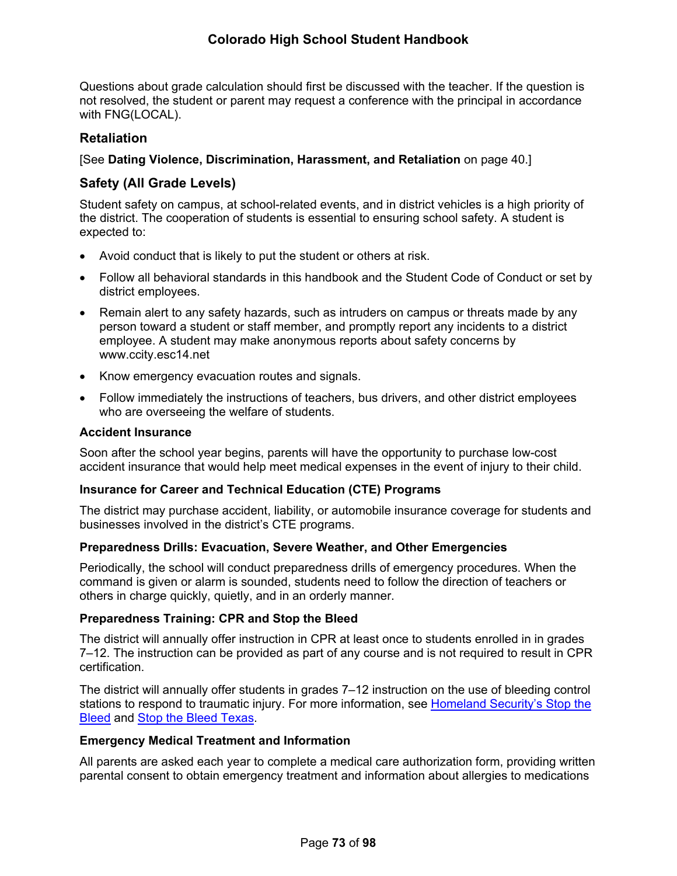Questions about grade calculation should first be discussed with the teacher. If the question is not resolved, the student or parent may request a conference with the principal in accordance with FNG(LOCAL).

# **Retaliation**

[See **Dating Violence, Discrimination, Harassment, and Retaliation** on page [40.](#page-44-0)]

# **Safety (All Grade Levels)**

Student safety on campus, at school-related events, and in district vehicles is a high priority of the district. The cooperation of students is essential to ensuring school safety. A student is expected to:

- Avoid conduct that is likely to put the student or others at risk.
- Follow all behavioral standards in this handbook and the Student Code of Conduct or set by district employees.
- Remain alert to any safety hazards, such as intruders on campus or threats made by any person toward a student or staff member, and promptly report any incidents to a district employee. A student may make anonymous reports about safety concerns by www.ccity.esc14.net
- Know emergency evacuation routes and signals.
- Follow immediately the instructions of teachers, bus drivers, and other district employees who are overseeing the welfare of students.

### **Accident Insurance**

Soon after the school year begins, parents will have the opportunity to purchase low-cost accident insurance that would help meet medical expenses in the event of injury to their child.

#### **Insurance for Career and Technical Education (CTE) Programs**

The district may purchase accident, liability, or automobile insurance coverage for students and businesses involved in the district's CTE programs.

# **Preparedness Drills: Evacuation, Severe Weather, and Other Emergencies**

Periodically, the school will conduct preparedness drills of emergency procedures. When the command is given or alarm is sounded, students need to follow the direction of teachers or others in charge quickly, quietly, and in an orderly manner.

#### **Preparedness Training: CPR and Stop the Bleed**

The district will annually offer instruction in CPR at least once to students enrolled in in grades 7–12. The instruction can be provided as part of any course and is not required to result in CPR certification.

The district will annually offer students in grades 7–12 instruction on the use of bleeding control stations to respond to traumatic injury. For more information, see Homeland Security's Stop the [Bleed](https://www.dhs.gov/stopthebleed) and [Stop the Bleed Texas.](https://stopthebleedtx.org/)

#### **Emergency Medical Treatment and Information**

All parents are asked each year to complete a medical care authorization form, providing written parental consent to obtain emergency treatment and information about allergies to medications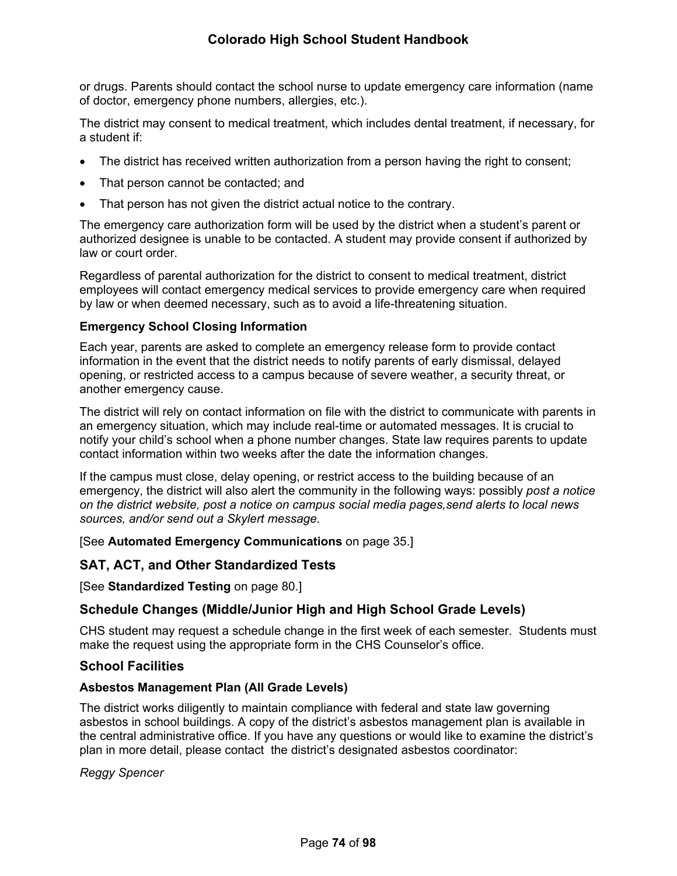or drugs. Parents should contact the school nurse to update emergency care information (name of doctor, emergency phone numbers, allergies, etc.).

The district may consent to medical treatment, which includes dental treatment, if necessary, for a student if:

- The district has received written authorization from a person having the right to consent;
- That person cannot be contacted; and
- That person has not given the district actual notice to the contrary.

The emergency care authorization form will be used by the district when a student's parent or authorized designee is unable to be contacted. A student may provide consent if authorized by law or court order.

Regardless of parental authorization for the district to consent to medical treatment, district employees will contact emergency medical services to provide emergency care when required by law or when deemed necessary, such as to avoid a life-threatening situation.

# **Emergency School Closing Information**

Each year, parents are asked to complete an emergency release form to provide contact information in the event that the district needs to notify parents of early dismissal, delayed opening, or restricted access to a campus because of severe weather, a security threat, or another emergency cause.

The district will rely on contact information on file with the district to communicate with parents in an emergency situation, which may include real-time or automated messages. It is crucial to notify your child's school when a phone number changes. State law requires parents to update contact information within two weeks after the date the information changes.

If the campus must close, delay opening, or restrict access to the building because of an emergency, the district will also alert the community in the following ways: possibly *post a notice on the district website, post a notice on campus social media pages,send alerts to local news sources, and/or send out a Skylert message.* 

[See **Automated Emergency Communications** on page [35.](#page-39-0)]

# **SAT, ACT, and Other Standardized Tests**

[See **Standardized Testing** on page [80](#page-84-0).]

# **Schedule Changes (Middle/Junior High and High School Grade Levels)**

CHS student may request a schedule change in the first week of each semester. Students must make the request using the appropriate form in the CHS Counselor's office.

# **School Facilities**

# **Asbestos Management Plan (All Grade Levels)**

The district works diligently to maintain compliance with federal and state law governing asbestos in school buildings. A copy of the district's asbestos management plan is available in the central administrative office. If you have any questions or would like to examine the district's plan in more detail, please contact the district's designated asbestos coordinator:

*Reggy Spencer*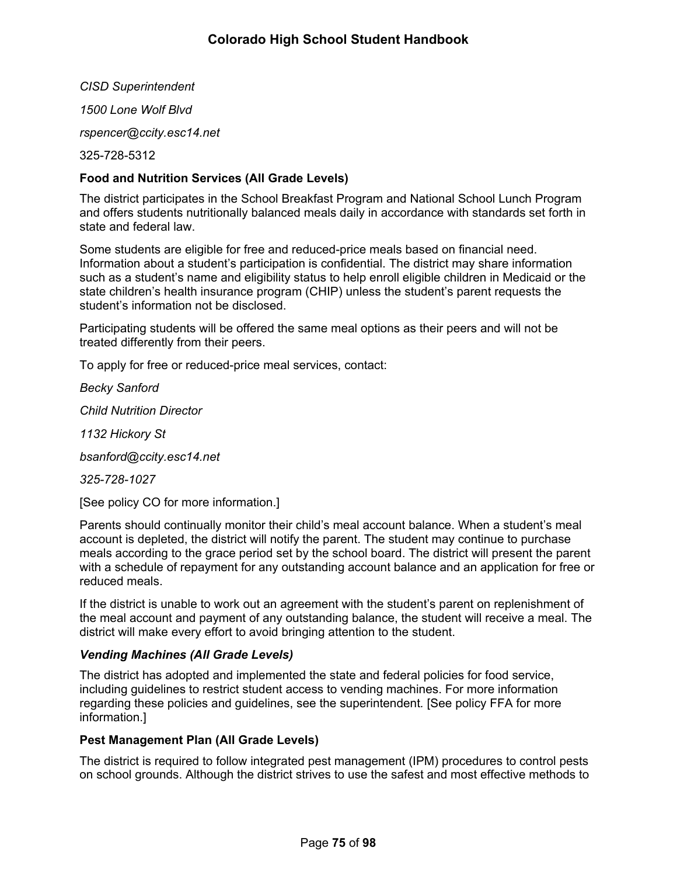*CISD Superintendent 1500 Lone Wolf Blvd rspencer@ccity.esc14.net* 325-728-5312

# **Food and Nutrition Services (All Grade Levels)**

The district participates in the School Breakfast Program and National School Lunch Program and offers students nutritionally balanced meals daily in accordance with standards set forth in state and federal law.

Some students are eligible for free and reduced-price meals based on financial need. Information about a student's participation is confidential. The district may share information such as a student's name and eligibility status to help enroll eligible children in Medicaid or the state children's health insurance program (CHIP) unless the student's parent requests the student's information not be disclosed.

Participating students will be offered the same meal options as their peers and will not be treated differently from their peers.

To apply for free or reduced-price meal services, contact:

*Becky Sanford*

*Child Nutrition Director*

*1132 Hickory St*

*bsanford@ccity.esc14.net*

*325-728-1027*

[See policy CO for more information.]

Parents should continually monitor their child's meal account balance. When a student's meal account is depleted, the district will notify the parent. The student may continue to purchase meals according to the grace period set by the school board. The district will present the parent with a schedule of repayment for any outstanding account balance and an application for free or reduced meals.

If the district is unable to work out an agreement with the student's parent on replenishment of the meal account and payment of any outstanding balance, the student will receive a meal. The district will make every effort to avoid bringing attention to the student.

#### *Vending Machines (All Grade Levels)*

The district has adopted and implemented the state and federal policies for food service, including guidelines to restrict student access to vending machines. For more information regarding these policies and guidelines, see the superintendent*.* [See policy FFA for more information.]

#### **Pest Management Plan (All Grade Levels)**

The district is required to follow integrated pest management (IPM) procedures to control pests on school grounds. Although the district strives to use the safest and most effective methods to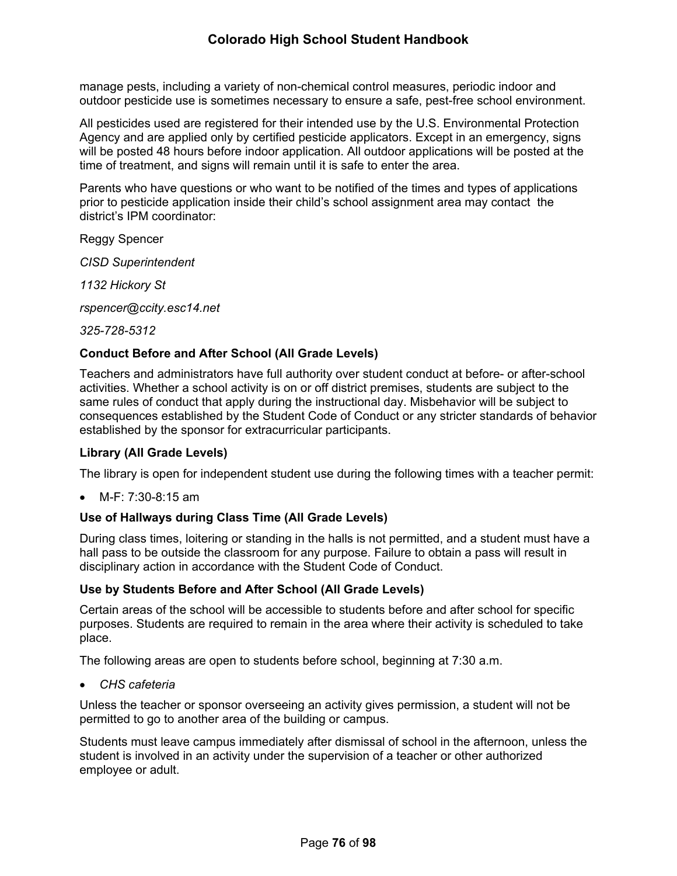manage pests, including a variety of non-chemical control measures, periodic indoor and outdoor pesticide use is sometimes necessary to ensure a safe, pest-free school environment.

All pesticides used are registered for their intended use by the U.S. Environmental Protection Agency and are applied only by certified pesticide applicators. Except in an emergency, signs will be posted 48 hours before indoor application. All outdoor applications will be posted at the time of treatment, and signs will remain until it is safe to enter the area.

Parents who have questions or who want to be notified of the times and types of applications prior to pesticide application inside their child's school assignment area may contact the district's IPM coordinator:

Reggy Spencer

*CISD Superintendent*

*1132 Hickory St*

*rspencer@ccity.esc14.net*

*325-728-5312*

# **Conduct Before and After School (All Grade Levels)**

Teachers and administrators have full authority over student conduct at before- or after-school activities. Whether a school activity is on or off district premises, students are subject to the same rules of conduct that apply during the instructional day. Misbehavior will be subject to consequences established by the Student Code of Conduct or any stricter standards of behavior established by the sponsor for extracurricular participants.

#### **Library (All Grade Levels)**

The library is open for independent student use during the following times with a teacher permit:

M-F: 7:30-8:15 am

# **Use of Hallways during Class Time (All Grade Levels)**

During class times, loitering or standing in the halls is not permitted, and a student must have a hall pass to be outside the classroom for any purpose. Failure to obtain a pass will result in disciplinary action in accordance with the Student Code of Conduct.

# **Use by Students Before and After School (All Grade Levels)**

Certain areas of the school will be accessible to students before and after school for specific purposes. Students are required to remain in the area where their activity is scheduled to take place.

The following areas are open to students before school, beginning at 7:30 a.m.

*CHS cafeteria*

Unless the teacher or sponsor overseeing an activity gives permission, a student will not be permitted to go to another area of the building or campus.

Students must leave campus immediately after dismissal of school in the afternoon, unless the student is involved in an activity under the supervision of a teacher or other authorized employee or adult.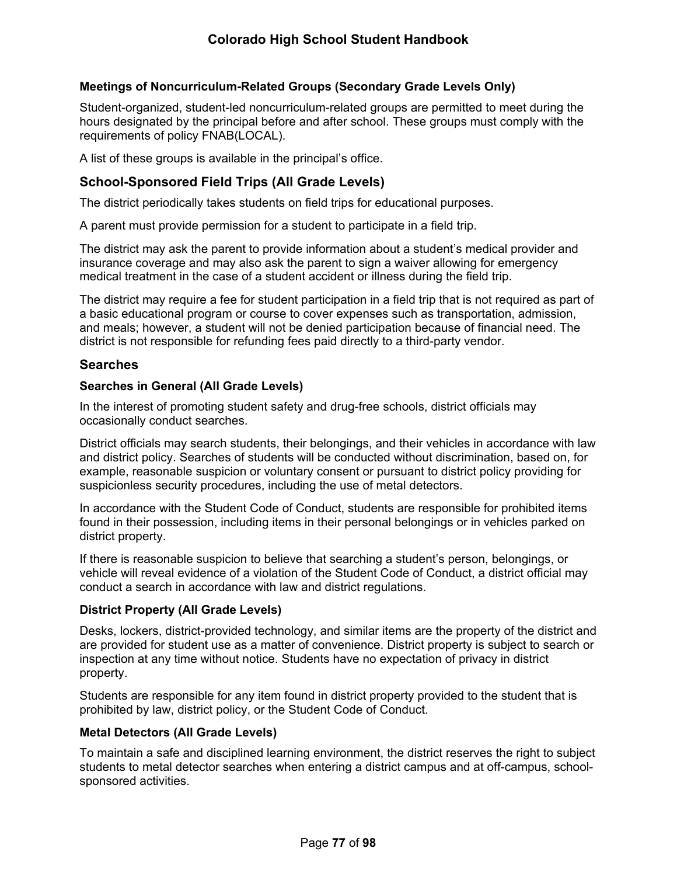# **Meetings of Noncurriculum-Related Groups (Secondary Grade Levels Only)**

Student-organized, student-led noncurriculum-related groups are permitted to meet during the hours designated by the principal before and after school. These groups must comply with the requirements of policy FNAB(LOCAL).

A list of these groups is available in the principal's office.

# <span id="page-82-0"></span>**School-Sponsored Field Trips (All Grade Levels)**

The district periodically takes students on field trips for educational purposes.

A parent must provide permission for a student to participate in a field trip.

The district may ask the parent to provide information about a student's medical provider and insurance coverage and may also ask the parent to sign a waiver allowing for emergency medical treatment in the case of a student accident or illness during the field trip.

The district may require a fee for student participation in a field trip that is not required as part of a basic educational program or course to cover expenses such as transportation, admission, and meals; however, a student will not be denied participation because of financial need. The district is not responsible for refunding fees paid directly to a third-party vendor.

#### **Searches**

#### **Searches in General (All Grade Levels)**

In the interest of promoting student safety and drug-free schools, district officials may occasionally conduct searches.

District officials may search students, their belongings, and their vehicles in accordance with law and district policy. Searches of students will be conducted without discrimination, based on, for example, reasonable suspicion or voluntary consent or pursuant to district policy providing for suspicionless security procedures, including the use of metal detectors.

In accordance with the Student Code of Conduct, students are responsible for prohibited items found in their possession, including items in their personal belongings or in vehicles parked on district property.

If there is reasonable suspicion to believe that searching a student's person, belongings, or vehicle will reveal evidence of a violation of the Student Code of Conduct, a district official may conduct a search in accordance with law and district regulations.

#### **District Property (All Grade Levels)**

Desks, lockers, district-provided technology, and similar items are the property of the district and are provided for student use as a matter of convenience. District property is subject to search or inspection at any time without notice. Students have no expectation of privacy in district property.

Students are responsible for any item found in district property provided to the student that is prohibited by law, district policy, or the Student Code of Conduct.

#### **Metal Detectors (All Grade Levels)**

To maintain a safe and disciplined learning environment, the district reserves the right to subject students to metal detector searches when entering a district campus and at off-campus, schoolsponsored activities.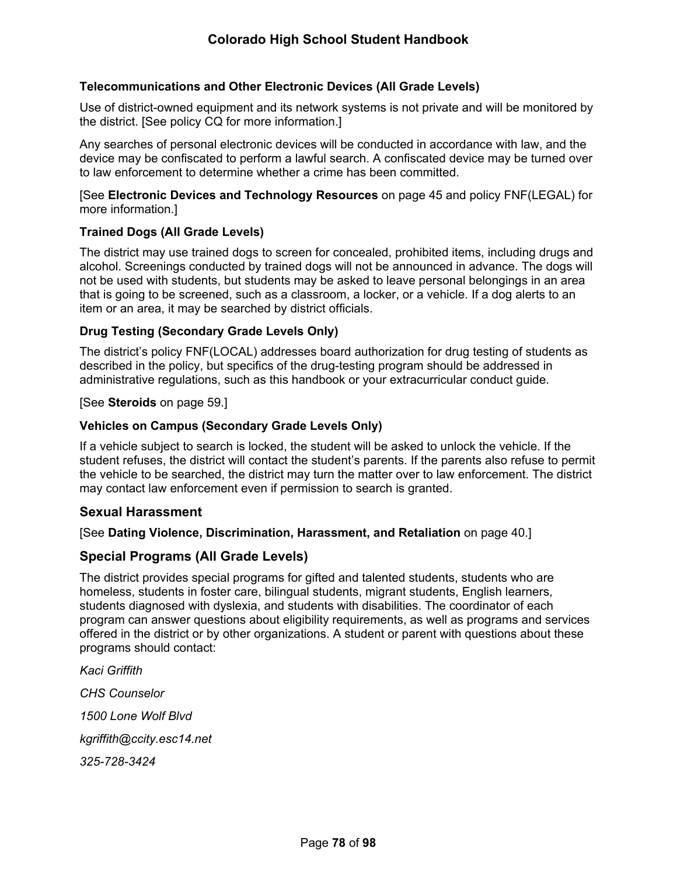### **Telecommunications and Other Electronic Devices (All Grade Levels)**

Use of district-owned equipment and its network systems is not private and will be monitored by the district. [See policy CQ for more information.]

Any searches of personal electronic devices will be conducted in accordance with law, and the device may be confiscated to perform a lawful search. A confiscated device may be turned over to law enforcement to determine whether a crime has been committed.

[See **Electronic Devices and Technology Resources** on page [45](#page-50-0) and policy FNF(LEGAL) for more information.]

#### **Trained Dogs (All Grade Levels)**

The district may use trained dogs to screen for concealed, prohibited items, including drugs and alcohol. Screenings conducted by trained dogs will not be announced in advance. The dogs will not be used with students, but students may be asked to leave personal belongings in an area that is going to be screened, such as a classroom, a locker, or a vehicle. If a dog alerts to an item or an area, it may be searched by district officials.

#### **Drug Testing (Secondary Grade Levels Only)**

The district's policy FNF(LOCAL) addresses board authorization for drug testing of students as described in the policy, but specifics of the drug-testing program should be addressed in administrative regulations, such as this handbook or your extracurricular conduct guide.

[See **Steroids** on page [59.](#page-65-0)]

#### **Vehicles on Campus (Secondary Grade Levels Only)**

If a vehicle subject to search is locked, the student will be asked to unlock the vehicle. If the student refuses, the district will contact the student's parents. If the parents also refuse to permit the vehicle to be searched, the district may turn the matter over to law enforcement. The district may contact law enforcement even if permission to search is granted.

#### **Sexual Harassment**

[See **Dating Violence, Discrimination, Harassment, and Retaliation** on page [40.](#page-44-0)]

#### **Special Programs (All Grade Levels)**

The district provides special programs for gifted and talented students, students who are homeless, students in foster care, bilingual students, migrant students, English learners, students diagnosed with dyslexia, and students with disabilities. The coordinator of each program can answer questions about eligibility requirements, as well as programs and services offered in the district or by other organizations. A student or parent with questions about these programs should contact:

*Kaci Griffith CHS Counselor 1500 Lone Wolf Blvd kgriffith@ccity.esc14.net 325-728-3424*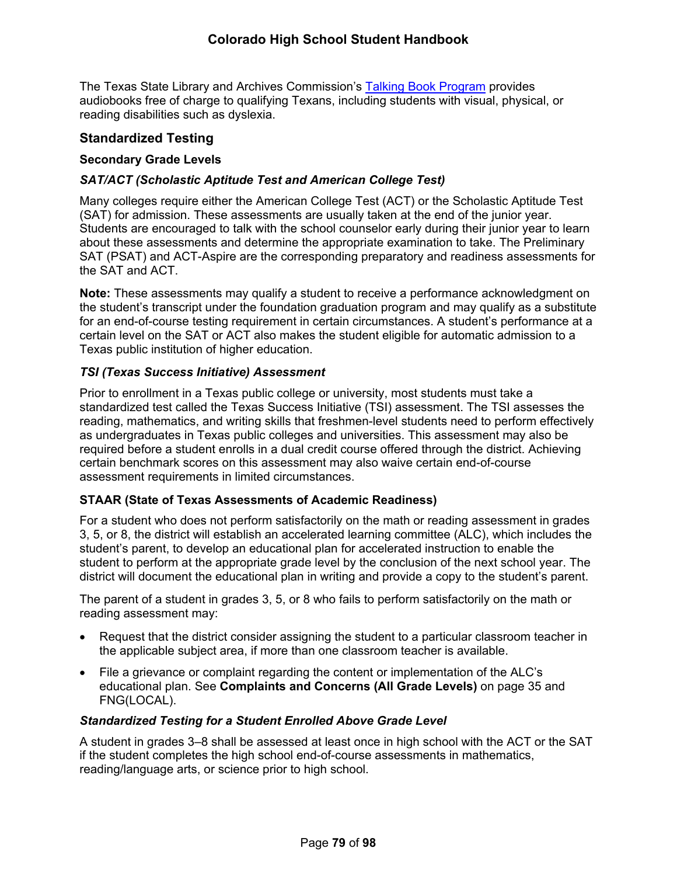The Texas State Library and Archives Commission's [Talking Book Program](https://www.tsl.texas.gov/tbp/index.html) provides audiobooks free of charge to qualifying Texans, including students with visual, physical, or reading disabilities such as dyslexia.

# <span id="page-84-0"></span>**Standardized Testing**

### **Secondary Grade Levels**

# *SAT/ACT (Scholastic Aptitude Test and American College Test)*

Many colleges require either the American College Test (ACT) or the Scholastic Aptitude Test (SAT) for admission. These assessments are usually taken at the end of the junior year. Students are encouraged to talk with the school counselor early during their junior year to learn about these assessments and determine the appropriate examination to take. The Preliminary SAT (PSAT) and ACT-Aspire are the corresponding preparatory and readiness assessments for the SAT and ACT.

**Note:** These assessments may qualify a student to receive a performance acknowledgment on the student's transcript under the foundation graduation program and may qualify as a substitute for an end-of-course testing requirement in certain circumstances. A student's performance at a certain level on the SAT or ACT also makes the student eligible for automatic admission to a Texas public institution of higher education.

#### *TSI (Texas Success Initiative) Assessment*

Prior to enrollment in a Texas public college or university, most students must take a standardized test called the Texas Success Initiative (TSI) assessment. The TSI assesses the reading, mathematics, and writing skills that freshmen-level students need to perform effectively as undergraduates in Texas public colleges and universities. This assessment may also be required before a student enrolls in a dual credit course offered through the district. Achieving certain benchmark scores on this assessment may also waive certain end-of-course assessment requirements in limited circumstances.

# **STAAR (State of Texas Assessments of Academic Readiness)**

For a student who does not perform satisfactorily on the math or reading assessment in grades 3, 5, or 8, the district will establish an accelerated learning committee (ALC), which includes the student's parent, to develop an educational plan for accelerated instruction to enable the student to perform at the appropriate grade level by the conclusion of the next school year. The district will document the educational plan in writing and provide a copy to the student's parent.

The parent of a student in grades 3, 5, or 8 who fails to perform satisfactorily on the math or reading assessment may:

- Request that the district consider assigning the student to a particular classroom teacher in the applicable subject area, if more than one classroom teacher is available.
- File a grievance or complaint regarding the content or implementation of the ALC's educational plan. See **Complaints and Concerns (All Grade Levels)** on page [35](#page-39-1) and FNG(LOCAL).

# *Standardized Testing for a Student Enrolled Above Grade Level*

A student in grades 3–8 shall be assessed at least once in high school with the ACT or the SAT if the student completes the high school end-of-course assessments in mathematics, reading/language arts, or science prior to high school.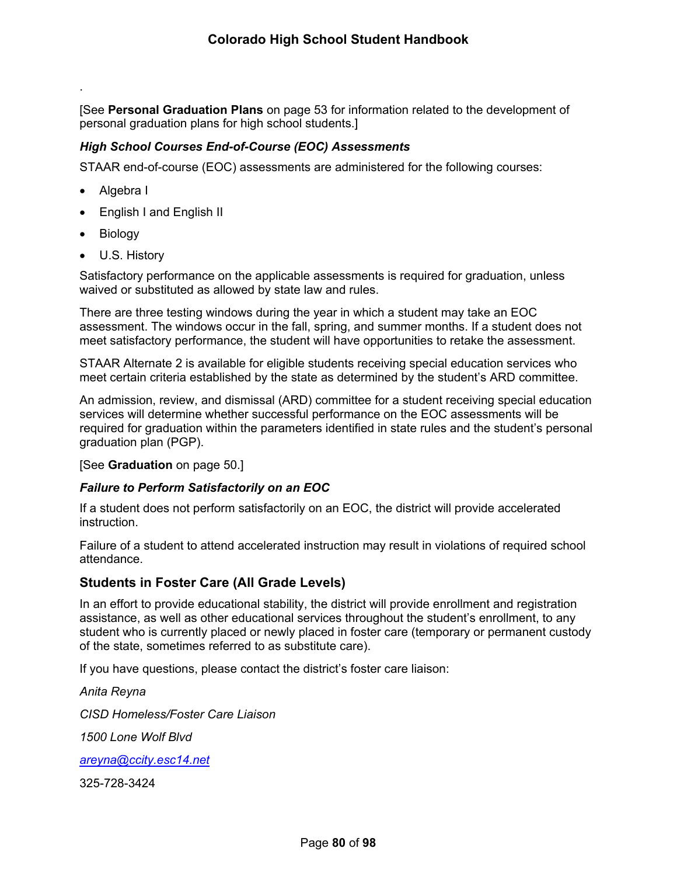[See **Personal Graduation Plans** on page [53](#page-59-0) for information related to the development of personal graduation plans for high school students.]

### *High School Courses End-of-Course (EOC) Assessments*

STAAR end-of-course (EOC) assessments are administered for the following courses:

Algebra I

.

- English I and English II
- Biology
- U.S. History

Satisfactory performance on the applicable assessments is required for graduation, unless waived or substituted as allowed by state law and rules.

There are three testing windows during the year in which a student may take an EOC assessment. The windows occur in the fall, spring, and summer months. If a student does not meet satisfactory performance, the student will have opportunities to retake the assessment.

STAAR Alternate 2 is available for eligible students receiving special education services who meet certain criteria established by the state as determined by the student's ARD committee.

An admission, review, and dismissal (ARD) committee for a student receiving special education services will determine whether successful performance on the EOC assessments will be required for graduation within the parameters identified in state rules and the student's personal graduation plan (PGP).

#### [See **Graduation** on page [50](#page-56-0).]

#### *Failure to Perform Satisfactorily on an EOC*

If a student does not perform satisfactorily on an EOC, the district will provide accelerated instruction.

Failure of a student to attend accelerated instruction may result in violations of required school attendance.

# **Students in Foster Care (All Grade Levels)**

In an effort to provide educational stability, the district will provide enrollment and registration assistance, as well as other educational services throughout the student's enrollment, to any student who is currently placed or newly placed in foster care (temporary or permanent custody of the state, sometimes referred to as substitute care).

If you have questions, please contact the district's foster care liaison:

*Anita Reyna CISD Homeless/Foster Care Liaison 1500 Lone Wolf Blvd [areyna@ccity.esc14.net](mailto:areyna@ccity.esc14.net)* 325-728-3424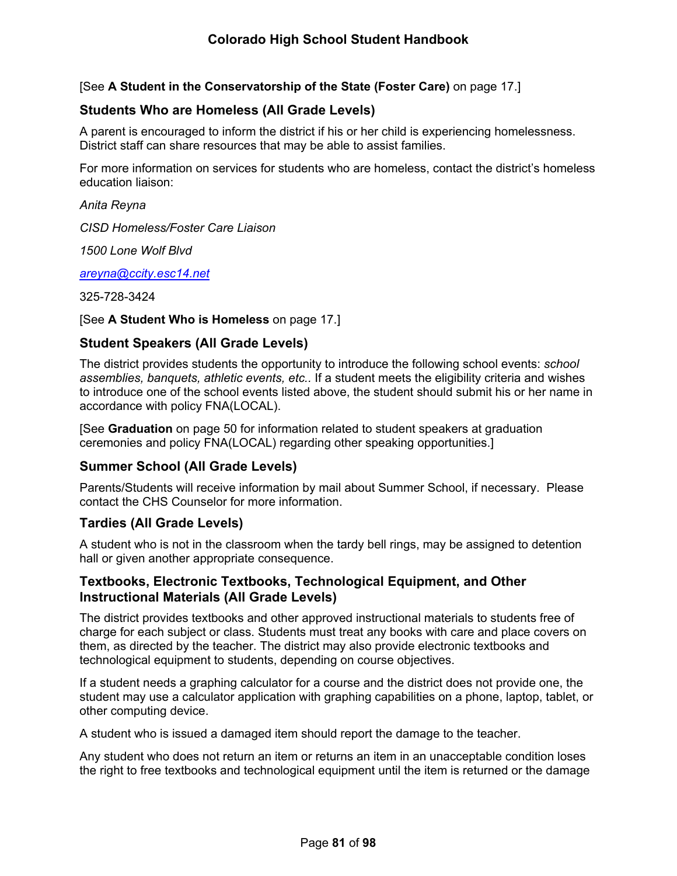[See **A Student in the Conservatorship of the State (Foster Care)** on page [17](#page-21-0).]

# **Students Who are Homeless (All Grade Levels)**

A parent is encouraged to inform the district if his or her child is experiencing homelessness. District staff can share resources that may be able to assist families.

For more information on services for students who are homeless, contact the district's homeless education liaison:

*Anita Reyna*

*CISD Homeless/Foster Care Liaison*

*1500 Lone Wolf Blvd*

*[areyna@ccity.esc14.net](mailto:areyna@ccity.esc14.net)*

325-728-3424

#### [See **A Student Who is Homeless** on page [17.](#page-22-0)]

# **Student Speakers (All Grade Levels)**

The district provides students the opportunity to introduce the following school events: *school assemblies, banquets, athletic events, etc..* If a student meets the eligibility criteria and wishes to introduce one of the school events listed above, the student should submit his or her name in accordance with policy FNA(LOCAL).

[See **Graduation** on page [50](#page-56-0) for information related to student speakers at graduation ceremonies and policy FNA(LOCAL) regarding other speaking opportunities.]

# **Summer School (All Grade Levels)**

Parents/Students will receive information by mail about Summer School, if necessary. Please contact the CHS Counselor for more information.

# **Tardies (All Grade Levels)**

A student who is not in the classroom when the tardy bell rings, may be assigned to detention hall or given another appropriate consequence.

# **Textbooks, Electronic Textbooks, Technological Equipment, and Other Instructional Materials (All Grade Levels)**

The district provides textbooks and other approved instructional materials to students free of charge for each subject or class. Students must treat any books with care and place covers on them, as directed by the teacher. The district may also provide electronic textbooks and technological equipment to students, depending on course objectives.

If a student needs a graphing calculator for a course and the district does not provide one, the student may use a calculator application with graphing capabilities on a phone, laptop, tablet, or other computing device.

A student who is issued a damaged item should report the damage to the teacher.

Any student who does not return an item or returns an item in an unacceptable condition loses the right to free textbooks and technological equipment until the item is returned or the damage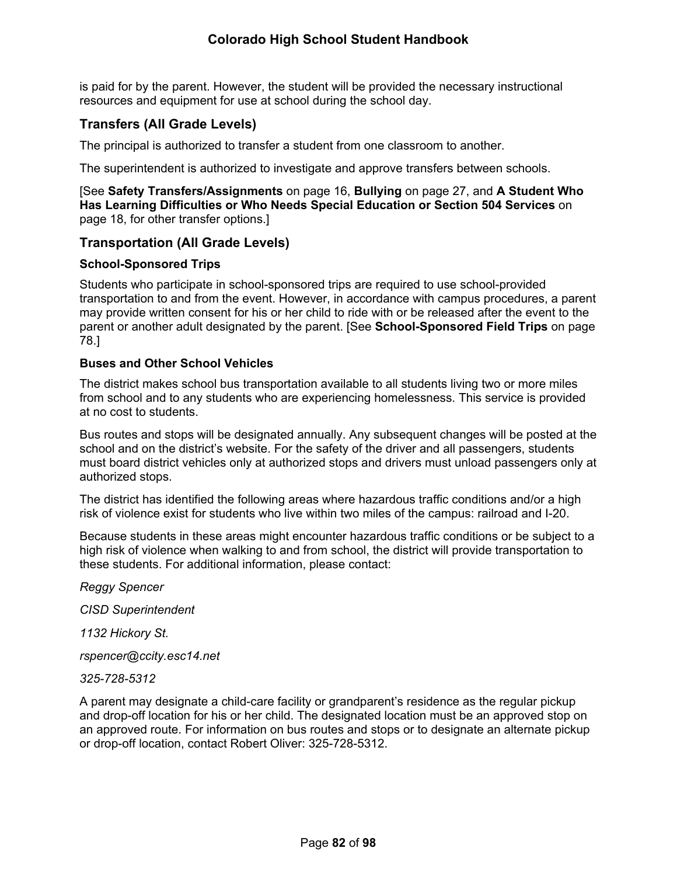is paid for by the parent. However, the student will be provided the necessary instructional resources and equipment for use at school during the school day.

# **Transfers (All Grade Levels)**

The principal is authorized to transfer a student from one classroom to another.

The superintendent is authorized to investigate and approve transfers between schools.

[See **Safety Transfers/Assignments** on page [16](#page-21-1), **Bullying** on page [27,](#page-31-0) and **A Student Who Has Learning Difficulties or Who Needs Special Education or Section 504 Services** on page [18,](#page-23-0) for other transfer options.]

# **Transportation (All Grade Levels)**

#### **School-Sponsored Trips**

Students who participate in school-sponsored trips are required to use school-provided transportation to and from the event. However, in accordance with campus procedures, a parent may provide written consent for his or her child to ride with or be released after the event to the parent or another adult designated by the parent. [See **School-Sponsored Field Trips** on page [78](#page-82-0).]

#### **Buses and Other School Vehicles**

The district makes school bus transportation available to all students living two or more miles from school and to any students who are experiencing homelessness. This service is provided at no cost to students.

Bus routes and stops will be designated annually. Any subsequent changes will be posted at the school and on the district's website. For the safety of the driver and all passengers, students must board district vehicles only at authorized stops and drivers must unload passengers only at authorized stops.

The district has identified the following areas where hazardous traffic conditions and/or a high risk of violence exist for students who live within two miles of the campus: railroad and I-20.

Because students in these areas might encounter hazardous traffic conditions or be subject to a high risk of violence when walking to and from school, the district will provide transportation to these students. For additional information, please contact:

*Reggy Spencer*

*CISD Superintendent*

*1132 Hickory St.*

*rspencer@ccity.esc14.net*

*325-728-5312*

A parent may designate a child-care facility or grandparent's residence as the regular pickup and drop-off location for his or her child. The designated location must be an approved stop on an approved route. For information on bus routes and stops or to designate an alternate pickup or drop-off location, contact Robert Oliver: 325-728-5312.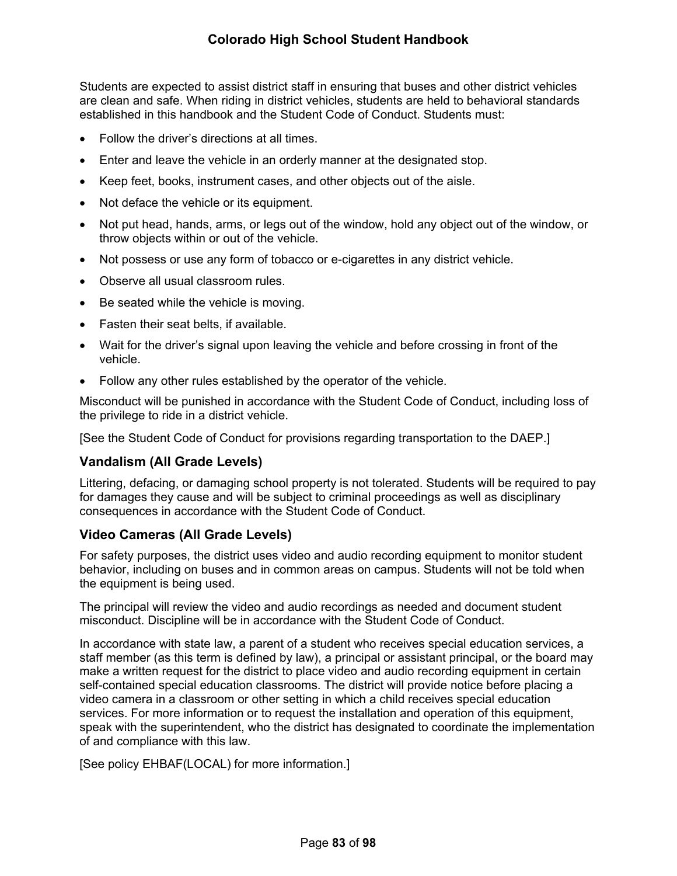Students are expected to assist district staff in ensuring that buses and other district vehicles are clean and safe. When riding in district vehicles, students are held to behavioral standards established in this handbook and the Student Code of Conduct. Students must:

- Follow the driver's directions at all times.
- Enter and leave the vehicle in an orderly manner at the designated stop.
- Keep feet, books, instrument cases, and other objects out of the aisle.
- Not deface the vehicle or its equipment.
- Not put head, hands, arms, or legs out of the window, hold any object out of the window, or throw objects within or out of the vehicle.
- Not possess or use any form of tobacco or e-cigarettes in any district vehicle.
- Observe all usual classroom rules.
- Be seated while the vehicle is moving.
- Fasten their seat belts, if available.
- Wait for the driver's signal upon leaving the vehicle and before crossing in front of the vehicle.
- Follow any other rules established by the operator of the vehicle.

Misconduct will be punished in accordance with the Student Code of Conduct, including loss of the privilege to ride in a district vehicle.

[See the Student Code of Conduct for provisions regarding transportation to the DAEP.]

# **Vandalism (All Grade Levels)**

Littering, defacing, or damaging school property is not tolerated. Students will be required to pay for damages they cause and will be subject to criminal proceedings as well as disciplinary consequences in accordance with the Student Code of Conduct.

# **Video Cameras (All Grade Levels)**

For safety purposes, the district uses video and audio recording equipment to monitor student behavior, including on buses and in common areas on campus. Students will not be told when the equipment is being used.

The principal will review the video and audio recordings as needed and document student misconduct. Discipline will be in accordance with the Student Code of Conduct.

In accordance with state law, a parent of a student who receives special education services, a staff member (as this term is defined by law), a principal or assistant principal, or the board may make a written request for the district to place video and audio recording equipment in certain self-contained special education classrooms. The district will provide notice before placing a video camera in a classroom or other setting in which a child receives special education services. For more information or to request the installation and operation of this equipment, speak with the superintendent, who the district has designated to coordinate the implementation of and compliance with this law.

[See policy EHBAF(LOCAL) for more information.]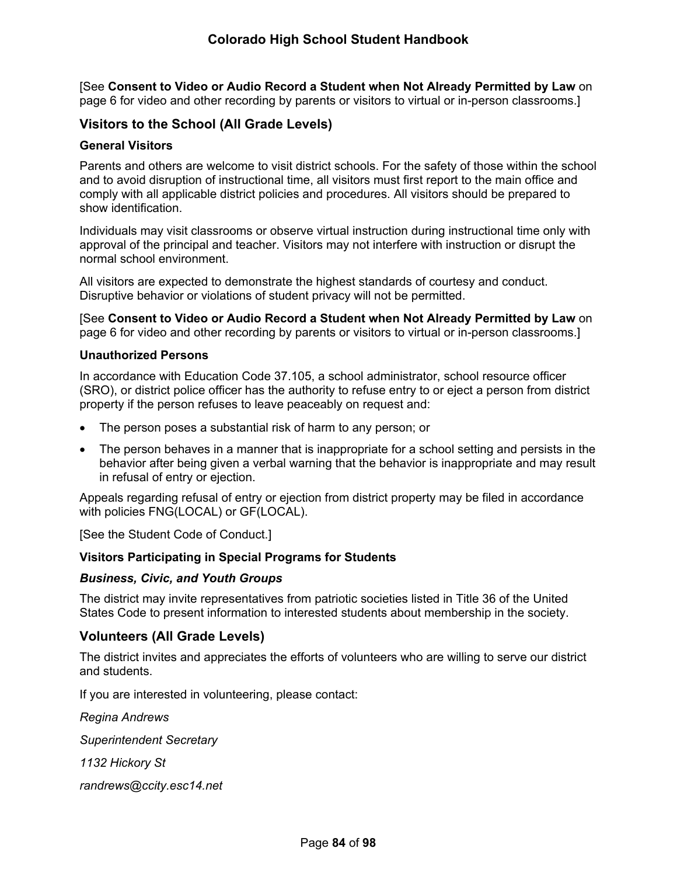[See **Consent to Video or Audio Record a Student when Not Already Permitted by Law** on page [6](#page-11-0) for video and other recording by parents or visitors to virtual or in-person classrooms.]

# **Visitors to the School (All Grade Levels)**

#### **General Visitors**

Parents and others are welcome to visit district schools. For the safety of those within the school and to avoid disruption of instructional time, all visitors must first report to the main office and comply with all applicable district policies and procedures. All visitors should be prepared to show identification.

Individuals may visit classrooms or observe virtual instruction during instructional time only with approval of the principal and teacher. Visitors may not interfere with instruction or disrupt the normal school environment.

All visitors are expected to demonstrate the highest standards of courtesy and conduct. Disruptive behavior or violations of student privacy will not be permitted.

[See **Consent to Video or Audio Record a Student when Not Already Permitted by Law** on page [6](#page-11-0) for video and other recording by parents or visitors to virtual or in-person classrooms.]

#### **Unauthorized Persons**

In accordance with Education Code 37.105, a school administrator, school resource officer (SRO), or district police officer has the authority to refuse entry to or eject a person from district property if the person refuses to leave peaceably on request and:

- The person poses a substantial risk of harm to any person; or
- The person behaves in a manner that is inappropriate for a school setting and persists in the behavior after being given a verbal warning that the behavior is inappropriate and may result in refusal of entry or ejection.

Appeals regarding refusal of entry or ejection from district property may be filed in accordance with policies FNG(LOCAL) or GF(LOCAL).

[See the Student Code of Conduct.]

#### **Visitors Participating in Special Programs for Students**

#### *Business, Civic, and Youth Groups*

The district may invite representatives from patriotic societies listed in Title 36 of the United States Code to present information to interested students about membership in the society.

#### <span id="page-89-0"></span>**Volunteers (All Grade Levels)**

The district invites and appreciates the efforts of volunteers who are willing to serve our district and students.

If you are interested in volunteering, please contact:

*Regina Andrews*

*Superintendent Secretary*

*1132 Hickory St*

*randrews@ccity.esc14.net*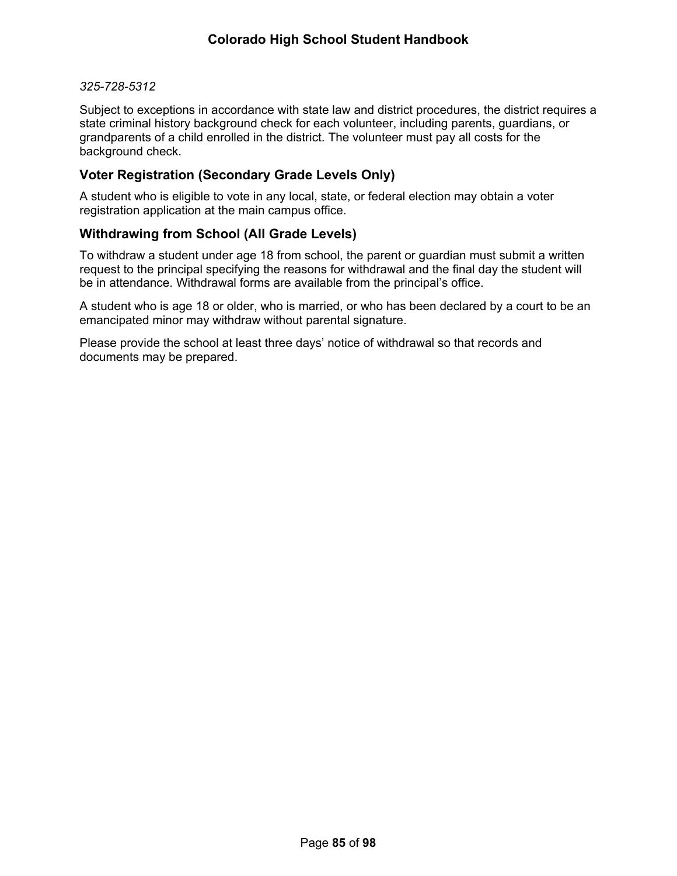#### *325-728-5312*

Subject to exceptions in accordance with state law and district procedures, the district requires a state criminal history background check for each volunteer, including parents, guardians, or grandparents of a child enrolled in the district. The volunteer must pay all costs for the background check.

# **Voter Registration (Secondary Grade Levels Only)**

A student who is eligible to vote in any local, state, or federal election may obtain a voter registration application at the main campus office.

# **Withdrawing from School (All Grade Levels)**

To withdraw a student under age 18 from school, the parent or guardian must submit a written request to the principal specifying the reasons for withdrawal and the final day the student will be in attendance. Withdrawal forms are available from the principal's office.

A student who is age 18 or older, who is married, or who has been declared by a court to be an emancipated minor may withdraw without parental signature.

Please provide the school at least three days' notice of withdrawal so that records and documents may be prepared.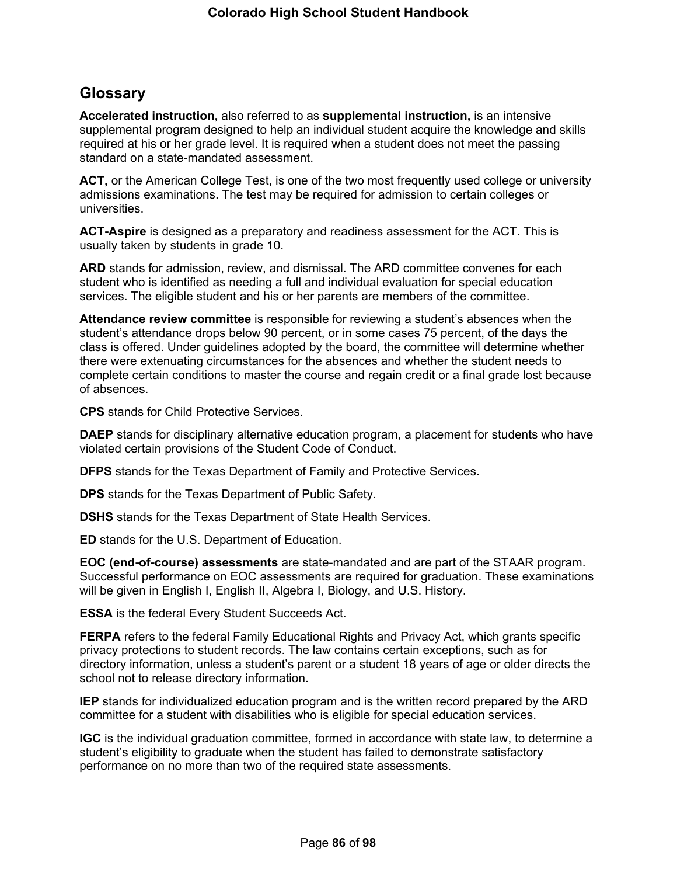# **Glossary**

**Accelerated instruction,** also referred to as **supplemental instruction,** is an intensive supplemental program designed to help an individual student acquire the knowledge and skills required at his or her grade level. It is required when a student does not meet the passing standard on a state-mandated assessment.

**ACT,** or the American College Test, is one of the two most frequently used college or university admissions examinations. The test may be required for admission to certain colleges or universities.

**ACT-Aspire** is designed as a preparatory and readiness assessment for the ACT. This is usually taken by students in grade 10.

**ARD** stands for admission, review, and dismissal. The ARD committee convenes for each student who is identified as needing a full and individual evaluation for special education services. The eligible student and his or her parents are members of the committee.

**Attendance review committee** is responsible for reviewing a student's absences when the student's attendance drops below 90 percent, or in some cases 75 percent, of the days the class is offered. Under guidelines adopted by the board, the committee will determine whether there were extenuating circumstances for the absences and whether the student needs to complete certain conditions to master the course and regain credit or a final grade lost because of absences.

**CPS** stands for Child Protective Services.

**DAEP** stands for disciplinary alternative education program, a placement for students who have violated certain provisions of the Student Code of Conduct.

**DFPS** stands for the Texas Department of Family and Protective Services.

**DPS** stands for the Texas Department of Public Safety.

**DSHS** stands for the Texas Department of State Health Services.

**ED** stands for the U.S. Department of Education.

**EOC (end-of-course) assessments** are state-mandated and are part of the STAAR program. Successful performance on EOC assessments are required for graduation. These examinations will be given in English I, English II, Algebra I, Biology, and U.S. History.

**ESSA** is the federal Every Student Succeeds Act.

**FERPA** refers to the federal Family Educational Rights and Privacy Act, which grants specific privacy protections to student records. The law contains certain exceptions, such as for directory information, unless a student's parent or a student 18 years of age or older directs the school not to release directory information.

**IEP** stands for individualized education program and is the written record prepared by the ARD committee for a student with disabilities who is eligible for special education services.

**IGC** is the individual graduation committee, formed in accordance with state law, to determine a student's eligibility to graduate when the student has failed to demonstrate satisfactory performance on no more than two of the required state assessments.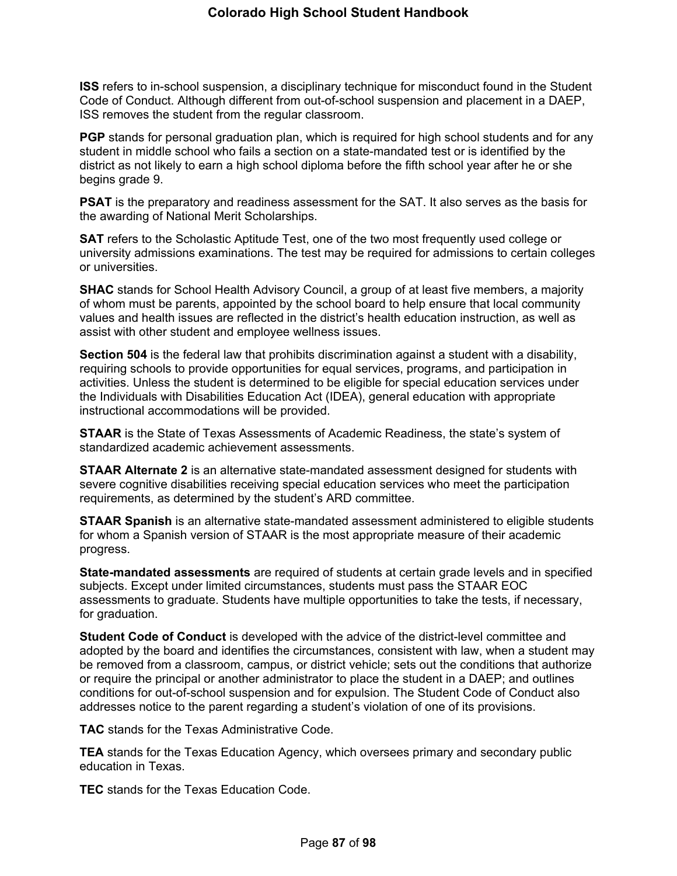**ISS** refers to in-school suspension, a disciplinary technique for misconduct found in the Student Code of Conduct. Although different from out-of-school suspension and placement in a DAEP, ISS removes the student from the regular classroom.

**PGP** stands for personal graduation plan, which is required for high school students and for any student in middle school who fails a section on a state-mandated test or is identified by the district as not likely to earn a high school diploma before the fifth school year after he or she begins grade 9.

**PSAT** is the preparatory and readiness assessment for the SAT. It also serves as the basis for the awarding of National Merit Scholarships.

**SAT** refers to the Scholastic Aptitude Test, one of the two most frequently used college or university admissions examinations. The test may be required for admissions to certain colleges or universities.

**SHAC** stands for School Health Advisory Council, a group of at least five members, a majority of whom must be parents, appointed by the school board to help ensure that local community values and health issues are reflected in the district's health education instruction, as well as assist with other student and employee wellness issues.

**Section 504** is the federal law that prohibits discrimination against a student with a disability, requiring schools to provide opportunities for equal services, programs, and participation in activities. Unless the student is determined to be eligible for special education services under the Individuals with Disabilities Education Act (IDEA), general education with appropriate instructional accommodations will be provided.

**STAAR** is the State of Texas Assessments of Academic Readiness, the state's system of standardized academic achievement assessments.

**STAAR Alternate 2** is an alternative state-mandated assessment designed for students with severe cognitive disabilities receiving special education services who meet the participation requirements, as determined by the student's ARD committee.

**STAAR Spanish** is an alternative state-mandated assessment administered to eligible students for whom a Spanish version of STAAR is the most appropriate measure of their academic progress.

**State-mandated assessments** are required of students at certain grade levels and in specified subjects. Except under limited circumstances, students must pass the STAAR EOC assessments to graduate. Students have multiple opportunities to take the tests, if necessary, for graduation.

**Student Code of Conduct** is developed with the advice of the district-level committee and adopted by the board and identifies the circumstances, consistent with law, when a student may be removed from a classroom, campus, or district vehicle; sets out the conditions that authorize or require the principal or another administrator to place the student in a DAEP; and outlines conditions for out-of-school suspension and for expulsion. The Student Code of Conduct also addresses notice to the parent regarding a student's violation of one of its provisions.

**TAC** stands for the Texas Administrative Code.

**TEA** stands for the Texas Education Agency, which oversees primary and secondary public education in Texas.

**TEC** stands for the Texas Education Code.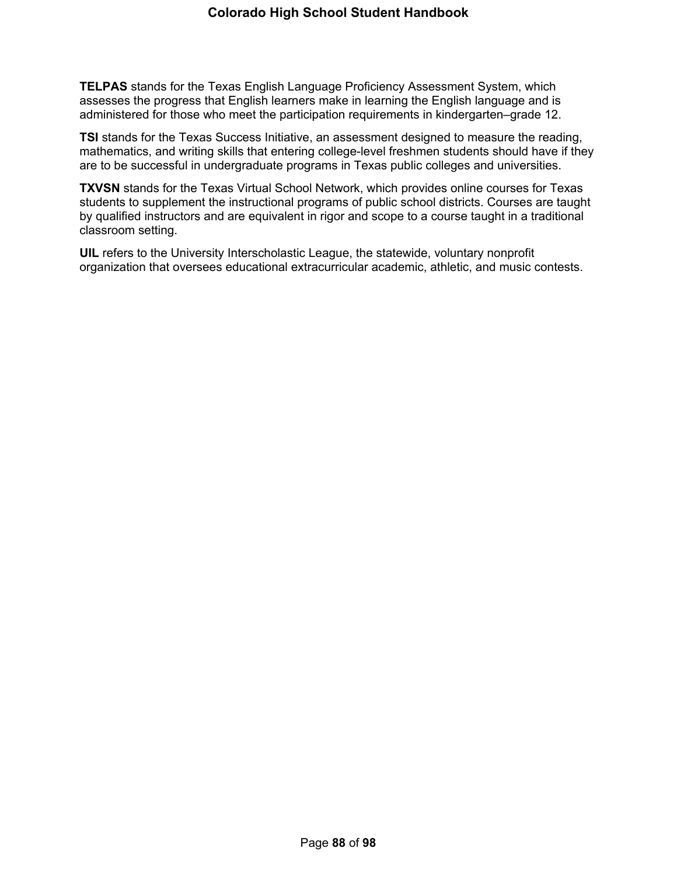**TELPAS** stands for the Texas English Language Proficiency Assessment System, which assesses the progress that English learners make in learning the English language and is administered for those who meet the participation requirements in kindergarten–grade 12.

**TSI** stands for the Texas Success Initiative, an assessment designed to measure the reading, mathematics, and writing skills that entering college-level freshmen students should have if they are to be successful in undergraduate programs in Texas public colleges and universities.

**TXVSN** stands for the Texas Virtual School Network, which provides online courses for Texas students to supplement the instructional programs of public school districts. Courses are taught by qualified instructors and are equivalent in rigor and scope to a course taught in a traditional classroom setting.

**UIL** refers to the University Interscholastic League, the statewide, voluntary nonprofit organization that oversees educational extracurricular academic, athletic, and music contests.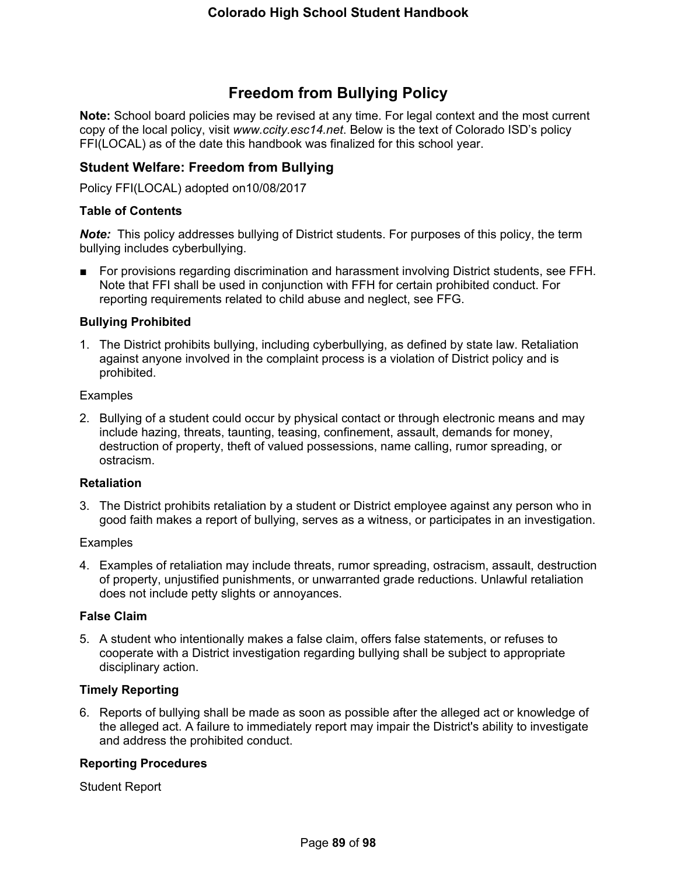# **Freedom from Bullying Policy**

**Note:** School board policies may be revised at any time. For legal context and the most current copy of the local policy, visit *www.ccity.esc14.net*. Below is the text of Colorado ISD's policy FFI(LOCAL) as of the date this handbook was finalized for this school year.

# **Student Welfare: Freedom from Bullying**

Policy FFI(LOCAL) adopted on10/08/2017

### **Table of Contents**

*Note:* This policy addresses bullying of District students. For purposes of this policy, the term bullying includes cyberbullying.

■ For provisions regarding discrimination and harassment involving District students, see FFH. Note that FFI shall be used in conjunction with FFH for certain prohibited conduct. For reporting requirements related to child abuse and neglect, see FFG.

#### **Bullying Prohibited**

1. The District prohibits bullying, including cyberbullying, as defined by state law. Retaliation against anyone involved in the complaint process is a violation of District policy and is prohibited.

#### **Examples**

2. Bullying of a student could occur by physical contact or through electronic means and may include hazing, threats, taunting, teasing, confinement, assault, demands for money, destruction of property, theft of valued possessions, name calling, rumor spreading, or ostracism.

#### **Retaliation**

3. The District prohibits retaliation by a student or District employee against any person who in good faith makes a report of bullying, serves as a witness, or participates in an investigation.

#### **Examples**

4. Examples of retaliation may include threats, rumor spreading, ostracism, assault, destruction of property, unjustified punishments, or unwarranted grade reductions. Unlawful retaliation does not include petty slights or annoyances.

#### **False Claim**

5. A student who intentionally makes a false claim, offers false statements, or refuses to cooperate with a District investigation regarding bullying shall be subject to appropriate disciplinary action.

#### **Timely Reporting**

6. Reports of bullying shall be made as soon as possible after the alleged act or knowledge of the alleged act. A failure to immediately report may impair the District's ability to investigate and address the prohibited conduct.

#### **Reporting Procedures**

Student Report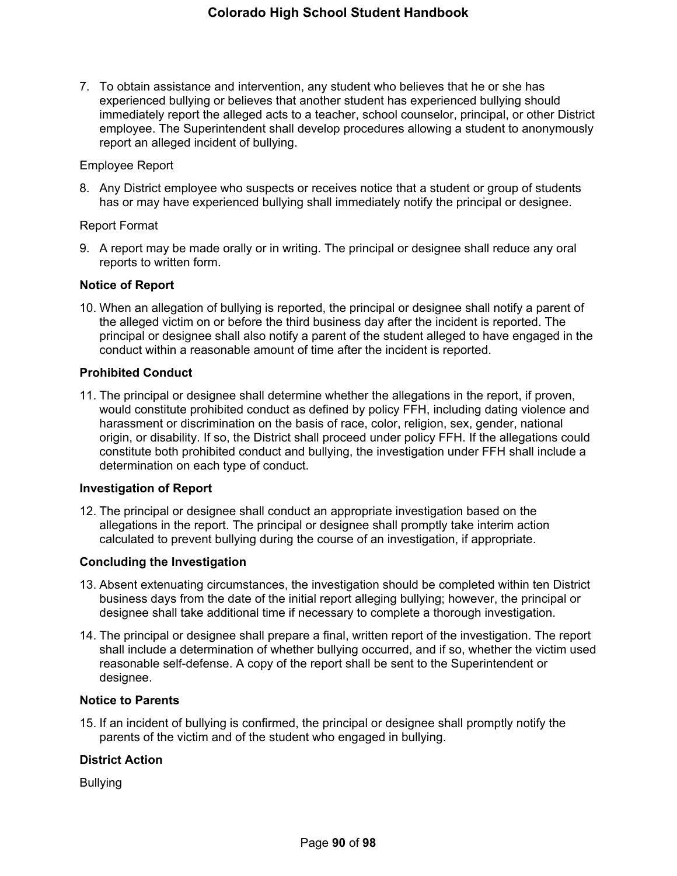7. To obtain assistance and intervention, any student who believes that he or she has experienced bullying or believes that another student has experienced bullying should immediately report the alleged acts to a teacher, school counselor, principal, or other District employee. The Superintendent shall develop procedures allowing a student to anonymously report an alleged incident of bullying.

#### Employee Report

8. Any District employee who suspects or receives notice that a student or group of students has or may have experienced bullying shall immediately notify the principal or designee.

#### Report Format

9. A report may be made orally or in writing. The principal or designee shall reduce any oral reports to written form.

#### **Notice of Report**

10. When an allegation of bullying is reported, the principal or designee shall notify a parent of the alleged victim on or before the third business day after the incident is reported. The principal or designee shall also notify a parent of the student alleged to have engaged in the conduct within a reasonable amount of time after the incident is reported.

#### **Prohibited Conduct**

11. The principal or designee shall determine whether the allegations in the report, if proven, would constitute prohibited conduct as defined by policy FFH, including dating violence and harassment or discrimination on the basis of race, color, religion, sex, gender, national origin, or disability. If so, the District shall proceed under policy FFH. If the allegations could constitute both prohibited conduct and bullying, the investigation under FFH shall include a determination on each type of conduct.

#### **Investigation of Report**

12. The principal or designee shall conduct an appropriate investigation based on the allegations in the report. The principal or designee shall promptly take interim action calculated to prevent bullying during the course of an investigation, if appropriate.

# **Concluding the Investigation**

- 13. Absent extenuating circumstances, the investigation should be completed within ten District business days from the date of the initial report alleging bullying; however, the principal or designee shall take additional time if necessary to complete a thorough investigation.
- 14. The principal or designee shall prepare a final, written report of the investigation. The report shall include a determination of whether bullying occurred, and if so, whether the victim used reasonable self-defense. A copy of the report shall be sent to the Superintendent or designee.

#### **Notice to Parents**

15. If an incident of bullying is confirmed, the principal or designee shall promptly notify the parents of the victim and of the student who engaged in bullying.

# **District Action**

Bullying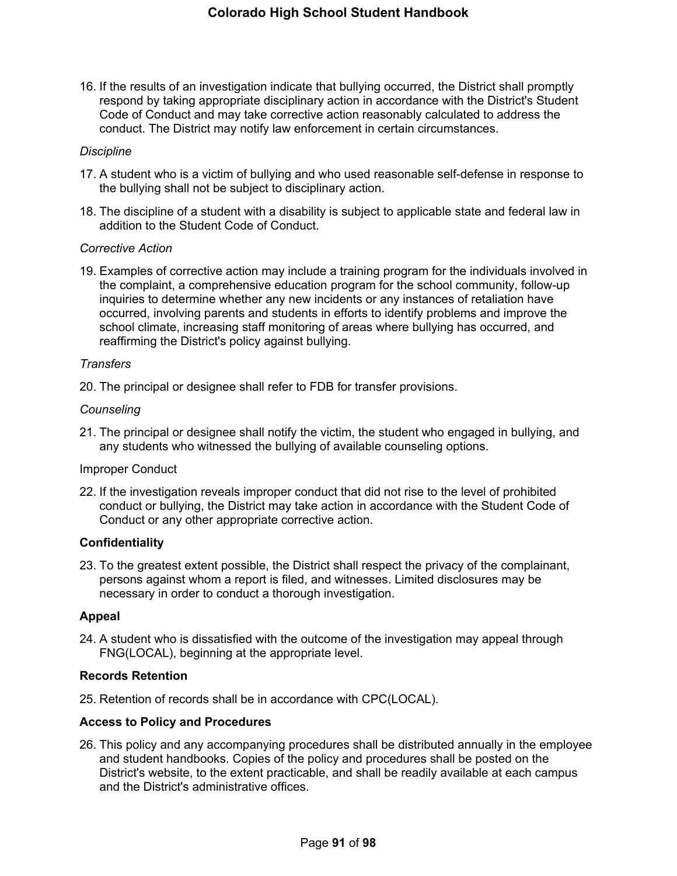16. If the results of an investigation indicate that bullying occurred, the District shall promptly respond by taking appropriate disciplinary action in accordance with the District's Student Code of Conduct and may take corrective action reasonably calculated to address the conduct. The District may notify law enforcement in certain circumstances.

#### *Discipline*

- 17. A student who is a victim of bullying and who used reasonable self-defense in response to the bullying shall not be subject to disciplinary action.
- 18. The discipline of a student with a disability is subject to applicable state and federal law in addition to the Student Code of Conduct.

#### *Corrective Action*

19. Examples of corrective action may include a training program for the individuals involved in the complaint, a comprehensive education program for the school community, follow-up inquiries to determine whether any new incidents or any instances of retaliation have occurred, involving parents and students in efforts to identify problems and improve the school climate, increasing staff monitoring of areas where bullying has occurred, and reaffirming the District's policy against bullying.

#### *Transfers*

20. The principal or designee shall refer to FDB for transfer provisions.

#### *Counseling*

21. The principal or designee shall notify the victim, the student who engaged in bullying, and any students who witnessed the bullying of available counseling options.

# Improper Conduct

22. If the investigation reveals improper conduct that did not rise to the level of prohibited conduct or bullying, the District may take action in accordance with the Student Code of Conduct or any other appropriate corrective action.

#### **Confidentiality**

23. To the greatest extent possible, the District shall respect the privacy of the complainant, persons against whom a report is filed, and witnesses. Limited disclosures may be necessary in order to conduct a thorough investigation.

#### **Appeal**

24. A student who is dissatisfied with the outcome of the investigation may appeal through FNG(LOCAL), beginning at the appropriate level.

#### **Records Retention**

25. Retention of records shall be in accordance with CPC(LOCAL).

#### **Access to Policy and Procedures**

26. This policy and any accompanying procedures shall be distributed annually in the employee and student handbooks. Copies of the policy and procedures shall be posted on the District's website, to the extent practicable, and shall be readily available at each campus and the District's administrative offices.